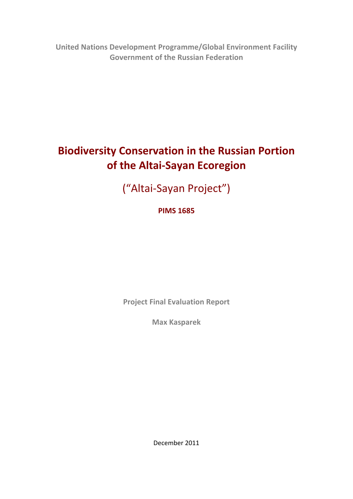**United Nations Development Programme/Global Environment Facility Government of the Russian Federation**

# **Biodiversity Conservation in the Russian Portion of the Altai‐Sayan Ecoregion**

("Altai‐Sayan Project")

# **PIMS 1685**

**Project Final Evaluation Report**

**Max Kasparek**

December 2011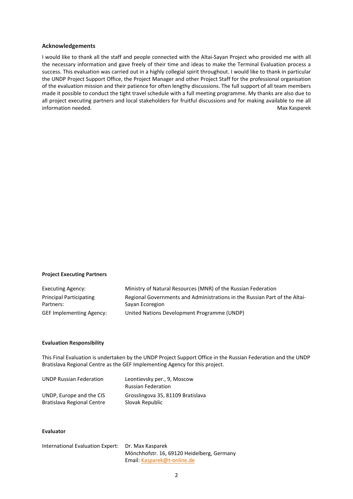#### **Acknowledgements**

I would like to thank all the staff and people connected with the Altai‐Sayan Project who provided me with all the necessary information and gave freely of their time and ideas to make the Terminal Evaluation process a success. This evaluation was carried out in a highly collegial spirit throughout. I would like to thank in particular the UNDP Project Support Office, the Project Manager and other Project Staff for the professional organisation of the evaluation mission and their patience for often lengthy discussions. The full support of all team members made it possible to conduct the tight travel schedule with a full meeting programme. My thanks are also due to all project executing partners and local stakeholders for fruitful discussions and for making available to me all information needed. The state of the state of the state of the state of the state of the state of the state of the state of the state of the state of the state of the state of the state of the state of the state of the sta

#### **Project Executing Partners**

| Executing Agency:               | Ministry of Natural Resources (MNR) of the Russian Federation              |
|---------------------------------|----------------------------------------------------------------------------|
| <b>Principal Participating</b>  | Regional Governments and Administrations in the Russian Part of the Altai- |
| Partners:                       | Sayan Ecoregion                                                            |
| <b>GEF Implementing Agency:</b> | United Nations Development Programme (UNDP)                                |

#### **Evaluation Responsibility**

This Final Evaluation is undertaken by the UNDP Project Support Office in the Russian Federation and the UNDP Bratislava Regional Centre as the GEF Implementing Agency for this project.

| <b>UNDP Russian Federation</b> | Leontievsky per., 9, Moscow       |
|--------------------------------|-----------------------------------|
|                                | <b>Russian Federation</b>         |
| UNDP, Europe and the CIS       | Grosslingova 35, 81109 Bratislava |
| Bratislava Regional Centre     | Slovak Republic                   |

#### **Evaluator**

| International Evaluation Expert: Dr. Max Kasparek |                                            |
|---------------------------------------------------|--------------------------------------------|
|                                                   | Mönchhofstr. 16, 69120 Heidelberg, Germany |
|                                                   | Email: Kasparek@t-online.de                |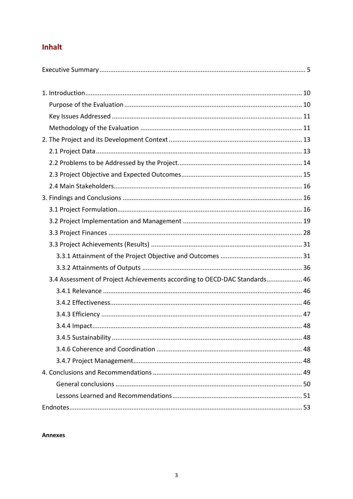# Inhalt

| 3.4 Assessment of Project Achievements according to OECD-DAC Standards 46 |                |
|---------------------------------------------------------------------------|----------------|
|                                                                           |                |
|                                                                           |                |
|                                                                           |                |
|                                                                           |                |
|                                                                           |                |
|                                                                           |                |
| 2.4.7 Droiget Managament                                                  | $\overline{A}$ |

**Annexes**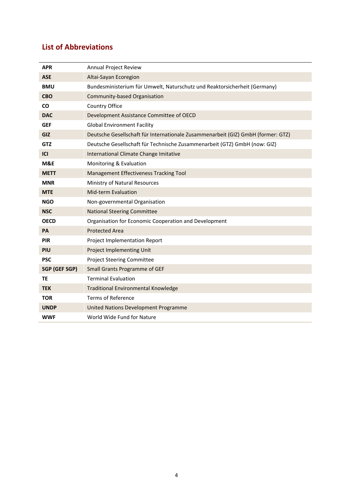# **List of Abbreviations**

| <b>APR</b>           | <b>Annual Project Review</b>                                                     |
|----------------------|----------------------------------------------------------------------------------|
| <b>ASE</b>           | Altai-Sayan Ecoregion                                                            |
| <b>BMU</b>           | Bundesministerium für Umwelt, Naturschutz und Reaktorsicherheit (Germany)        |
| <b>CBO</b>           | Community-based Organisation                                                     |
| <b>CO</b>            | Country Office                                                                   |
| <b>DAC</b>           | Development Assistance Committee of OECD                                         |
| <b>GEF</b>           | <b>Global Environment Facility</b>                                               |
| GIZ                  | Deutsche Gesellschaft für Internationale Zusammenarbeit (GIZ) GmbH (former: GTZ) |
| <b>GTZ</b>           | Deutsche Gesellschaft für Technische Zusammenarbeit (GTZ) GmbH (now: GIZ)        |
| ICI                  | International Climate Change Imitative                                           |
| M&E                  | Monitoring & Evaluation                                                          |
| <b>METT</b>          | Management Effectiveness Tracking Tool                                           |
| <b>MNR</b>           | Ministry of Natural Resources                                                    |
| <b>MTE</b>           | <b>Mid-term Evaluation</b>                                                       |
| NGO                  | Non-governmental Organisation                                                    |
| <b>NSC</b>           | <b>National Steering Committee</b>                                               |
| <b>OECD</b>          | Organisation for Economic Cooperation and Development                            |
| PA                   | <b>Protected Area</b>                                                            |
| PIR                  | Project Implementation Report                                                    |
| PIU                  | <b>Project Implementing Unit</b>                                                 |
| <b>PSC</b>           | <b>Project Steering Committee</b>                                                |
| <b>SGP (GEF SGP)</b> | <b>Small Grants Programme of GEF</b>                                             |
| <b>TE</b>            | <b>Terminal Evaluation</b>                                                       |
| <b>TEK</b>           | <b>Traditional Environmental Knowledge</b>                                       |
| <b>TOR</b>           | <b>Terms of Reference</b>                                                        |
| <b>UNDP</b>          | United Nations Development Programme                                             |
| <b>WWF</b>           | World Wide Fund for Nature                                                       |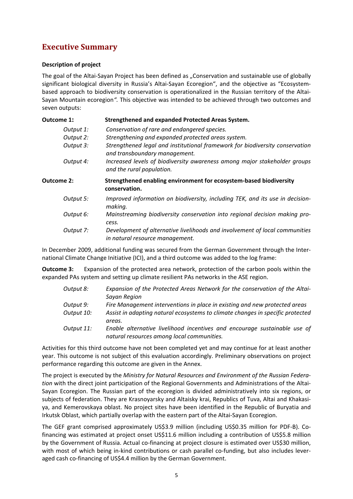# **Executive Summary**

### **Description of project**

The goal of the Altai-Sayan Project has been defined as "Conservation and sustainable use of globally significant biological diversity in Russia's Altai-Sayan Ecoregion", and the objective as "Ecosystembased approach to biodiversity conservation is operationalized in the Russian territory of the Altai-Sayan Mountain ecoregion*".* This objective was intended to be achieved through two outcomes and seven outputs:

| <b>Outcome 1:</b> | Strengthened and expanded Protected Areas System.                                                              |
|-------------------|----------------------------------------------------------------------------------------------------------------|
| Output 1:         | Conservation of rare and endangered species.                                                                   |
| Output 2:         | Strengthening and expanded protected areas system.                                                             |
| Output 3:         | Strengthened legal and institutional framework for biodiversity conservation<br>and transboundary management.  |
| Output 4:         | Increased levels of biodiversity awareness among major stakeholder groups<br>and the rural population.         |
| <b>Outcome 2:</b> | Strengthened enabling environment for ecosystem-based biodiversity<br>conservation.                            |
| Output 5:         | Improved information on biodiversity, including TEK, and its use in decision-<br>making.                       |
| Output 6:         | Mainstreaming biodiversity conservation into regional decision making pro-<br>cess.                            |
| Output 7:         | Development of alternative livelihoods and involvement of local communities<br>in natural resource management. |
|                   | In December 2009, additional funding was secured from the German Government through the Inter-                 |

ember 2009, additional funding was secured from the German Government through the Inter national Climate Change Initiative (ICI), and a third outcome was added to the log frame:

**Outcome 3:** Expansion of the protected area network, protection of the carbon pools within the expanded PAs system and setting up climate resilient PAs networks in the ASE region.

| Output 8:  | Expansion of the Protected Areas Network for the conservation of the Altai-    |
|------------|--------------------------------------------------------------------------------|
|            | Sayan Region                                                                   |
| Output 9:  | Fire Management interventions in place in existing and new protected areas     |
| Output 10: | Assist in adapting natural ecosystems to climate changes in specific protected |
|            | areas.                                                                         |
| Output 11: | Enable alternative livelihood incentives and encourage sustainable use of      |
|            | natural resources among local communities.                                     |

Activities for this third outcome have not been completed yet and may continue for at least another year. This outcome is not subject of this evaluation accordingly. Preliminary observations on project performance regarding this outcome are given in the Annex.

The project is executed by the *Ministry for Natural Resources and Environment of the Russian Federa‐ tion* with the direct joint participation of the Regional Governments and Administrations of the Altai‐ Sayan Ecoregion. The Russian part of the ecoregion is divided administratively into six regions, or subjects of federation. They are Krasnoyarsky and Altaisky krai, Republics of Tuva, Altai and Khakasiya, and Kemerovskaya oblast. No project sites have been identified in the Republic of Buryatia and Irkutsk Oblast, which partially overlap with the eastern part of the Altai‐Sayan Ecoregion.

The GEF grant comprised approximately US\$3.9 million (including US\$0.35 million for PDF‐B). Co‐ financing was estimated at project onset US\$11.6 million including a contribution of US\$5.8 million by the Government of Russia. Actual co-financing at project closure is estimated over US\$30 million, with most of which being in-kind contributions or cash parallel co-funding, but also includes leveraged cash co-financing of US\$4.4 million by the German Government.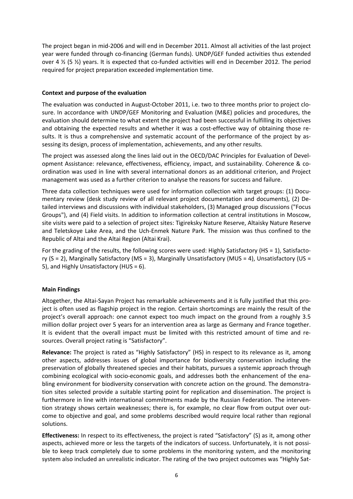The project began in mid‐2006 and will end in December 2011. Almost all activities of the last project year were funded through co-financing (German funds). UNDP/GEF funded activities thus extended over 4  $\frac{1}{2}$  (5  $\frac{1}{2}$ ) years. It is expected that co-funded activities will end in December 2012. The period required for project preparation exceeded implementation time.

### **Context and purpose of the evaluation**

The evaluation was conducted in August-October 2011, i.e. two to three months prior to project closure. In accordance with UNDP/GEF Monitoring and Evaluation (M&E) policies and procedures, the evaluation should determine to what extent the project had been successful in fulfilling its objectives and obtaining the expected results and whether it was a cost-effective way of obtaining those results. It is thus a comprehensive and systematic account of the performance of the project by assessing its design, process of implementation, achievements, and any other results.

The project was assessed along the lines laid out in the OECD/DAC Principles for Evaluation of Development Assistance: relevance, effectiveness, efficiency, impact, and sustainability. Coherence & co‐ ordination was used in line with several international donors as an additional criterion, and Project management was used as a further criterion to analyse the reasons for success and failure.

Three data collection techniques were used for information collection with target groups: (1) Documentary review (desk study review of all relevant project documentation and documents), (2) De‐ tailed interviews and discussions with individual stakeholders, (3) Managed group discussions ("Focus Groups"), and (4) Field visits. In addition to information collection at central institutions in Moscow, site visits were paid to a selection of project sites: Tigireksky Nature Reserve, Altaisky Nature Reserve and Teletskoye Lake Area, and the Uch‐Enmek Nature Park. The mission was thus confined to the Republic of Altai and the Altai Region (Altai Krai).

For the grading of the results, the following scores were used: Highly Satisfactory (HS = 1), Satisfactory (S = 2), Marginally Satisfactory (MS = 3), Marginally Unsatisfactory (MUS = 4), Unsatisfactory (US = 5), and Highly Unsatisfactory (HUS = 6).

### **Main Findings**

Altogether, the Altai‐Sayan Project has remarkable achievements and it is fully justified that this pro‐ ject is often used as flagship project in the region. Certain shortcomings are mainly the result of the project's overall approach: one cannot expect too much impact on the ground from a roughly 3.5 million dollar project over 5 years for an intervention area as large as Germany and France together. It is evident that the overall impact must be limited with this restricted amount of time and re‐ sources. Overall project rating is "Satisfactory".

**Relevance:** The project is rated as "Highly Satisfactory" (HS) in respect to its relevance as it, among other aspects, addresses issues of global importance for biodiversity conservation including the preservation of globally threatened species and their habitats, pursues a systemic approach through combining ecological with socio-economic goals, and addresses both the enhancement of the enabling environment for biodiversity conservation with concrete action on the ground. The demonstra‐ tion sites selected provide a suitable starting point for replication and dissemination. The project is furthermore in line with international commitments made by the Russian Federation. The interven‐ tion strategy shows certain weaknesses; there is, for example, no clear flow from output over out‐ come to objective and goal, and some problems described would require local rather than regional solutions.

**Effectiveness:** In respect to its effectiveness, the project is rated "Satisfactory" (S) as it, among other aspects, achieved more or less the targets of the indicators of success. Unfortunately, it is not possible to keep track completely due to some problems in the monitoring system, and the monitoring system also included an unrealistic indicator. The rating of the two project outcomes was "Highly Sat‐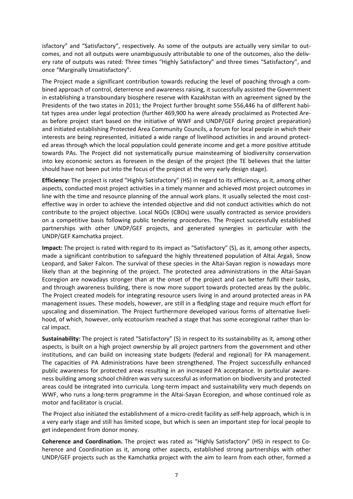isfactory" and "Satisfactory", respectively. As some of the outputs are actually very similar to out‐ comes, and not all outputs were unambiguously attributable to one of the outcomes, also the deliv‐ ery rate of outputs was rated: Three times "Highly Satisfactory" and three times "Satisfactory", and once "Marginally Unsatisfactory".

The Project made a significant contribution towards reducing the level of poaching through a com‐ bined approach of control, deterrence and awareness raising, it successfully assisted the Government in establishing a transboundary biosphere reserve with Kazakhstan with an agreement signed by the Presidents of the two states in 2011; the Project further brought some 556,446 ha of different habitat types area under legal protection (further 469,900 ha were already proclaimed as Protected Are‐ as before project start based on the initiative of WWF and UNDP/GEF during project preparation) and initiated establishing Protected Area Community Councils, a forum for local people in which their interests are being represented, initiated a wide range of livelihood activities in and around protected areas through which the local population could generate income and get a more positive attitude towards PAs. The Project did not systematically pursue mainsteaming of biodiversity conservation into key economic sectors as foreseen in the design of the project (the TE believes that the latter should have not been put into the focus of the project at the very early design stage).

**Efficiency:** The project is rated "Highly Satisfactory" (HS) in regard to its efficiency, as it, among other aspects, conducted most project activities in a timely manner and achieved most project outcomes in line with the time and resource planning of the annual work plans. It usually selected the most costeffective way in order to achieve the intended objective and did not conduct activities which do not contribute to the project objective. Local NGOs (CBOs) were usually contracted as service providers on a competitive basis following public tendering procedures. The Project successfully established partnerships with other UNDP/GEF projects, and generated synergies in particular with the UNDP/GEF Kamchatka project.

**Impact:** The project is rated with regard to its impact as "Satisfactory" (S), as it, among other aspects, made a significant contribution to safeguard the highly threatened population of Altai Argali, Snow Leopard, and Saker Falcon. The survival of these species in the Altai‐Sayan region is nowadays more likely than at the beginning of the project. The protected area administrations in the Altai‐Sayan Ecoregion are nowadays stronger than at the onset of the project and can better fulfil their tasks, and through awareness building, there is now more support towards protected areas by the public. The Project created models for integrating resource users living in and around protected areas in PA management issues. These models, however, are still in a fledgling stage and require much effort for upscaling and dissemination. The Project furthermore developed various forms of alternative liveli‐ hood, of which, however, only ecotourism reached a stage that has some ecoregional rather than local impact.

**Sustainability:** The project is rated "Satisfactory" (S) in respect to its sustainability as it, among other aspects, is built on a high project ownership by all project partners from the government and other institutions, and can build on increasing state budgets (federal and regional) for PA management. The capacities of PA Administrations have been strengthened. The Project successfully enhanced public awareness for protected areas resulting in an increased PA acceptance. In particular awareness building among school children was very successful as information on biodiversity and protected areas could be integrated into curricula. Long-term impact and sustainability very much depends on WWF, who runs a long-term programme in the Altai-Sayan Ecoregion, and whose continued role as motor and facilitator is crucial.

The Project also initiated the establishment of a micro-credit facility as self-help approach, which is in a very early stage and still has limited scope, but which is seen an important step for local people to get independent from donor money.

**Coherence and Coordination.** The project was rated as "Highly Satisfactory" (HS) in respect to Co‐ herence and Coordination as it, among other aspects, established strong partnerships with other UNDP/GEF projects such as the Kamchatka project with the aim to learn from each other, formed a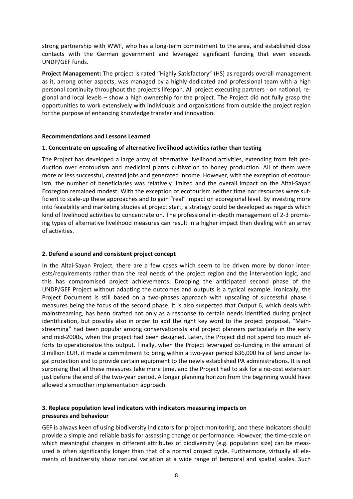strong partnership with WWF, who has a long‐term commitment to the area, and established close contacts with the German government and leveraged significant funding that even exceeds UNDP/GEF funds.

**Project Management:** The project is rated "Highly Satisfactory" (HS) as regards overall management as it, among other aspects, was managed by a highly dedicated and professional team with a high personal continuity throughout the project's lifespan. All project executing partners ‐ on national, re‐ gional and local levels – show a high ownership for the project. The Project did not fully grasp the opportunities to work extensively with individuals and organisations from outside the project region for the purpose of enhancing knowledge transfer and innovation.

#### **Recommendations and Lessons Learned**

### **1. Concentrate on upscaling of alternative livelihood activities rather than testing**

The Project has developed a large array of alternative livelihood activities, extending from felt pro‐ duction over ecotourism and medicinal plants cultivation to honey production. All of them were more or less successful, created jobs and generated income. However, with the exception of ecotourism, the number of beneficiaries was relatively limited and the overall impact on the Altai‐Sayan Ecoregion remained modest. With the exception of ecotourism neither time nor resources were suf‐ ficient to scale‐up these approaches and to gain "real" impact on ecoregional level. By investing more into feasibility and marketing studies at project start, a strategy could be developed as regards which kind of livelihood activities to concentrate on. The professional in-depth management of 2-3 promising types of alternative livelihood measures can result in a higher impact than dealing with an array of activities.

### **2. Defend a sound and consistent project concept**

In the Altai‐Sayan Project, there are a few cases which seem to be driven more by donor inter‐ ests/requirements rather than the real needs of the project region and the intervention logic, and this has compromised project achievements. Dropping the anticipated second phase of the UNDP/GEF Project without adapting the outcomes and outputs is a typical example. Ironically, the Project Document is still based on a two‐phases approach with upscaling of successful phase I measures being the focus of the second phase. It is also suspected that Output 6, which deals with mainstreaming, has been drafted not only as a response to certain needs identified during project identification, but possibly also in order to add the right key word to the project proposal. "Main‐ streaming" had been popular among conservationists and project planners particularly in the early and mid‐2000s, when the project had been designed. Later, the Project did not spend too much ef‐ forts to operationalize this output. Finally, when the Project leveraged co-funding in the amount of 3 million EUR, it made a commitment to bring within a two-year period 636,000 ha of land under legal protection and to provide certain equipment to the newly established PA administrations. It is not surprising that all these measures take more time, and the Project had to ask for a no‐cost extension just before the end of the two-year period. A longer planning horizon from the beginning would have allowed a smoother implementation approach.

### **3. Replace population level indicators with indicators measuring impacts on pressures and behaviour**

GEF is always keen of using biodiversity indicators for project monitoring, and these indicators should provide a simple and reliable basis for assessing change or performance. However, the time‐scale on which meaningful changes in different attributes of biodiversity (e.g. population size) can be measured is often significantly longer than that of a normal project cycle. Furthermore, virtually all ele‐ ments of biodiversity show natural variation at a wide range of temporal and spatial scales. Such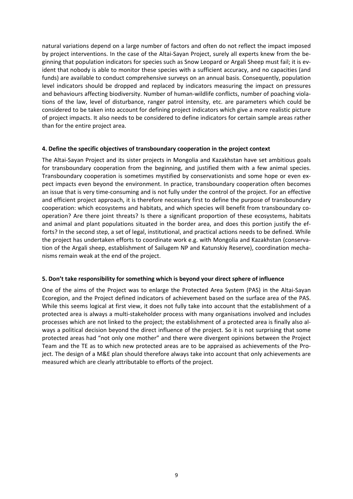natural variations depend on a large number of factors and often do not reflect the impact imposed by project interventions. In the case of the Altai-Sayan Project, surely all experts knew from the beginning that population indicators for species such as Snow Leopard or Argali Sheep must fail; it is ev‐ ident that nobody is able to monitor these species with a sufficient accuracy, and no capacities (and funds) are available to conduct comprehensive surveys on an annual basis. Consequently, population level indicators should be dropped and replaced by indicators measuring the impact on pressures and behaviours affecting biodiversity. Number of human-wildlife conflicts, number of poaching violations of the law, level of disturbance, ranger patrol intensity, etc. are parameters which could be considered to be taken into account for defining project indicators which give a more realistic picture of project impacts. It also needs to be considered to define indicators for certain sample areas rather than for the entire project area.

#### **4. Define the specific objectives of transboundary cooperation in the project context**

The Altai‐Sayan Project and its sister projects in Mongolia and Kazakhstan have set ambitious goals for transboundary cooperation from the beginning, and justified them with a few animal species. Transboundary cooperation is sometimes mystified by conservationists and some hope or even ex‐ pect impacts even beyond the environment. In practice, transboundary cooperation often becomes an issue that is very time‐consuming and is not fully under the control of the project. For an effective and efficient project approach, it is therefore necessary first to define the purpose of transboundary cooperation: which ecosystems and habitats, and which species will benefit from transboundary co‐ operation? Are there joint threats? Is there a significant proportion of these ecosystems, habitats and animal and plant populations situated in the border area, and does this portion justify the efforts? In the second step, a set of legal, institutional, and practical actions needs to be defined. While the project has undertaken efforts to coordinate work e.g. with Mongolia and Kazakhstan (conserva‐ tion of the Argali sheep, establishment of Sailugem NP and Katunskiy Reserve), coordination mecha‐ nisms remain weak at the end of the project.

### **5. Don't take responsibility for something which is beyond your direct sphere of influence**

One of the aims of the Project was to enlarge the Protected Area System (PAS) in the Altai‐Sayan Ecoregion, and the Project defined indicators of achievement based on the surface area of the PAS. While this seems logical at first view, it does not fully take into account that the establishment of a protected area is always a multi‐stakeholder process with many organisations involved and includes processes which are not linked to the project; the establishment of a protected area is finally also al‐ ways a political decision beyond the direct influence of the project. So it is not surprising that some protected areas had "not only one mother" and there were divergent opinions between the Project Team and the TE as to which new protected areas are to be appraised as achievements of the Pro‐ ject. The design of a M&E plan should therefore always take into account that only achievements are measured which are clearly attributable to efforts of the project.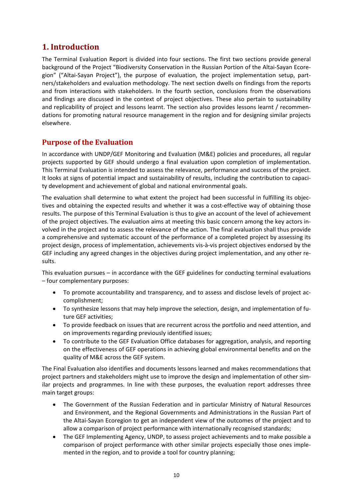# **1. Introduction**

The Terminal Evaluation Report is divided into four sections. The first two sections provide general background of the Project "Biodiversity Conservation in the Russian Portion of the Altai‐Sayan Ecore‐ gion" ("Altai-Sayan Project"), the purpose of evaluation, the project implementation setup, partners/stakeholders and evaluation methodology. The next section dwells on findings from the reports and from interactions with stakeholders. In the fourth section, conclusions from the observations and findings are discussed in the context of project objectives. These also pertain to sustainability and replicability of project and lessons learnt. The section also provides lessons learnt / recommen‐ dations for promoting natural resource management in the region and for designing similar projects elsewhere.

### **Purpose of the Evaluation**

In accordance with UNDP/GEF Monitoring and Evaluation (M&E) policies and procedures, all regular projects supported by GEF should undergo a final evaluation upon completion of implementation. This Terminal Evaluation is intended to assess the relevance, performance and success of the project. It looks at signs of potential impact and sustainability of results, including the contribution to capacity development and achievement of global and national environmental goals.

The evaluation shall determine to what extent the project had been successful in fulfilling its objec‐ tives and obtaining the expected results and whether it was a cost‐effective way of obtaining those results. The purpose of this Terminal Evaluation is thus to give an account of the level of achievement of the project objectives. The evaluation aims at meeting this basic concern among the key actors in‐ volved in the project and to assess the relevance of the action. The final evaluation shall thus provide a comprehensive and systematic account of the performance of a completed project by assessing its project design, process of implementation, achievements vis‐à‐vis project objectives endorsed by the GEF including any agreed changes in the objectives during project implementation, and any other results.

This evaluation pursues – in accordance with the GEF guidelines for conducting terminal evaluations – four complementary purposes:

- To promote accountability and transparency, and to assess and disclose levels of project ac‐ complishment;
- To synthesize lessons that may help improve the selection, design, and implementation of future GEF activities;
- To provide feedback on issues that are recurrent across the portfolio and need attention, and on improvements regarding previously identified issues;
- To contribute to the GEF Evaluation Office databases for aggregation, analysis, and reporting on the effectiveness of GEF operations in achieving global environmental benefits and on the quality of M&E across the GEF system.

The Final Evaluation also identifies and documents lessons learned and makes recommendations that project partners and stakeholders might use to improve the design and implementation of other sim‐ ilar projects and programmes. In line with these purposes, the evaluation report addresses three main target groups:

- The Government of the Russian Federation and in particular Ministry of Natural Resources and Environment, and the Regional Governments and Administrations in the Russian Part of the Altai‐Sayan Ecoregion to get an independent view of the outcomes of the project and to allow a comparison of project performance with internationally recognised standards;
- The GEF Implementing Agency, UNDP, to assess project achievements and to make possible a comparison of project performance with other similar projects especially those ones imple‐ mented in the region, and to provide a tool for country planning;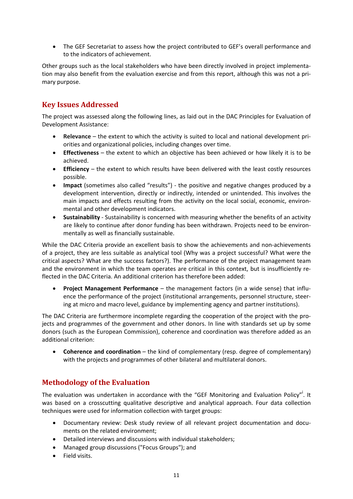• The GEF Secretariat to assess how the project contributed to GEF's overall performance and to the indicators of achievement.

Other groups such as the local stakeholders who have been directly involved in project implementa‐ tion may also benefit from the evaluation exercise and from this report, although this was not a pri‐ mary purpose.

### **Key Issues Addressed**

The project was assessed along the following lines, as laid out in the DAC Principles for Evaluation of Development Assistance:

- **Relevance** the extent to which the activity is suited to local and national development pri‐ orities and organizational policies, including changes over time.
- **Effectiveness** the extent to which an objective has been achieved or how likely it is to be achieved.
- **Efficiency** the extent to which results have been delivered with the least costly resources possible.
- **Impact** (sometimes also called "results") ‐ the positive and negative changes produced by a development intervention, directly or indirectly, intended or unintended. This involves the main impacts and effects resulting from the activity on the local social, economic, environmental and other development indicators.
- **Sustainability** ‐ Sustainability is concerned with measuring whether the benefits of an activity are likely to continue after donor funding has been withdrawn. Projects need to be environmentally as well as financially sustainable.

While the DAC Criteria provide an excellent basis to show the achievements and non-achievements of a project, they are less suitable as analytical tool (Why was a project successful? What were the critical aspects? What are the success factors?). The performance of the project management team and the environment in which the team operates are critical in this context, but is insufficiently reflected in the DAC Criteria. An additional criterion has therefore been added:

• **Project Management Performance** – the management factors (in a wide sense) that influ‐ ence the performance of the project (institutional arrangements, personnel structure, steer‐ ing at micro and macro level, guidance by implementing agency and partner institutions).

The DAC Criteria are furthermore incomplete regarding the cooperation of the project with the projects and programmes of the government and other donors. In line with standards set up by some donors (such as the European Commission), coherence and coordination was therefore added as an additional criterion:

• **Coherence and coordination** – the kind of complementary (resp. degree of complementary) with the projects and programmes of other bilateral and multilateral donors.

### **Methodology of the Evaluation**

The evaluation was undertaken in accordance with the "GEF Monitoring and Evaluation Policy". It was based on a crosscutting qualitative descriptive and analytical approach. Four data collection techniques were used for information collection with target groups:

- Documentary review: Desk study review of all relevant project documentation and documents on the related environment;
- Detailed interviews and discussions with individual stakeholders;
- Managed group discussions ("Focus Groups"); and
- Field visits.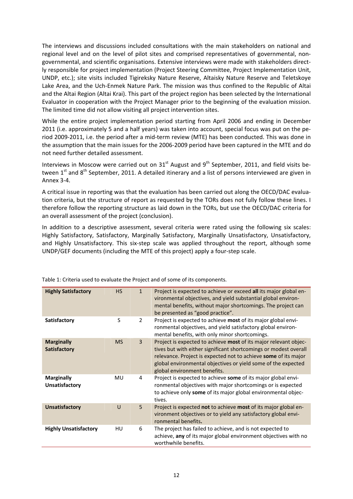The interviews and discussions included consultations with the main stakeholders on national and regional level and on the level of pilot sites and comprised representatives of governmental, nongovernmental, and scientific organisations. Extensive interviews were made with stakeholders direct‐ ly responsible for project implementation (Project Steering Committee, Project Implementation Unit, UNDP, etc.); site visits included Tigireksky Nature Reserve, Altaisky Nature Reserve and Teletskoye Lake Area, and the Uch‐Enmek Nature Park. The mission was thus confined to the Republic of Altai and the Altai Region (Altai Krai). This part of the project region has been selected by the International Evaluator in cooperation with the Project Manager prior to the beginning of the evaluation mission. The limited time did not allow visiting all project intervention sites.

While the entire project implementation period starting from April 2006 and ending in December 2011 (i.e. approximately 5 and a half years) was taken into account, special focus was put on the pe‐ riod 2009‐2011, i.e. the period after a mid‐term review (MTE) has been conducted. This was done in the assumption that the main issues for the 2006‐2009 period have been captured in the MTE and do not need further detailed assessment.

Interviews in Moscow were carried out on  $31<sup>st</sup>$  August and  $9<sup>th</sup>$  September, 2011, and field visits between 1<sup>st</sup> and 8<sup>th</sup> September, 2011. A detailed itinerary and a list of persons interviewed are given in Annex 3‐4.

A critical issue in reporting was that the evaluation has been carried out along the OECD/DAC evalua‐ tion criteria, but the structure of report as requested by the TORs does not fully follow these lines. I therefore follow the reporting structure as laid down in the TORs, but use the OECD/DAC criteria for an overall assessment of the project (conclusion).

In addition to a descriptive assessment, several criteria were rated using the following six scales: Highly Satisfactory, Satisfactory, Marginally Satisfactory, Marginally Unsatisfactory, Unsatisfactory, and Highly Unsatisfactory. This six-step scale was applied throughout the report, although some UNDP/GEF documents (including the MTE of this project) apply a four‐step scale.

| <b>Highly Satisfactory</b>                 | <b>HS</b> | $\mathbf{1}$   | Project is expected to achieve or exceed all its major global en-<br>vironmental objectives, and yield substantial global environ-<br>mental benefits, without major shortcomings. The project can<br>be presented as "good practice".                                                                   |
|--------------------------------------------|-----------|----------------|----------------------------------------------------------------------------------------------------------------------------------------------------------------------------------------------------------------------------------------------------------------------------------------------------------|
| Satisfactory                               | S         | $\overline{2}$ | Project is expected to achieve most of its major global envi-<br>ronmental objectives, and yield satisfactory global environ-<br>mental benefits, with only minor shortcomings.                                                                                                                          |
| <b>Marginally</b><br><b>Satisfactory</b>   | <b>MS</b> | 3              | Project is expected to achieve most of its major relevant objec-<br>tives but with either significant shortcomings or modest overall<br>relevance. Project is expected not to achieve some of its major<br>global environmental objectives or yield some of the expected<br>global environment benefits. |
| <b>Marginally</b><br><b>Unsatisfactory</b> | MU        | 4              | Project is expected to achieve some of its major global envi-<br>ronmental objectives with major shortcomings or is expected<br>to achieve only some of its major global environmental objec-<br>tives.                                                                                                  |
| <b>Unsatisfactory</b>                      | U         | 5              | Project is expected not to achieve most of its major global en-<br>vironment objectives or to yield any satisfactory global envi-<br>ronmental benefits.                                                                                                                                                 |
| <b>Highly Unsatisfactory</b>               | <b>HU</b> | 6              | The project has failed to achieve, and is not expected to<br>achieve, any of its major global environment objectives with no<br>worthwhile benefits.                                                                                                                                                     |

Table 1: Criteria used to evaluate the Project and of some of its components.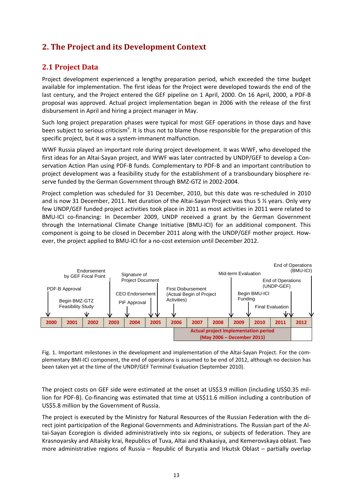# **2. The Project and its Development Context**

### **2.1 Project Data**

Project development experienced a lengthy preparation period, which exceeded the time budget available for implementation. The first ideas for the Project were developed towards the end of the last century, and the Project entered the GEF pipeline on 1 April, 2000. On 16 April, 2000, a PDF‐B proposal was approved. Actual project implementation began in 2006 with the release of the first disbursement in April and hiring a project manager in May.

Such long project preparation phases were typical for most GEF operations in those days and have been subject to serious criticism<sup>ii</sup>. It is thus not to blame those responsible for the preparation of this specific project, but it was a system‐immanent malfunction.

WWF Russia played an important role during project development. It was WWF, who developed the first ideas for an Altai-Sayan project, and WWF was later contracted by UNDP/GEF to develop a Conservation Action Plan using PDF‐B funds. Complementary to PDF‐B and an important contribution to project development was a feasibility study for the establishment of a transboundary biosphere re‐ serve funded by the German Government through BMZ‐GTZ in 2002‐2004.

Project completion was scheduled for 31 December, 2010, but this date was re‐scheduled in 2010 and is now 31 December, 2011. Net duration of the Altai-Sayan Project was thus 5 % years. Only very few UNDP/GEF funded project activities took place in 2011 as most activities in 2011 were related to BMU-ICI co-financing: In December 2009, UNDP received a grant by the German Government through the International Climate Change Initiative (BMU-ICI) for an additional component. This component is going to be closed in December 2011 along with the UNDP/GEF mother project. How‐ ever, the project applied to BMU‐ICI for a no‐cost extension until December 2012.



Fig. 1. Important milestones in the development and implementation of the Altai-Sayan Project. For the complementary BMI‐ICI component, the end of operations is assumed to be end of 2012, although no decision has been taken yet at the time of the UNDP/GEF Terminal Evaluation (September 2010).

The project costs on GEF side were estimated at the onset at US\$3.9 million (including US\$0.35 million for PDF‐B). Co‐financing was estimated that time at US\$11.6 million including a contribution of US\$5.8 million by the Government of Russia.

The project is executed by the Ministry for Natural Resources of the Russian Federation with the di‐ rect joint participation of the Regional Governments and Administrations. The Russian part of the Al‐ tai‐Sayan Ecoregion is divided administratively into six regions, or subjects of federation. They are Krasnoyarsky and Altaisky krai, Republics of Tuva, Altai and Khakasiya, and Kemerovskaya oblast. Two more administrative regions of Russia – Republic of Buryatia and Irkutsk Oblast – partially overlap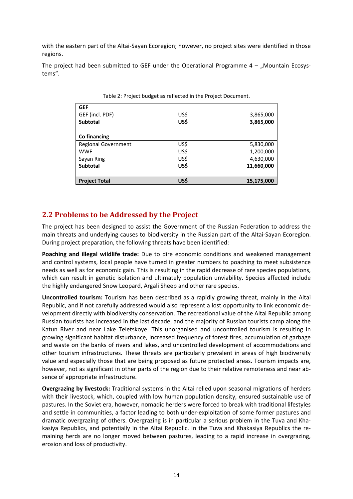with the eastern part of the Altai‐Sayan Ecoregion; however, no project sites were identified in those regions.

The project had been submitted to GEF under the Operational Programme  $4 -$  "Mountain Ecosystems".

| <b>GEF</b>                 |      |            |
|----------------------------|------|------------|
| GEF (incl. PDF)            | US\$ | 3,865,000  |
| <b>Subtotal</b>            | US\$ | 3,865,000  |
| Co financing               |      |            |
| <b>Regional Government</b> | US\$ | 5,830,000  |
| <b>WWF</b>                 | US\$ | 1,200,000  |
| Sayan Ring                 | US\$ | 4,630,000  |
| <b>Subtotal</b>            | US\$ | 11,660,000 |
|                            |      |            |
| <b>Project Total</b>       | US\$ | 15,175,000 |

Table 2: Project budget as reflected in the Project Document.

### **2.2 Problems to be Addressed by the Project**

The project has been designed to assist the Government of the Russian Federation to address the main threats and underlying causes to biodiversity in the Russian part of the Altai‐Sayan Ecoregion. During project preparation, the following threats have been identified:

**Poaching and illegal wildlife trade:** Due to dire economic conditions and weakened management and control systems, local people have turned in greater numbers to poaching to meet subsistence needs as well as for economic gain. This is resulting in the rapid decrease of rare species populations, which can result in genetic isolation and ultimately population unviability. Species affected include the highly endangered Snow Leopard, Argali Sheep and other rare species.

**Uncontrolled tourism:** Tourism has been described as a rapidly growing threat, mainly in the Altai Republic, and if not carefully addressed would also represent a lost opportunity to link economic de‐ velopment directly with biodiversity conservation. The recreational value of the Altai Republic among Russian tourists has increased in the last decade, and the majority of Russian tourists camp along the Katun River and near Lake Teletskoye. This unorganised and uncontrolled tourism is resulting in growing significant habitat disturbance, increased frequency of forest fires, accumulation of garbage and waste on the banks of rivers and lakes, and uncontrolled development of accommodations and other tourism infrastructures. These threats are particularly prevalent in areas of high biodiversity value and especially those that are being proposed as future protected areas. Tourism impacts are, however, not as significant in other parts of the region due to their relative remoteness and near absence of appropriate infrastructure.

**Overgrazing by livestock:** Traditional systems in the Altai relied upon seasonal migrations of herders with their livestock, which, coupled with low human population density, ensured sustainable use of pastures. In the Soviet era, however, nomadic herders were forced to break with traditional lifestyles and settle in communities, a factor leading to both under‐exploitation of some former pastures and dramatic overgrazing of others. Overgrazing is in particular a serious problem in the Tuva and Kha‐ kasiya Republics, and potentially in the Altai Republic. In the Tuva and Khakasiya Republics the re‐ maining herds are no longer moved between pastures, leading to a rapid increase in overgrazing, erosion and loss of productivity.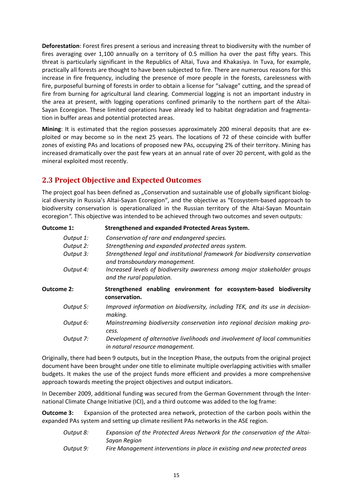**Deforestation**: Forest fires present a serious and increasing threat to biodiversity with the number of fires averaging over 1,100 annually on a territory of 0.5 million ha over the past fifty years. This threat is particularly significant in the Republics of Altai, Tuva and Khakasiya. In Tuva, for example, practically all forests are thought to have been subjected to fire. There are numerous reasons for this increase in fire frequency, including the presence of more people in the forests, carelessness with fire, purposeful burning of forests in order to obtain a license for "salvage" cutting, and the spread of fire from burning for agricultural land clearing. Commercial logging is not an important industry in the area at present, with logging operations confined primarily to the northern part of the Altai-Sayan Ecoregion. These limited operations have already led to habitat degradation and fragmenta‐ tion in buffer areas and potential protected areas.

**Mining**: It is estimated that the region possesses approximately 200 mineral deposits that are ex‐ ploited or may become so in the next 25 years. The locations of 72 of these coincide with buffer zones of existing PAs and locations of proposed new PAs, occupying 2% of their territory. Mining has increased dramatically over the past few years at an annual rate of over 20 percent, with gold as the mineral exploited most recently.

### **2.3 Project Objective and Expected Outcomes**

The project goal has been defined as "Conservation and sustainable use of globally significant biological diversity in Russia's Altai‐Sayan Ecoregion", and the objective as "Ecosystem‐based approach to biodiversity conservation is operationalized in the Russian territory of the Altai‐Sayan Mountain ecoregion*".* This objective was intended to be achieved through two outcomes and seven outputs:

| <b>Strengthened and expanded Protected Areas System.</b>                                                       |
|----------------------------------------------------------------------------------------------------------------|
| Conservation of rare and endangered species.                                                                   |
| Strengthening and expanded protected areas system.                                                             |
| Strengthened legal and institutional framework for biodiversity conservation<br>and transboundary management.  |
| Increased levels of biodiversity awareness among major stakeholder groups<br>and the rural population.         |
| Strengthened enabling environment for ecosystem-based biodiversity<br>conservation.                            |
| Improved information on biodiversity, including TEK, and its use in decision-<br>making.                       |
| Mainstreaming biodiversity conservation into regional decision making pro-<br>cess.                            |
| Development of alternative livelihoods and involvement of local communities<br>in natural resource management. |
|                                                                                                                |

Originally, there had been 9 outputs, but in the Inception Phase, the outputs from the original project document have been brought under one title to eliminate multiple overlapping activities with smaller budgets. It makes the use of the project funds more efficient and provides a more comprehensive approach towards meeting the project objectives and output indicators.

In December 2009, additional funding was secured from the German Government through the Inter‐ national Climate Change Initiative (ICI), and a third outcome was added to the log frame:

**Outcome 3:** Expansion of the protected area network, protection of the carbon pools within the expanded PAs system and setting up climate resilient PAs networks in the ASE region.

| Output 8: | Expansion of the Protected Areas Network for the conservation of the Altai- |
|-----------|-----------------------------------------------------------------------------|
|           | Savan Reaion                                                                |
| Output 9: | Fire Management interventions in place in existing and new protected areas  |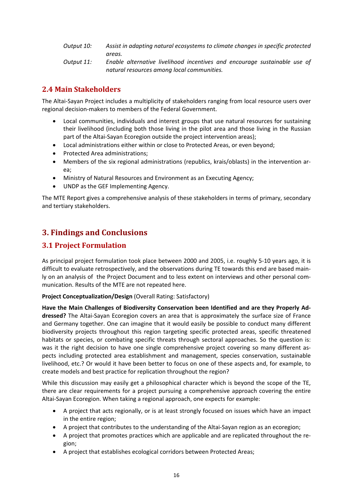*Output 10: Assist in adapting natural ecosystems to climate changes in specific protected areas.*

*Output 11: Enable alternative livelihood incentives and encourage sustainable use of natural resources among local communities.*

### **2.4 Main Stakeholders**

The Altai‐Sayan Project includes a multiplicity of stakeholders ranging from local resource users over regional decision‐makers to members of the Federal Government.

- Local communities, individuals and interest groups that use natural resources for sustaining their livelihood (including both those living in the pilot area and those living in the Russian part of the Altai-Sayan Ecoregion outside the project intervention areas);
- Local administrations either within or close to Protected Areas, or even beyond;
- Protected Area administrations;
- Members of the six regional administrations (republics, krais/oblasts) in the intervention area;
- Ministry of Natural Resources and Environment as an Executing Agency;
- UNDP as the GEF Implementing Agency.

The MTE Report gives a comprehensive analysis of these stakeholders in terms of primary, secondary and tertiary stakeholders.

# **3. Findings and Conclusions**

### **3.1 Project Formulation**

As principal project formulation took place between 2000 and 2005, i.e. roughly 5‐10 years ago, it is difficult to evaluate retrospectively, and the observations during TE towards this end are based main‐ ly on an analysis of the Project Document and to less extent on interviews and other personal com‐ munication. Results of the MTE are not repeated here.

### **Project Conceptualization/Design** (Overall Rating: Satisfactory)

**Have the Main Challenges of Biodiversity Conservation been Identified and are they Properly Ad‐ dressed?** The Altai‐Sayan Ecoregion covers an area that is approximately the surface size of France and Germany together. One can imagine that it would easily be possible to conduct many different biodiversity projects throughout this region targeting specific protected areas, specific threatened habitats or species, or combating specific threats through sectoral approaches. So the question is: was it the right decision to have one single comprehensive project covering so many different as‐ pects including protected area establishment and management, species conservation, sustainable livelihood, etc.? Or would it have been better to focus on one of these aspects and, for example, to create models and best practice for replication throughout the region?

While this discussion may easily get a philosophical character which is beyond the scope of the TE, there are clear requirements for a project pursuing a comprehensive approach covering the entire Altai‐Sayan Ecoregion. When taking a regional approach, one expects for example:

- A project that acts regionally, or is at least strongly focused on issues which have an impact in the entire region;
- A project that contributes to the understanding of the Altai‐Sayan region as an ecoregion;
- A project that promotes practices which are applicable and are replicated throughout the re‐ gion;
- A project that establishes ecological corridors between Protected Areas;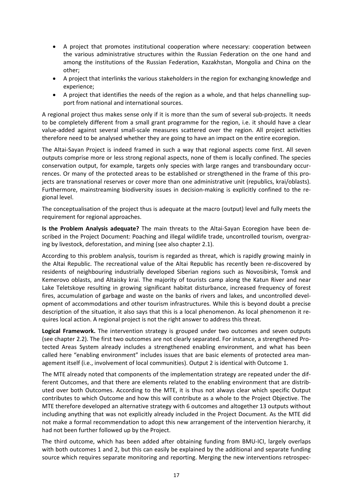- A project that promotes institutional cooperation where necessary: cooperation between the various administrative structures within the Russian Federation on the one hand and among the institutions of the Russian Federation, Kazakhstan, Mongolia and China on the other;
- A project that interlinks the various stakeholders in the region for exchanging knowledge and experience;
- A project that identifies the needs of the region as a whole, and that helps channelling sup‐ port from national and international sources.

A regional project thus makes sense only if it is more than the sum of several sub‐projects. It needs to be completely different from a small grant programme for the region, i.e. it should have a clear value-added against several small-scale measures scattered over the region. All project activities therefore need to be analysed whether they are going to have an impact on the entire ecoregion.

The Altai‐Sayan Project is indeed framed in such a way that regional aspects come first. All seven outputs comprise more or less strong regional aspects, none of them is locally confined. The species conservation output, for example, targets only species with large ranges and transboundary occur‐ rences. Or many of the protected areas to be established or strengthened in the frame of this projects are transnational reserves or cover more than one administrative unit (republics, krai/oblasts). Furthermore, mainstreaming biodiversity issues in decision-making is explicitly confined to the regional level.

The conceptualisation of the project thus is adequate at the macro (output) level and fully meets the requirement for regional approaches.

**Is the Problem Analysis adequate?** The main threats to the Altai‐Sayan Ecoregion have been de‐ scribed in the Project Document: Poaching and illegal wildlife trade, uncontrolled tourism, overgrazing by livestock, deforestation, and mining (see also chapter 2.1).

According to this problem analysis, tourism is regarded as threat, which is rapidly growing mainly in the Altai Republic. The recreational value of the Altai Republic has recently been re‐discovered by residents of neighbouring industrially developed Siberian regions such as Novosibirsk, Tomsk and Kemerovo oblasts, and Altaisky krai. The majority of tourists camp along the Katun River and near Lake Teletskoye resulting in growing significant habitat disturbance, increased frequency of forest fires, accumulation of garbage and waste on the banks of rivers and lakes, and uncontrolled development of accommodations and other tourism infrastructures. While this is beyond doubt a precise description of the situation, it also says that this is a local phenomenon. As local phenomenon it re‐ quires local action. A regional project is not the right answer to address this threat.

**Logical Framework.** The intervention strategy is grouped under two outcomes and seven outputs (see chapter 2.2). The first two outcomes are not clearly separated. For instance, a strengthened Pro‐ tected Areas System already includes a strengthened enabling environment, and what has been called here "enabling environment" includes issues that are basic elements of protected area man‐ agement itself (i.e., involvement of local communities). Output 2 is identical with Outcome 1.

The MTE already noted that components of the implementation strategy are repeated under the dif‐ ferent Outcomes, and that there are elements related to the enabling environment that are distributed over both Outcomes. According to the MTE, it is thus not always clear which specific Output contributes to which Outcome and how this will contribute as a whole to the Project Objective. The MTE therefore developed an alternative strategy with 6 outcomes and altogether 13 outputs without including anything that was not explicitly already included in the Project Document. As the MTE did not make a formal recommendation to adopt this new arrangement of the intervention hierarchy, it had not been further followed up by the Project.

The third outcome, which has been added after obtaining funding from BMU‐ICI, largely overlaps with both outcomes 1 and 2, but this can easily be explained by the additional and separate funding source which requires separate monitoring and reporting. Merging the new interventions retrospec‐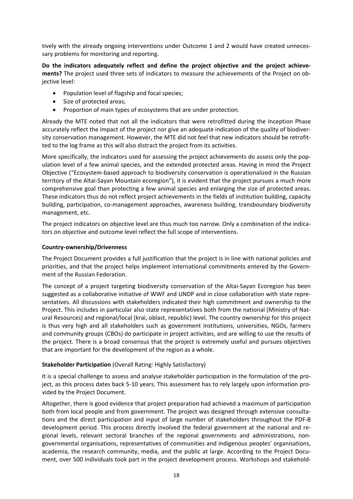tively with the already ongoing interventions under Outcome 1 and 2 would have created unneces‐ sary problems for monitoring and reporting.

**Do the indicators adequately reflect and define the project objective and the project achieve‐ ments?** The project used three sets of indicators to measure the achievements of the Project on ob‐ jective level:

- Population level of flagship and focal species;
- Size of protected areas;
- Proportion of main types of ecosystems that are under protection.

Already the MTE noted that not all the indicators that were retrofitted during the Inception Phase accurately reflect the impact of the project nor give an adequate indication of the quality of biodiver‐ sity conservation management. However, the MTE did not feel that new indicators should be retrofitted to the log frame as this will also distract the project from its activities.

More specifically, the indicators used for assessing the project achievements do assess only the population level of a few animal species, and the extended protected areas. Having in mind the Project Objective ("Ecosystem‐based approach to biodiversity conservation is operationalized in the Russian territory of the Altai‐Sayan Mountain ecoregion"), it is evident that the project pursues a much more comprehensive goal than protecting a few animal species and enlarging the size of protected areas. These indicators thus do not reflect project achievements in the fields of institution building, capacity building, participation, co‐management approaches, awareness building, transboundary biodiversity management, etc.

The project indicators on objective level are thus much too narrow. Only a combination of the indicators on objective and outcome level reflect the full scope of interventions.

#### **Country‐ownership/Drivenness**

The Project Document provides a full justification that the project is in line with national policies and priorities, and that the project helps implement international commitments entered by the Govern‐ ment of the Russian Federation.

The concept of a project targeting biodiversity conservation of the Altai‐Sayan Ecoregion has been suggested as a collaborative initiative of WWF and UNDP and in close collaboration with state repre‐ sentatives. All discussions with stakeholders indicated their high commitment and ownership to the Project. This includes in particular also state representatives both from the national (Ministry of Nat‐ ural Resources) and regional/local (krai, oblast, republic) level. The country ownership for this project is thus very high and all stakeholders such as government institutions, universities, NGOs, farmers and community groups (CBOs) do participate in project activities, and are willing to use the results of the project. There is a broad consensus that the project is extremely useful and pursues objectives that are important for the development of the region as a whole.

### **Stakeholder Participation** (Overall Rating: Highly Satisfactory)

It is a special challenge to assess and analyse stakeholder participation in the formulation of the pro‐ ject, as this process dates back 5‐10 years. This assessment has to rely largely upon information pro‐ vided by the Project Document.

Altogether, there is good evidence that project preparation had achieved a maximum of participation both from local people and from government. The project was designed through extensive consultations and the direct participation and input of large number of stakeholders throughout the PDF‐B development period. This process directly involved the federal government at the national and re‐ gional levels, relevant sectoral branches of the regional governments and administrations, nongovernmental organisations, representatives of communities and indigenous peoples' organisations, academia, the research community, media, and the public at large. According to the Project Document, over 500 individuals took part in the project development process. Workshops and stakehold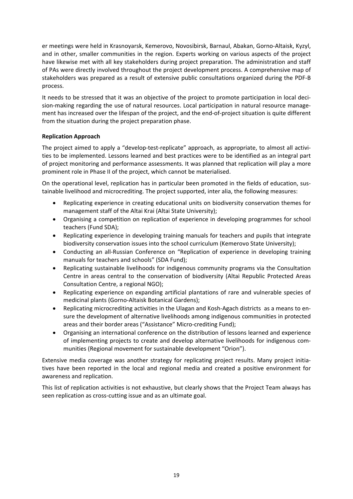er meetings were held in Krasnoyarsk, Kemerovo, Novosibirsk, Barnaul, Abakan, Gorno‐Altaisk, Kyzyl, and in other, smaller communities in the region. Experts working on various aspects of the project have likewise met with all key stakeholders during project preparation. The administration and staff of PAs were directly involved throughout the project development process. A comprehensive map of stakeholders was prepared as a result of extensive public consultations organized during the PDF‐B process.

It needs to be stressed that it was an objective of the project to promote participation in local deci‐ sion-making regarding the use of natural resources. Local participation in natural resource management has increased over the lifespan of the project, and the end‐of‐project situation is quite different from the situation during the project preparation phase.

### **Replication Approach**

The project aimed to apply a "develop-test-replicate" approach, as appropriate, to almost all activities to be implemented. Lessons learned and best practices were to be identified as an integral part of project monitoring and performance assessments. It was planned that replication will play a more prominent role in Phase II of the project, which cannot be materialised.

On the operational level, replication has in particular been promoted in the fields of education, sus‐ tainable livelihood and microcrediting. The project supported, inter alia, the following measures:

- Replicating experience in creating educational units on biodiversity conservation themes for management staff of the Altai Krai (Altai State University);
- Organising a competition on replication of experience in developing programmes for school teachers (Fund SDA);
- Replicating experience in developing training manuals for teachers and pupils that integrate biodiversity conservation issues into the school curriculum (Kemerovo State University);
- Conducting an all‐Russian Conference on "Replication of experience in developing training manuals for teachers and schools" (SDA Fund);
- Replicating sustainable livelihoods for indigenous community programs via the Consultation Centre in areas central to the conservation of biodiversity (Altai Republic Protected Areas Consultation Centre, a regional NGO);
- Replicating experience on expanding artificial plantations of rare and vulnerable species of medicinal plants (Gorno‐Altaisk Botanical Gardens);
- Replicating microcrediting activities in the Ulagan and Kosh-Agach districts as a means to ensure the development of alternative livelihoods among indigenous communities in protected areas and their border areas ("Assistance" Micro‐crediting Fund);
- Organising an international conference on the distribution of lessons learned and experience of implementing projects to create and develop alternative livelihoods for indigenous com‐ munities (Regional movement for sustainable development "Orion").

Extensive media coverage was another strategy for replicating project results. Many project initiatives have been reported in the local and regional media and created a positive environment for awareness and replication.

This list of replication activities is not exhaustive, but clearly shows that the Project Team always has seen replication as cross-cutting issue and as an ultimate goal.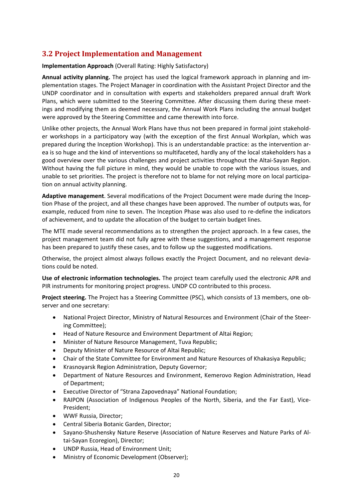### **3.2 Project Implementation and Management**

**Implementation Approach** (Overall Rating: Highly Satisfactory)

**Annual activity planning.** The project has used the logical framework approach in planning and im‐ plementation stages. The Project Manager in coordination with the Assistant Project Director and the UNDP coordinator and in consultation with experts and stakeholders prepared annual draft Work Plans, which were submitted to the Steering Committee. After discussing them during these meet‐ ings and modifying them as deemed necessary, the Annual Work Plans including the annual budget were approved by the Steering Committee and came therewith into force.

Unlike other projects, the Annual Work Plans have thus not been prepared in formal joint stakehold‐ er workshops in a participatory way (with the exception of the first Annual Workplan, which was prepared during the Inception Workshop). This is an understandable practice: as the intervention ar‐ ea is so huge and the kind of interventions so multifaceted, hardly any of the local stakeholders has a good overview over the various challenges and project activities throughout the Altai‐Sayan Region. Without having the full picture in mind, they would be unable to cope with the various issues, and unable to set priorities. The project is therefore not to blame for not relying more on local participa‐ tion on annual activity planning.

**Adaptive management**. Several modifications of the Project Document were made during the Incep‐ tion Phase of the project, and all these changes have been approved. The number of outputs was, for example, reduced from nine to seven. The Inception Phase was also used to re‐define the indicators of achievement, and to update the allocation of the budget to certain budget lines.

The MTE made several recommendations as to strengthen the project approach. In a few cases, the project management team did not fully agree with these suggestions, and a management response has been prepared to justify these cases, and to follow up the suggested modifications.

Otherwise, the project almost always follows exactly the Project Document, and no relevant devia‐ tions could be noted.

**Use of electronic information technologies.** The project team carefully used the electronic APR and PIR instruments for monitoring project progress. UNDP CO contributed to this process.

**Project steering.** The Project has a Steering Committee (PSC), which consists of 13 members, one ob‐ server and one secretary:

- National Project Director, Ministry of Natural Resources and Environment (Chair of the Steer‐ ing Committee);
- Head of Nature Resource and Environment Department of Altai Region;
- Minister of Nature Resource Management, Tuva Republic;
- Deputy Minister of Nature Resource of Altai Republic;
- Chair of the State Committee for Environment and Nature Resources of Khakasiya Republic;
- Krasnoyarsk Region Administration, Deputy Governor;
- Department of Nature Resources and Environment, Kemerovo Region Administration, Head of Department;
- Executive Director of "Strana Zapovednaya" National Foundation;
- RAIPON (Association of Indigenous Peoples of the North, Siberia, and the Far East), Vice-President;
- WWF Russia, Director;
- Central Siberia Botanic Garden, Director;
- Sayano‐Shushensky Nature Reserve (Association of Nature Reserves and Nature Parks of Al‐ tai‐Sayan Ecoregion), Director;
- UNDP Russia, Head of Environment Unit;
- Ministry of Economic Development (Observer);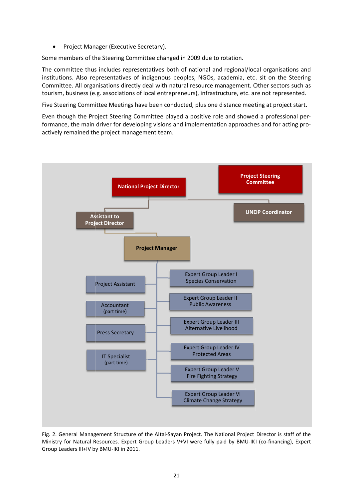• Project Manager (Executive Secretary).

Some members of the Steering Committee changed in 2009 due to rotation.

The committee thus includes representatives both of national and regional/local organisations and institutions. Also representatives of indigenous peoples, NGOs, academia, etc. sit on the Steering Committee. All organisations directly deal with natural resource management. Other sectors such as tourism, business (e.g. associations of local entrepreneurs), infrastructure, etc. are not represented.

Five Steering Committee Meetings have been conducted, plus one distance meeting at project start.

Even though the Project Steering Committee played a positive role and showed a professional performance, the main driver for developing visions and implementation approaches and for acting proactively remained the project management team.



Fig. 2. General Management Structure of the Altai-Sayan Project. The National Project Director is staff of the Ministry for Natural Resources. Expert Group Leaders V+VI were fully paid by BMU-IKI (co-financing), Expert Group Leaders III+IV by BMU-IKI in 2011.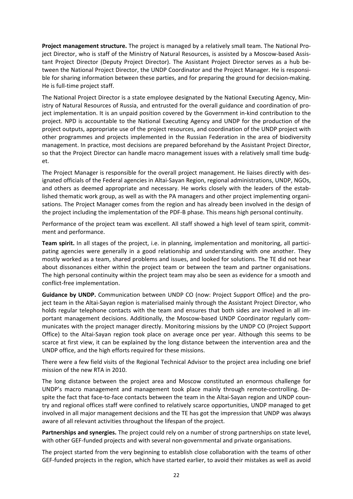**Project management structure.** The project is managed by a relatively small team. The National Pro‐ ject Director, who is staff of the Ministry of Natural Resources, is assisted by a Moscow-based Assistant Project Director (Deputy Project Director). The Assistant Project Director serves as a hub be‐ tween the National Project Director, the UNDP Coordinator and the Project Manager. He is responsible for sharing information between these parties, and for preparing the ground for decision-making. He is full-time project staff.

The National Project Director is a state employee designated by the National Executing Agency, Min‐ istry of Natural Resources of Russia, and entrusted for the overall guidance and coordination of pro‐ ject implementation. It is an unpaid position covered by the Government in-kind contribution to the project. NPD is accountable to the National Executing Agency and UNDP for the production of the project outputs, appropriate use of the project resources, and coordination of the UNDP project with other programmes and projects implemented in the Russian Federation in the area of biodiversity management. In practice, most decisions are prepared beforehand by the Assistant Project Director, so that the Project Director can handle macro management issues with a relatively small time budg‐ et.

The Project Manager is responsible for the overall project management. He liaises directly with des‐ ignated officials of the Federal agencies in Altai‐Sayan Region, regional administrations, UNDP, NGOs, and others as deemed appropriate and necessary. He works closely with the leaders of the established thematic work group, as well as with the PA managers and other project implementing organi‐ sations. The Project Manager comes from the region and has already been involved in the design of the project including the implementation of the PDF‐B phase. This means high personal continuity.

Performance of the project team was excellent. All staff showed a high level of team spirit, commitment and performance.

**Team spirit.** In all stages of the project, i.e. in planning, implementation and monitoring, all partici‐ pating agencies were generally in a good relationship and understanding with one another. They mostly worked as a team, shared problems and issues, and looked for solutions. The TE did not hear about dissonances either within the project team or between the team and partner organisations. The high personal continuity within the project team may also be seen as evidence for a smooth and conflict‐free implementation.

**Guidance by UNDP.** Communication between UNDP CO (now: Project Support Office) and the pro‐ ject team in the Altai‐Sayan region is materialised mainly through the Assistant Project Director, who holds regular telephone contacts with the team and ensures that both sides are involved in all important management decisions. Additionally, the Moscow‐based UNDP Coordinator regularly com‐ municates with the project manager directly. Monitoring missions by the UNDP CO (Project Support Office) to the Altai‐Sayan region took place on average once per year. Although this seems to be scarce at first view, it can be explained by the long distance between the intervention area and the UNDP office, and the high efforts required for these missions.

There were a few field visits of the Regional Technical Advisor to the project area including one brief mission of the new RTA in 2010.

The long distance between the project area and Moscow constituted an enormous challenge for UNDP's macro management and management took place mainly through remote‐controlling. De‐ spite the fact that face-to-face contacts between the team in the Altai-Sayan region and UNDP country and regional offices staff were confined to relatively scarce opportunities, UNDP managed to get involved in all major management decisions and the TE has got the impression that UNDP was always aware of all relevant activities throughout the lifespan of the project.

**Partnerships and synergies.** The project could rely on a number of strong partnerships on state level, with other GEF-funded projects and with several non-governmental and private organisations.

The project started from the very beginning to establish close collaboration with the teams of other GEF‐funded projects in the region, which have started earlier, to avoid their mistakes as well as avoid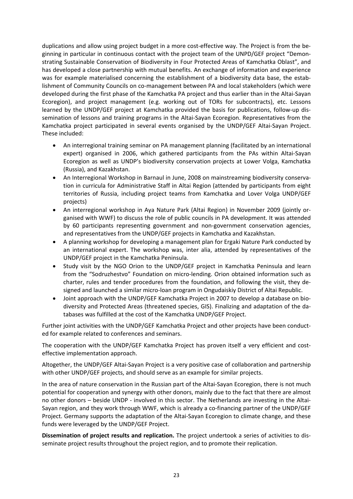duplications and allow using project budget in a more cost-effective way. The Project is from the beginning in particular in continuous contact with the project team of the UNPD/GEF project "Demon‐ strating Sustainable Conservation of Biodiversity in Four Protected Areas of Kamchatka Oblast", and has developed a close partnership with mutual benefits. An exchange of information and experience was for example materialised concerning the establishment of a biodiversity data base, the establishment of Community Councils on co-management between PA and local stakeholders (which were developed during the first phase of the Kamchatka PA project and thus earlier than in the Altai‐Sayan Ecoregion), and project management (e.g. working out of TORs for subcontracts), etc. Lessons learned by the UNDP/GEF project at Kamchatka provided the basis for publications, follow‐up dis‐ semination of lessons and training programs in the Altai‐Sayan Ecoregion. Representatives from the Kamchatka project participated in several events organised by the UNDP/GEF Altai‐Sayan Project. These included:

- An interregional training seminar on PA management planning (facilitated by an international expert) organised in 2006, which gathered participants from the PAs within Altai-Sayan Ecoregion as well as UNDP's biodiversity conservation projects at Lower Volga, Kamchatka (Russia), and Kazakhstan.
- An Interregional Workshop in Barnaul in June, 2008 on mainstreaming biodiversity conservation in curricula for Administrative Staff in Altai Region (attended by participants from eight territories of Russia, including project teams from Kamchatka and Lover Volga UNDP/GEF projects)
- An interregional workshop in Aya Nature Park (Altai Region) in November 2009 (jointly or‐ ganised with WWF) to discuss the role of public councils in PA development. It was attended by 60 participants representing government and non‐government conservation agencies, and representatives from the UNDP/GEF projects in Kamchatka and Kazakhstan.
- A planning workshop for developing a management plan for Ergaki Nature Park conducted by an international expert. The workshop was, inter alia, attended by representatives of the UNDP/GEF project in the Kamchatka Peninsula.
- Study visit by the NGO Orion to the UNDP/GEF project in Kamchatka Peninsula and learn from the "Sodruzhestvo" Foundation on micro-lending. Orion obtained information such as charter, rules and tender procedures from the foundation, and following the visit, they de‐ signed and launched a similar micro-loan program in Ongudaiskiy District of Altai Republic.
- Joint approach with the UNDP/GEF Kamchatka Project in 2007 to develop a database on bio‐ diversity and Protected Areas (threatened species, GIS). Finalizing and adaptation of the da‐ tabases was fulfilled at the cost of the Kamchatka UNDP/GEF Project.

Further joint activities with the UNDP/GEF Kamchatka Project and other projects have been conducted for example related to conferences and seminars.

The cooperation with the UNDP/GEF Kamchatka Project has proven itself a very efficient and costeffective implementation approach.

Altogether, the UNDP/GEF Altai‐Sayan Project is a very positive case of collaboration and partnership with other UNDP/GEF projects, and should serve as an example for similar projects.

In the area of nature conservation in the Russian part of the Altai‐Sayan Ecoregion, there is not much potential for cooperation and synergy with other donors, mainly due to the fact that there are almost no other donors – beside UNDP - involved in this sector. The Netherlands are investing in the Altai-Sayan region, and they work through WWF, which is already a co-financing partner of the UNDP/GEF Project. Germany supports the adaptation of the Altai‐Sayan Ecoregion to climate change, and these funds were leveraged by the UNDP/GEF Project.

**Dissemination of project results and replication.** The project undertook a series of activities to dis‐ seminate project results throughout the project region, and to promote their replication.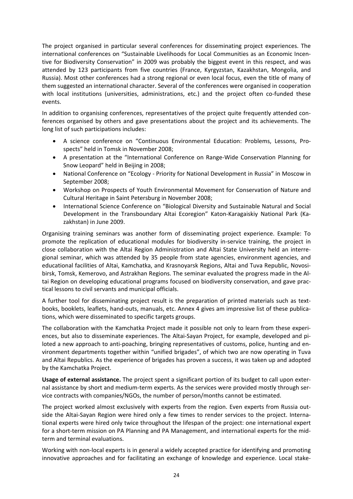The project organised in particular several conferences for disseminating project experiences. The international conferences on "Sustainable Livelihoods for Local Communities as an Economic Incen‐ tive for Biodiversity Conservation" in 2009 was probably the biggest event in this respect, and was attended by 123 participants from five countries (France, Kyrgyzstan, Kazakhstan, Mongolia, and Russia). Most other conferences had a strong regional or even local focus, even the title of many of them suggested an international character. Several of the conferences were organised in cooperation with local institutions (universities, administrations, etc.) and the project often co-funded these events.

In addition to organising conferences, representatives of the project quite frequently attended conferences organised by others and gave presentations about the project and its achievements. The long list of such participations includes:

- A science conference on "Continuous Environmental Education: Problems, Lessons, Pro‐ spects" held in Tomsk in November 2008;
- A presentation at the "International Conference on Range‐Wide Conservation Planning for Snow Leopard" held in Beijing in 2008;
- National Conference on "Ecology ‐ Priority for National Development in Russia" in Moscow in September 2008;
- Workshop on Prospects of Youth Environmental Movement for Conservation of Nature and Cultural Heritage in Saint Petersburg in November 2008;
- International Science Conference on "Biological Diversity and Sustainable Natural and Social Development in the Transboundary Altai Ecoregion" Katon-Karagaiskiy National Park (Kazakhstan) in June 2009.

Organising training seminars was another form of disseminating project experience. Example: To promote the replication of educational modules for biodiversity in‐service training, the project in close collaboration with the Altai Region Administration and Altai State University held an interre‐ gional seminar, which was attended by 35 people from state agencies, environment agencies, and educational facilities of Altai, Kamchatka, and Krasnoyarsk Regions, Altai and Tuva Republic, Novosibirsk, Tomsk, Kemerovo, and Astrakhan Regions. The seminar evaluated the progress made in the Al‐ tai Region on developing educational programs focused on biodiversity conservation, and gave prac‐ tical lessons to civil servants and municipal officials.

A further tool for disseminating project result is the preparation of printed materials such as text‐ books, booklets, leaflets, hand‐outs, manuals, etc. Annex 4 gives am impressive list of these publica‐ tions, which were disseminated to specific targets groups.

The collaboration with the Kamchatka Project made it possible not only to learn from these experi‐ ences, but also to disseminate experiences. The Altai-Sayan Project, for example, developed and piloted a new approach to anti-poaching, bringing representatives of customs, police, hunting and environment departments together within "unified brigades", of which two are now operating in Tuva and Altai Republics. As the experience of brigades has proven a success, it was taken up and adopted by the Kamchatka Project.

**Usage of external assistance.** The project spent a significant portion of its budget to call upon exter‐ nal assistance by short and medium‐term experts. As the services were provided mostly through ser‐ vice contracts with companies/NGOs, the number of person/months cannot be estimated.

The project worked almost exclusively with experts from the region. Even experts from Russia out‐ side the Altai-Sayan Region were hired only a few times to render services to the project. International experts were hired only twice throughout the lifespan of the project: one international expert for a short-term mission on PA Planning and PA Management, and international experts for the midterm and terminal evaluations.

Working with non‐local experts is in general a widely accepted practice for identifying and promoting innovative approaches and for facilitating an exchange of knowledge and experience. Local stake‐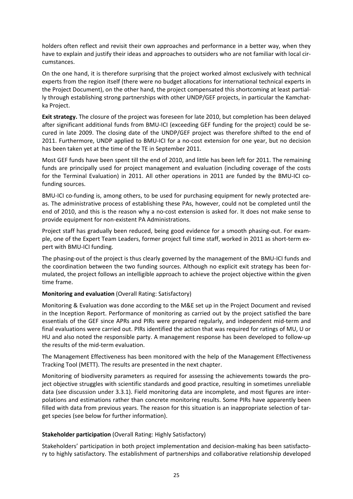holders often reflect and revisit their own approaches and performance in a better way, when they have to explain and justify their ideas and approaches to outsiders who are not familiar with local circumstances.

On the one hand, it is therefore surprising that the project worked almost exclusively with technical experts from the region itself (there were no budget allocations for international technical experts in the Project Document), on the other hand, the project compensated this shortcoming at least partial‐ ly through establishing strong partnerships with other UNDP/GEF projects, in particular the Kamchat‐ ka Project.

**Exit strategy.** The closure of the project was foreseen for late 2010, but completion has been delayed after significant additional funds from BMU-ICI (exceeding GEF funding for the project) could be secured in late 2009. The closing date of the UNDP/GEF project was therefore shifted to the end of 2011. Furthermore, UNDP applied to BMU‐ICI for a no‐cost extension for one year, but no decision has been taken yet at the time of the TE in September 2011.

Most GEF funds have been spent till the end of 2010, and little has been left for 2011. The remaining funds are principally used for project management and evaluation (including coverage of the costs for the Terminal Evaluation) in 2011. All other operations in 2011 are funded by the BMU-ICI cofunding sources.

BMU-ICI co-funding is, among others, to be used for purchasing equipment for newly protected areas. The administrative process of establishing these PAs, however, could not be completed until the end of 2010, and this is the reason why a no-cost extension is asked for. It does not make sense to provide equipment for non‐existent PA Administrations.

Project staff has gradually been reduced, being good evidence for a smooth phasing‐out. For exam‐ ple, one of the Expert Team Leaders, former project full time staff, worked in 2011 as short‐term ex‐ pert with BMU‐ICI funding.

The phasing-out of the project is thus clearly governed by the management of the BMU-ICI funds and the coordination between the two funding sources. Although no explicit exit strategy has been for‐ mulated, the project follows an intelligible approach to achieve the project objective within the given time frame.

### **Monitoring and evaluation** (Overall Rating: Satisfactory)

Monitoring & Evaluation was done according to the M&E set up in the Project Document and revised in the Inception Report. Performance of monitoring as carried out by the project satisfied the bare essentials of the GEF since APRs and PIRs were prepared regularly, and independent mid‐term and final evaluations were carried out. PIRs identified the action that was required for ratings of MU, U or HU and also noted the responsible party. A management response has been developed to follow‐up the results of the mid-term evaluation.

The Management Effectiveness has been monitored with the help of the Management Effectiveness Tracking Tool (METT). The results are presented in the next chapter.

Monitoring of biodiversity parameters as required for assessing the achievements towards the pro‐ ject objective struggles with scientific standards and good practice, resulting in sometimes unreliable data (see discussion under 3.3.1). Field monitoring data are incomplete, and most figures are inter‐ polations and estimations rather than concrete monitoring results. Some PIRs have apparently been filled with data from previous years. The reason for this situation is an inappropriate selection of target species (see below for further information).

#### **Stakeholder participation** (Overall Rating: Highly Satisfactory)

Stakeholders' participation in both project implementation and decision‐making has been satisfacto‐ ry to highly satisfactory. The establishment of partnerships and collaborative relationship developed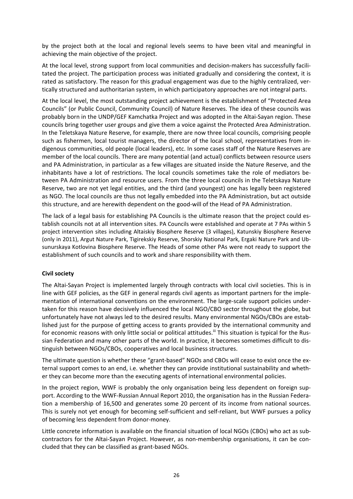by the project both at the local and regional levels seems to have been vital and meaningful in achieving the main objective of the project.

At the local level, strong support from local communities and decision‐makers has successfully facili‐ tated the project. The participation process was initiated gradually and considering the context, it is rated as satisfactory. The reason for this gradual engagement was due to the highly centralized, ver‐ tically structured and authoritarian system, in which participatory approaches are not integral parts.

At the local level, the most outstanding project achievement is the establishment of "Protected Area Councils" (or Public Council, Community Council) of Nature Reserves. The idea of these councils was probably born in the UNDP/GEF Kamchatka Project and was adopted in the Altai‐Sayan region. These councils bring together user groups and give them a voice against the Protected Area Administration. In the Teletskaya Nature Reserve, for example, there are now three local councils, comprising people such as fishermen, local tourist managers, the director of the local school, representatives from in‐ digenous communities, old people (local leaders), etc. In some cases staff of the Nature Reserves are member of the local councils. There are many potential (and actual) conflicts between resource users and PA Administration, in particular as a few villages are situated inside the Nature Reserve, and the inhabitants have a lot of restrictions. The local councils sometimes take the role of mediators be‐ tween PA Administration and resource users. From the three local councils in the Teletskaya Nature Reserve, two are not yet legal entities, and the third (and youngest) one has legally been registered as NGO. The local councils are thus not legally embedded into the PA Administration, but act outside this structure, and are herewith dependent on the good‐will of the Head of PA Administration.

The lack of a legal basis for establishing PA Councils is the ultimate reason that the project could es‐ tablish councils not at all intervention sites. PA Councils were established and operate at 7 PAs within 5 project intervention sites including Altaiskiy Biosphere Reserve (3 villages), Katunskiy Biosphere Reserve (only in 2011), Argut Nature Park, Tigirekskiy Reserve, Shorskiy National Park, Ergaki Nature Park and Ub‐ sunurskaya Kotlovina Biosphere Reserve. The Heads of some other PAs were not ready to support the establishment of such councils and to work and share responsibility with them.

### **Civil society**

The Altai-Sayan Project is implemented largely through contracts with local civil societies. This is in line with GEF policies, as the GEF in general regards civil agents as important partners for the imple‐ mentation of international conventions on the environment. The large-scale support policies undertaken for this reason have decisively influenced the local NGO/CBO sector throughout the globe, but unfortunately have not always led to the desired results. Many environmental NGOs/CBOs are estab‐ lished just for the purpose of getting access to grants provided by the international community and for economic reasons with only little social or political attitudes.<sup>iii</sup> This situation is typical for the Russian Federation and many other parts of the world. In practice, it becomes sometimes difficult to dis‐ tinguish between NGOs/CBOs, cooperatives and local business structures.

The ultimate question is whether these "grant-based" NGOs and CBOs will cease to exist once the external support comes to an end, i.e. whether they can provide institutional sustainability and wheth‐ er they can become more than the executing agents of international environmental policies.

In the project region, WWF is probably the only organisation being less dependent on foreign support. According to the WWF-Russian Annual Report 2010, the organisation has in the Russian Federation a membership of 16,500 and generates some 20 percent of its income from national sources. This is surely not yet enough for becoming self‐sufficient and self‐reliant, but WWF pursues a policy of becoming less dependent from donor‐money.

Little concrete information is available on the financial situation of local NGOs (CBOs) who act as sub‐ contractors for the Altai‐Sayan Project. However, as non‐membership organisations, it can be con‐ cluded that they can be classified as grant‐based NGOs.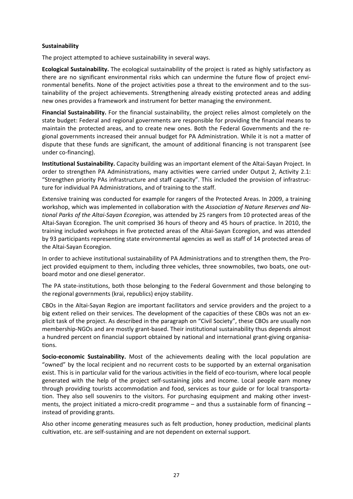### **Sustainability**

The project attempted to achieve sustainability in several ways.

**Ecological Sustainability.** The ecological sustainability of the project is rated as highly satisfactory as there are no significant environmental risks which can undermine the future flow of project environmental benefits. None of the project activities pose a threat to the environment and to the sus‐ tainability of the project achievements. Strengthening already existing protected areas and adding new ones provides a framework and instrument for better managing the environment.

**Financial Sustainability.** For the financial sustainability, the project relies almost completely on the state budget: Federal and regional governments are responsible for providing the financial means to maintain the protected areas, and to create new ones. Both the Federal Governments and the re‐ gional governments increased their annual budget for PA Administration. While it is not a matter of dispute that these funds are significant, the amount of additional financing is not transparent (see under co‐financing).

**Institutional Sustainability.** Capacity building was an important element of the Altai‐Sayan Project. In order to strengthen PA Administrations, many activities were carried under Output 2, Activity 2.1: "Strengthen priority PAs infrastructure and staff capacity". This included the provision of infrastruc‐ ture for individual PA Administrations, and of training to the staff.

Extensive training was conducted for example for rangers of the Protected Areas. In 2009, a training workshop, which was implemented in collaboration with the *Association of Nature Reserves and Na‐ tional Parks of the Altai‐Sayan Ecoregion*, was attended by 25 rangers from 10 protected areas of the Altai‐Sayan Ecoregion. The unit comprised 36 hours of theory and 45 hours of practice. In 2010, the training included workshops in five protected areas of the Altai‐Sayan Ecoregion, and was attended by 93 participants representing state environmental agencies as well as staff of 14 protected areas of the Altai‐Sayan Ecoregion.

In order to achieve institutional sustainability of PA Administrations and to strengthen them, the Project provided equipment to them, including three vehicles, three snowmobiles, two boats, one outboard motor and one diesel generator.

The PA state-institutions, both those belonging to the Federal Government and those belonging to the regional governments (krai, republics) enjoy stability.

CBOs in the Altai‐Sayan Region are important facilitators and service providers and the project to a big extent relied on their services. The development of the capacities of these CBOs was not an ex‐ plicit task of the project. As described in the paragraph on "Civil Society", these CBOs are usually non membership‐NGOs and are mostly grant‐based. Their institutional sustainability thus depends almost a hundred percent on financial support obtained by national and international grant‐giving organisa‐ tions.

**Socio‐economic Sustainability.** Most of the achievements dealing with the local population are "owned" by the local recipient and no recurrent costs to be supported by an external organisation exist. This is in particular valid for the various activities in the field of eco-tourism, where local people generated with the help of the project self‐sustaining jobs and income. Local people earn money through providing tourists accommodation and food, services as tour guide or for local transporta‐ tion. They also sell souvenirs to the visitors. For purchasing equipment and making other investments, the project initiated a micro-credit programme – and thus a sustainable form of financing – instead of providing grants.

Also other income generating measures such as felt production, honey production, medicinal plants cultivation, etc. are self‐sustaining and are not dependent on external support.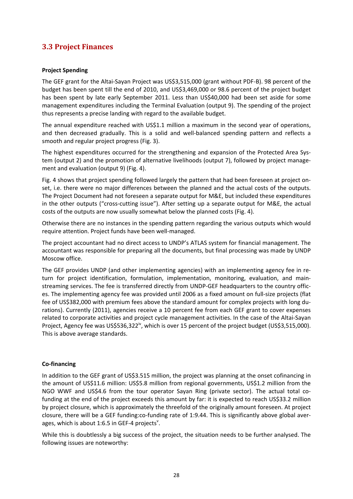### **3.3 Project Finances**

### **Project Spending**

The GEF grant for the Altai‐Sayan Project was US\$3,515,000 (grant without PDF‐B). 98 percent of the budget has been spent till the end of 2010, and US\$3,469,000 or 98.6 percent of the project budget has been spent by late early September 2011. Less than US\$40,000 had been set aside for some management expenditures including the Terminal Evaluation (output 9). The spending of the project thus represents a precise landing with regard to the available budget.

The annual expenditure reached with US\$1.1 million a maximum in the second year of operations, and then decreased gradually. This is a solid and well-balanced spending pattern and reflects a smooth and regular project progress (Fig. 3).

The highest expenditures occurred for the strengthening and expansion of the Protected Area System (output 2) and the promotion of alternative livelihoods (output 7), followed by project management and evaluation (output 9) (Fig. 4).

Fig. 4 shows that project spending followed largely the pattern that had been foreseen at project on‐ set, i.e. there were no major differences between the planned and the actual costs of the outputs. The Project Document had not foreseen a separate output for M&E, but included these expenditures in the other outputs ("cross-cutting issue"). After setting up a separate output for M&E, the actual costs of the outputs are now usually somewhat below the planned costs (Fig. 4).

Otherwise there are no instances in the spending pattern regarding the various outputs which would require attention. Project funds have been well‐managed.

The project accountant had no direct access to UNDP's ATLAS system for financial management. The accountant was responsible for preparing all the documents, but final processing was made by UNDP Moscow office.

The GEF provides UNDP (and other implementing agencies) with an implementing agency fee in re‐ turn for project identification, formulation, implementation, monitoring, evaluation, and mainstreaming services. The fee is transferred directly from UNDP‐GEF headquarters to the country offic‐ es. The implementing agency fee was provided until 2006 as a fixed amount on full‐size projects (flat fee of US\$382,000 with premium fees above the standard amount for complex projects with long du‐ rations). Currently (2011), agencies receive a 10 percent fee from each GEF grant to cover expenses related to corporate activities and project cycle management activities. In the case of the Altai‐Sayan Project, Agency fee was US\$536,322<sup>iv</sup>, which is over 15 percent of the project budget (US\$3,515,000). This is above average standards.

#### **Co‐financing**

In addition to the GEF grant of US\$3.515 million, the project was planning at the onset cofinancing in the amount of US\$11.6 million: US\$5.8 million from regional governments, US\$1.2 million from the NGO WWF and US\$4.6 from the tour operator Sayan Ring (private sector). The actual total co‐ funding at the end of the project exceeds this amount by far: it is expected to reach US\$33.2 million by project closure, which is approximately the threefold of the originally amount foreseen. At project closure, there will be a GEF funding:co-funding rate of 1:9.44. This is significantly above global averages, which is about 1:6.5 in GEF-4 projects<sup>v</sup>.

While this is doubtlessly a big success of the project, the situation needs to be further analysed. The following issues are noteworthy: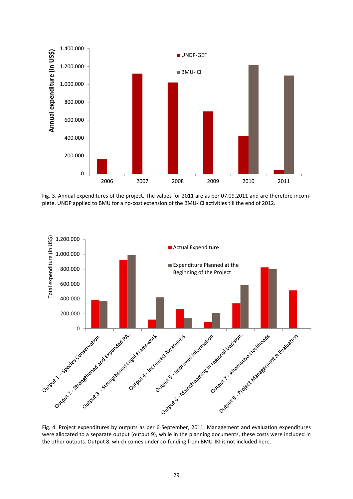

Fig. 3. Annual expenditures of the project. The values for 2011 are as per 07.09.2011 and are therefore incomplete. UNDP applied to BMU for a no-cost extension of the BMU-ICI activities till the end of 2012.



were allocated to a separate output (output 9), while in the planning documents, these costs were included in the other outputs. Output 8, which comes under co-funding from BMU-IKI is not included here.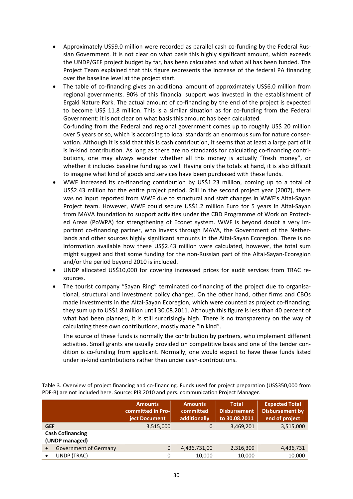- Approximately US\$9.0 million were recorded as parallel cash co‐funding by the Federal Rus‐ sian Government. It is not clear on what basis this highly significant amount, which exceeds the UNDP/GEF project budget by far, has been calculated and what all has been funded. The Project Team explained that this figure represents the increase of the federal PA financing over the baseline level at the project start.
- The table of co-financing gives an additional amount of approximately US\$6.0 million from regional governments. 90% of this financial support was invested in the establishment of Ergaki Nature Park. The actual amount of co-financing by the end of the project is expected to become US\$ 11.8 million. This is a similar situation as for co-funding from the Federal Government: it is not clear on what basis this amount has been calculated. Co-funding from the Federal and regional government comes up to roughly US\$ 20 million

over 5 years or so, which is according to local standards an enormous sum for nature conser‐ vation. Although it is said that this is cash contribution, it seems that at least a large part of it is in-kind contribution. As long as there are no standards for calculating co-financing contributions, one may always wonder whether all this money is actually "fresh money", or whether it includes baseline funding as well. Having only the totals at hand, it is also difficult to imagine what kind of goods and services have been purchased with these funds.

- WWF increased its co‐financing contribution by US\$1.23 million, coming up to a total of US\$2.43 million for the entire project period. Still in the second project year (2007), there was no input reported from WWF due to structural and staff changes in WWF's Altai‐Sayan Project team. However, WWF could secure US\$1.2 million Euro for 5 years in Altai‐Sayan from MAVA foundation to support activities under the CBD Programme of Work on Protected Areas (PoWPA) for strengthening of Econet system. WWF is beyond doubt a very im‐ portant co-financing partner, who invests through MAVA, the Government of the Netherlands and other sources highly significant amounts in the Altai‐Sayan Ecoregion. There is no information available how these US\$2.43 million were calculated, however, the total sum might suggest and that some funding for the non-Russian part of the Altai-Sayan-Ecoregion and/or the period beyond 2010 is included.
- UNDP allocated US\$10,000 for covering increased prices for audit services from TRAC resources.
- The tourist company "Sayan Ring" terminated co-financing of the project due to organisational, structural and investment policy changes. On the other hand, other firms and CBOs made investments in the Altai‐Sayan Ecoregion, which were counted as project co‐financing; they sum up to US\$1.8 million until 30.08.2011. Although this figure is less than 40 percent of what had been planned, it is still surprisingly high. There is no transparency on the way of calculating these own contributions, mostly made "in kind".

The source of these funds is normally the contribution by partners, who implement different activities. Small grants are usually provided on competitive basis and one of the tender con‐ dition is co-funding from applicant. Normally, one would expect to have these funds listed under in‐kind contributions rather than under cash‐contributions.

|                                           |                              | <b>Amounts</b><br>committed in Pro-<br>ject Document | <b>Amounts</b><br>committed<br>additionally | <b>Total</b><br><b>Disbursement</b><br>to 30.08.2011 | <b>Expected Total</b><br><b>Disbursement by</b><br>end of project |
|-------------------------------------------|------------------------------|------------------------------------------------------|---------------------------------------------|------------------------------------------------------|-------------------------------------------------------------------|
| <b>GEF</b>                                |                              | 3,515,000                                            | 0                                           | 3,469,201                                            | 3,515,000                                                         |
| <b>Cash Cofinancing</b><br>(UNDP managed) |                              |                                                      |                                             |                                                      |                                                                   |
| $\bullet$                                 | <b>Government of Germany</b> | 0                                                    | 4,436,731,00                                | 2,316,309                                            | 4,436,731                                                         |
| $\bullet$                                 | UNDP (TRAC)                  | 0                                                    | 10,000                                      | 10,000                                               | 10,000                                                            |

Table 3. Overview of project financing and co-financing. Funds used for project preparation (US\$350,000 from PDF‐B) are not included here. Source: PIR 2010 and pers. communication Project Manager.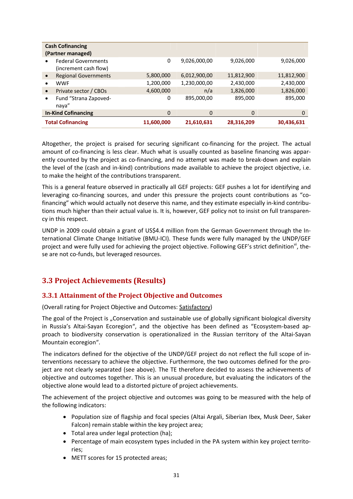|                            | <b>Cash Cofinancing</b><br>(Partner managed)        |            |              |            |            |
|----------------------------|-----------------------------------------------------|------------|--------------|------------|------------|
|                            | <b>Federal Governments</b><br>(increment cash flow) | 0          | 9,026,000,00 | 9,026,000  | 9,026,000  |
|                            | <b>Regional Governments</b>                         | 5,800,000  | 6,012,900,00 | 11,812,900 | 11,812,900 |
|                            | <b>WWF</b>                                          | 1,200,000  | 1,230,000,00 | 2,430,000  | 2,430,000  |
| $\bullet$                  | Private sector / CBOs                               | 4,600,000  | n/a          | 1,826,000  | 1,826,000  |
| $\bullet$                  | Fund "Strana Zapoved-<br>naya"                      | 0          | 895,000,00   | 895,000    | 895,000    |
| <b>In-Kind Cofinancing</b> |                                                     | 0          | 0            | 0          | 0          |
| <b>Total Cofinancing</b>   |                                                     | 11,600,000 | 21,610,631   | 28,316,209 | 30,436,631 |

Altogether, the project is praised for securing significant co-financing for the project. The actual amount of co-financing is less clear. Much what is usually counted as baseline financing was apparently counted by the project as co-financing, and no attempt was made to break-down and explain the level of the (cash and in‐kind) contributions made available to achieve the project objective, i.e. to make the height of the contributions transparent.

This is a general feature observed in practically all GEF projects: GEF pushes a lot for identifying and leveraging co-financing sources, and under this pressure the projects count contributions as "cofinancing" which would actually not deserve this name, and they estimate especially in‐kind contribu‐ tions much higher than their actual value is. It is, however, GEF policy not to insist on full transparen‐ cy in this respect.

UNDP in 2009 could obtain a grant of US\$4.4 million from the German Government through the In‐ ternational Climate Change Initiative (BMU‐ICI). These funds were fully managed by the UNDP/GEF project and were fully used for achieving the project objective. Following GEF's strict definition<sup>vi</sup>, these are not co-funds, but leveraged resources.

## **3.3 Project Achievements (Results)**

### **3.3.1 Attainment of the Project Objective and Outcomes**

(Overall rating for Project Objective and Outcomes: Satisfactory)

The goal of the Project is "Conservation and sustainable use of globally significant biological diversity in Russia's Altai-Sayan Ecoregion", and the objective has been defined as "Ecosystem-based approach to biodiversity conservation is operationalized in the Russian territory of the Altai‐Sayan Mountain ecoregion".

The indicators defined for the objective of the UNDP/GEF project do not reflect the full scope of in‐ terventions necessary to achieve the objective. Furthermore, the two outcomes defined for the pro‐ ject are not clearly separated (see above). The TE therefore decided to assess the achievements of objective and outcomes together. This is an unusual procedure, but evaluating the indicators of the objective alone would lead to a distorted picture of project achievements.

The achievement of the project objective and outcomes was going to be measured with the help of the following indicators:

- Population size of flagship and focal species (Altai Argali, Siberian Ibex, Musk Deer, Saker Falcon) remain stable within the key project area;
- Total area under legal protection (ha);
- Percentage of main ecosystem types included in the PA system within key project territories;
- METT scores for 15 protected areas;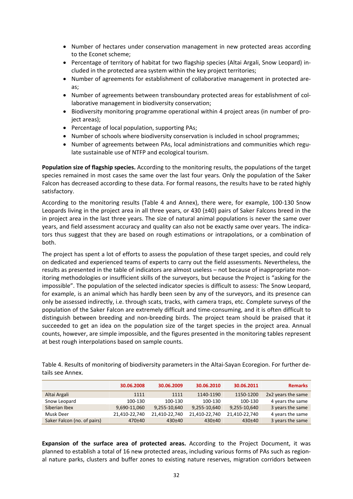- Number of hectares under conservation management in new protected areas according to the Econet scheme;
- Percentage of territory of habitat for two flagship species (Altai Argali, Snow Leopard) included in the protected area system within the key project territories;
- Number of agreements for establishment of collaborative management in protected areas;
- Number of agreements between transboundary protected areas for establishment of col‐ laborative management in biodiversity conservation;
- Biodiversity monitoring programme operational within 4 project areas (in number of project areas);
- Percentage of local population, supporting PAs;
- Number of schools where biodiversity conservation is included in school programmes;
- Number of agreements between PAs, local administrations and communities which regu‐ late sustainable use of NTFP and ecological tourism.

**Population size of flagship species.** According to the monitoring results, the populations of the target species remained in most cases the same over the last four years. Only the population of the Saker Falcon has decreased according to these data. For formal reasons, the results have to be rated highly satisfactory.

According to the monitoring results (Table 4 and Annex), there were, for example, 100‐130 Snow Leopards living in the project area in all three years, or 430 (±40) pairs of Saker Falcons breed in the in project area in the last three years. The size of natural animal populations is never the same over years, and field assessment accuracy and quality can also not be exactly same over years. The indica‐ tors thus suggest that they are based on rough estimations or intrapolations, or a combination of both.

The project has spent a lot of efforts to assess the population of these target species, and could rely on dedicated and experienced teams of experts to carry out the field assessments. Nevertheless, the results as presented in the table of indicators are almost useless – not because of inappropriate mon‐ itoring methodologies or insufficient skills of the surveyors, but because the Project is "asking for the impossible". The population of the selected indicator species is difficult to assess: The Snow Leopard, for example, is an animal which has hardly been seen by any of the surveyors, and its presence can only be assessed indirectly, i.e. through scats, tracks, with camera traps, etc. Complete surveys of the population of the Saker Falcon are extremely difficult and time‐consuming, and it is often difficult to distinguish between breeding and non‐breeding birds. The project team should be praised that it succeeded to get an idea on the population size of the target species in the project area. Annual counts, however, are simple impossible, and the figures presented in the monitoring tables represent at best rough interpolations based on sample counts.

Table 4. Results of monitoring of biodiversity parameters in the Altai‐Sayan Ecoregion. For further de‐ tails see Annex.

|                             | 30.06.2008    | 30.06.2009    | 30.06.2010    | 30.06.2011    | <b>Remarks</b>     |
|-----------------------------|---------------|---------------|---------------|---------------|--------------------|
| Altai Argali                | 1111          | 1111          | 1140-1190     | 1150-1200     | 2x2 years the same |
| Snow Leopard                | 100-130       | 100-130       | 100-130       | 100-130       | 4 years the same   |
| Siberian Ibex               | 9,690-11,060  | 9,255-10,640  | 9,255-10,640  | 9,255-10,640  | 3 years the same   |
| Musk Deer                   | 21,410-22,740 | 21,410-22,740 | 21,410-22,740 | 21,410-22,740 | 4 years the same   |
| Saker Falcon (no. of pairs) | 470±40        | $430+40$      | $430+40$      | $430+40$      | 3 years the same   |

**Expansion of the surface area of protected areas.** According to the Project Document, it was planned to establish a total of 16 new protected areas, including various forms of PAs such as region‐ al nature parks, clusters and buffer zones to existing nature reserves, migration corridors between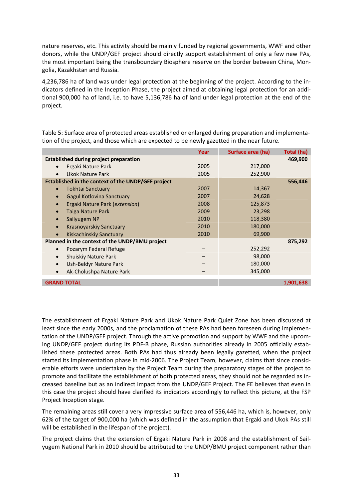nature reserves, etc. This activity should be mainly funded by regional governments, WWF and other donors, while the UNDP/GEF project should directly support establishment of only a few new PAs, the most important being the transboundary Biosphere reserve on the border between China, Mongolia, Kazakhstan and Russia.

4,236,786 ha of land was under legal protection at the beginning of the project. According to the in‐ dicators defined in the Inception Phase, the project aimed at obtaining legal protection for an addi‐ tional 900,000 ha of land, i.e. to have 5,136,786 ha of land under legal protection at the end of the project.

Table 5: Surface area of protected areas established or enlarged during preparation and implementa‐ tion of the project, and those which are expected to be newly gazetted in the near future.

|                                                    | Year | Surface area (ha) | Total (ha) |
|----------------------------------------------------|------|-------------------|------------|
| <b>Established during project preparation</b>      |      |                   | 469,900    |
| Ergaki Nature Park                                 | 2005 | 217,000           |            |
| Ukok Nature Park<br>$\bullet$                      | 2005 | 252,900           |            |
| Established in the context of the UNDP/GEF project |      |                   | 556,446    |
| Tokhtai Sanctuary                                  | 2007 | 14,367            |            |
| Gagul Kotlovina Sanctuary                          | 2007 | 24,628            |            |
| Ergaki Nature Park (extension)                     | 2008 | 125,873           |            |
| Taiga Nature Park                                  | 2009 | 23,298            |            |
| Sailyugem NP                                       | 2010 | 118,380           |            |
| Krasnoyarskiy Sanctuary<br>$\bullet$               | 2010 | 180,000           |            |
| <b>Kiskachinskiy Sanctuary</b><br>$\bullet$        | 2010 | 69,900            |            |
| Planned in the context of the UNDP/BMU project     |      |                   | 875,292    |
| Pozarym Federal Refuge                             |      | 252,292           |            |
| <b>Shuiskiy Nature Park</b>                        |      | 98,000            |            |
| Ush-Beldyr Nature Park                             |      | 180,000           |            |
| Ak-Cholushpa Nature Park                           |      | 345,000           |            |
| <b>GRAND TOTAL</b>                                 |      |                   | 1,901,638  |
|                                                    |      |                   |            |

The establishment of Ergaki Nature Park and Ukok Nature Park Quiet Zone has been discussed at least since the early 2000s, and the proclamation of these PAs had been foreseen during implemen‐ tation of the UNDP/GEF project. Through the active promotion and support by WWF and the upcom‐ ing UNDP/GEF project during its PDF‐B phase, Russian authorities already in 2005 officially estab‐ lished these protected areas. Both PAs had thus already been legally gazetted, when the project started its implementation phase in mid‐2006. The Project Team, however, claims that since consid‐ erable efforts were undertaken by the Project Team during the preparatory stages of the project to promote and facilitate the establishment of both protected areas, they should not be regarded as in‐ creased baseline but as an indirect impact from the UNDP/GEF Project. The FE believes that even in this case the project should have clarified its indicators accordingly to reflect this picture, at the FSP Project Inception stage.

The remaining areas still cover a very impressive surface area of 556,446 ha, which is, however, only 62% of the target of 900,000 ha (which was defined in the assumption that Ergaki and Ukok PAs still will be established in the lifespan of the project).

The project claims that the extension of Ergaki Nature Park in 2008 and the establishment of Sail‐ yugem National Park in 2010 should be attributed to the UNDP/BMU project component rather than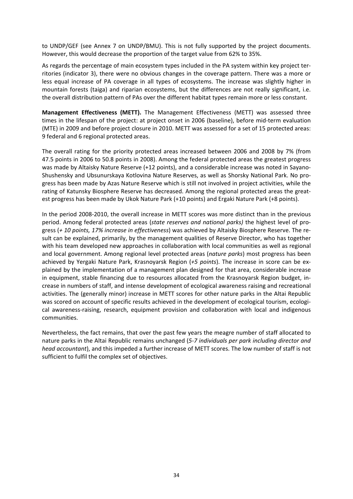to UNDP/GEF (see Annex 7 on UNDP/BMU). This is not fully supported by the project documents. However, this would decrease the proportion of the target value from 62% to 35%.

As regards the percentage of main ecosystem types included in the PA system within key project ter‐ ritories (indicator 3), there were no obvious changes in the coverage pattern. There was a more or less equal increase of PA coverage in all types of ecosystems. The increase was slightly higher in mountain forests (taiga) and riparian ecosystems, but the differences are not really significant, i.e. the overall distribution pattern of PAs over the different habitat types remain more or less constant.

**Management Effectiveness (METT).** The Management Effectiveness (METT) was assessed three times in the lifespan of the project: at project onset in 2006 (baseline), before mid‐term evaluation (MTE) in 2009 and before project closure in 2010. METT was assessed for a set of 15 protected areas: 9 federal and 6 regional protected areas.

The overall rating for the priority protected areas increased between 2006 and 2008 by 7% (from 47.5 points in 2006 to 50.8 points in 2008). Among the federal protected areas the greatest progress was made by Altaisky Nature Reserve (+12 points), and a considerable increase was noted in Sayano-Shushensky and Ubsunurskaya Kotlovina Nature Reserves, as well as Shorsky National Park. No pro‐ gress has been made by Azas Nature Reserve which is still not involved in project activities, while the rating of Katunsky Biosphere Reserve has decreased. Among the regional protected areas the greatest progress has been made by Ukok Nature Park (+10 points) and Ergaki Nature Park (+8 points).

In the period 2008‐2010, the overall increase in METT scores was more distinct than in the previous period. Among federal protected areas (*state reserves and national parks)* the highest level of pro‐ gress (*+ 10 points, 17% increase in effectiveness*) was achieved by Altaisky Biosphere Reserve. The re‐ sult can be explained, primarily, by the management qualities of Reserve Director, who has together with his team developed new approaches in collaboration with local communities as well as regional and local government. Among regional level protected areas (*nature parks*) most progress has been achieved by Yergaki Nature Park, Krasnoyarsk Region (*+5 points*). The increase in score can be ex‐ plained by the implementation of a management plan designed for that area, considerable increase in equipment, stable financing due to resources allocated from the Krasnoyarsk Region budget, in‐ crease in numbers of staff, and intense development of ecological awareness raising and recreational activities. The (generally minor) increase in METT scores for other nature parks in the Altai Republic was scored on account of specific results achieved in the development of ecological tourism, ecological awareness-raising, research, equipment provision and collaboration with local and indigenous communities.

Nevertheless, the fact remains, that over the past few years the meagre number of staff allocated to nature parks in the Altai Republic remains unchanged (*5‐7 individuals per park including director and head accountant*), and this impeded a further increase of METT scores. The low number of staff is not sufficient to fulfil the complex set of objectives.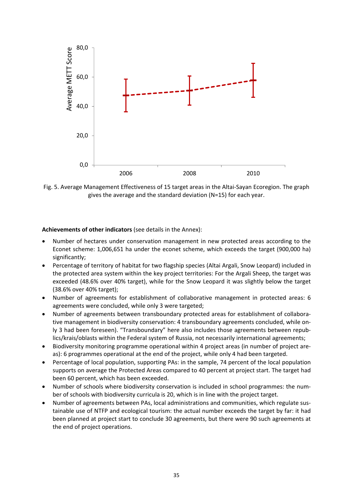

Fig. 5. Average Management Effectiveness of 15 target areas in the Altai‐Sayan Ecoregion. The graph gives the average and the standard deviation (N=15) for each year.

#### **Achievements of other indicators** (see details in the Annex):

- Number of hectares under conservation management in new protected areas according to the Econet scheme: 1,006,651 ha under the econet scheme, which exceeds the target (900,000 ha) significantly;
- Percentage of territory of habitat for two flagship species (Altai Argali, Snow Leopard) included in the protected area system within the key project territories: For the Argali Sheep, the target was exceeded (48.6% over 40% target), while for the Snow Leopard it was slightly below the target (38.6% over 40% target);
- Number of agreements for establishment of collaborative management in protected areas: 6 agreements were concluded, while only 3 were targeted;
- Number of agreements between transboundary protected areas for establishment of collabora‐ tive management in biodiversity conservation: 4 transboundary agreements concluded, while on‐ ly 3 had been foreseen). "Transboundary" here also includes those agreements between repub‐ lics/krais/oblasts within the Federal system of Russia, not necessarily international agreements;
- Biodiversity monitoring programme operational within 4 project areas (in number of project are‐ as): 6 programmes operational at the end of the project, while only 4 had been targeted.
- Percentage of local population, supporting PAs: in the sample, 74 percent of the local population supports on average the Protected Areas compared to 40 percent at project start. The target had been 60 percent, which has been exceeded.
- Number of schools where biodiversity conservation is included in school programmes: the number of schools with biodiversity curricula is 20, which is in line with the project target.
- Number of agreements between PAs, local administrations and communities, which regulate sus‐ tainable use of NTFP and ecological tourism: the actual number exceeds the target by far: it had been planned at project start to conclude 30 agreements, but there were 90 such agreements at the end of project operations.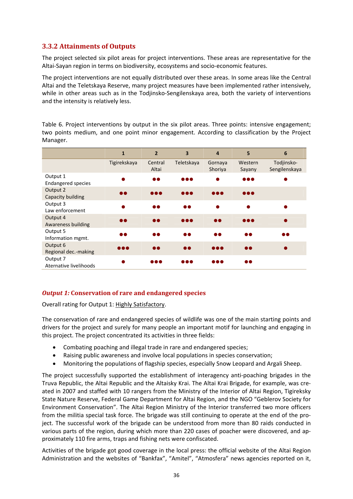### **3.3.2 Attainments of Outputs**

The project selected six pilot areas for project interventions. These areas are representative for the Altai‐Sayan region in terms on biodiversity, ecosystems and socio‐economic features.

The project interventions are not equally distributed over these areas. In some areas like the Central Altai and the Teletskaya Reserve, many project measures have been implemented rather intensively, while in other areas such as in the Todjinsko-Sengilenskaya area, both the variety of interventions and the intensity is relatively less.

Table 6. Project interventions by output in the six pilot areas. Three points: intensive engagement; two points medium, and one point minor engagement. According to classification by the Project Manager.

|                                       | $\mathbf{1}$            | $\overline{2}$          | 3                       | $\overline{a}$          | 5                       | 6                           |
|---------------------------------------|-------------------------|-------------------------|-------------------------|-------------------------|-------------------------|-----------------------------|
|                                       | Tigirekskaya            | Central<br>Altai        | Teletskaya              | Gornaya<br>Shoriya      | Western<br>Sayany       | Todjinsko-<br>Sengilenskaya |
| Output 1<br><b>Endangered species</b> |                         | $\bullet\bullet$        | $\bullet\bullet\bullet$ |                         | $\bullet\bullet\bullet$ |                             |
| Output 2<br>Capacity building         | n a                     | $\bullet\bullet\bullet$ | 000                     | $\bullet\bullet\bullet$ | $\bullet\bullet\bullet$ |                             |
| Output 3<br>Law enforcement           |                         | $\bullet$               | 66                      | ▲                       |                         |                             |
| Output 4<br><b>Awareness building</b> | n e                     | $\bullet$               |                         | $\bullet\bullet$        | $\bullet\bullet\bullet$ |                             |
| Output 5<br>Information mgmt.         | 66                      | $\bullet$               | 66                      | $\bullet\bullet$        | $\bullet\bullet$        | 66                          |
| Output 6<br>Regional dec.-making      | $\bullet\bullet\bullet$ | $\bullet\bullet$        | 66                      | $\bullet\bullet\bullet$ | $\bullet\bullet$        |                             |
| Output 7<br>Aternative livelihoods    |                         | $\bullet\bullet\bullet$ |                         | 0 O O                   | 66                      |                             |

### *Output 1:* **Conservation of rare and endangered species**

Overall rating for Output 1: Highly Satisfactory.

The conservation of rare and endangered species of wildlife was one of the main starting points and drivers for the project and surely for many people an important motif for launching and engaging in this project. The project concentrated its activities in three fields:

- Combating poaching and illegal trade in rare and endangered species;
- Raising public awareness and involve local populations in species conservation;
- Monitoring the populations of flagship species, especially Snow Leopard and Argali Sheep.

The project successfully supported the establishment of interagency anti-poaching brigades in the Truva Republic, the Altai Republic and the Altaisky Krai. The Altai Krai Brigade, for example, was cre‐ ated in 2007 and staffed with 10 rangers from the Ministry of the Interior of Altai Region, Tigireksky State Nature Reserve, Federal Game Department for Altai Region, and the NGO "Geblerov Society for Environment Conservation". The Altai Region Ministry of the Interior transferred two more officers from the militia special task force. The brigade was still continuing to operate at the end of the pro‐ ject. The successful work of the brigade can be understood from more than 80 raids conducted in various parts of the region, during which more than 220 cases of poacher were discovered, and ap‐ proximately 110 fire arms, traps and fishing nets were confiscated.

Activities of the brigade got good coverage in the local press: the official website of the Altai Region Administration and the websites of "Bankfax", "Amitel", "Atmosfera" news agencies reported on it,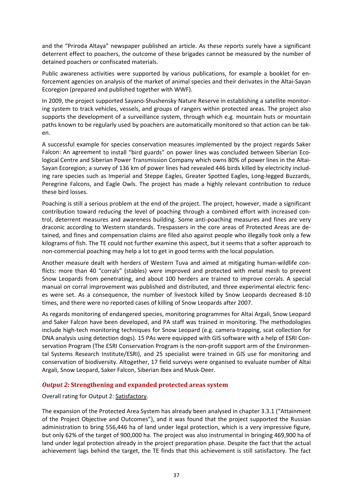and the "Priroda Altaya" newspaper published an article. As these reports surely have a significant deterrent effect to poachers, the outcome of these brigades cannot be measured by the number of detained poachers or confiscated materials.

Public awareness activities were supported by various publications, for example a booklet for en‐ forcement agencies on analysis of the market of animal species and their derivates in the Altai‐Sayan Ecoregion (prepared and published together with WWF).

In 2009, the project supported Sayano‐Shushensky Nature Reserve in establishing a satellite monitor‐ ing system to track vehicles, vessels, and groups of rangers within protected areas. The project also supports the development of a surveillance system, through which e.g. mountain huts or mountain paths known to be regularly used by poachers are automatically monitored so that action can be tak‐ en.

A successful example for species conservation measures implemented by the project regards Saker Falcon: An agreement to install "bird guards" on power lines was concluded between Siberian Ecological Centre and Siberian Power Transmission Company which owns 80% of power lines in the Altai‐ Sayan Ecoregion; a survey of 136 km of power lines had revealed 446 birds killed by electricity includ‐ ing rare species such as Imperial and Steppe Eagles, Greater Spotted Eagles, Long‐legged Buzzards, Peregrine Falcons, and Eagle Owls. The project has made a highly relevant contribution to reduce these bird losses.

Poaching is still a serious problem at the end of the project. The project, however, made a significant contribution toward reducing the level of poaching through a combined effort with increased con‐ trol, deterrent measures and awareness building. Some anti‐poaching measures and fines are very draconic according to Western standards. Trespassers in the core areas of Protected Areas are de‐ tained, and fines and compensation claims are filed also against people who illegally took only a few kilograms of fish. The TE could not further examine this aspect, but it seems that a softer approach to non‐commercial poaching may help a lot to get in good terms with the local population.

Another measure dealt with herders of Western Tuva and aimed at mitigating human‐wildlife con‐ flicts: more than 40 "corrals" (stables) were improved and protected with metal mesh to prevent Snow Leopards from penetrating, and about 100 herders are trained to improve corrals. A special manual on corral improvement was published and distributed, and three experimental electric fenc‐ es were set. As a consequence, the number of livestock killed by Snow Leopards decreased 8‐10 times, and there were no reported cases of killing of Snow Leopards after 2007.

As regards monitoring of endangered species, monitoring programmes for Altai Argali, Snow Leopard and Saker Falcon have been developed, and PA staff was trained in monitoring. The methodologies include high-tech monitoring techniques for Snow Leopard (e.g. camera-trapping, scat collection for DNA analysis using detection dogs). 15 PAs were equipped with GIS software with a help of ESRI Con‐ servation Program (The ESRI Conservation Program is the non-profit support arm of the Environmental Systems Research Institute/ESRI), and 25 specialist were trained in GIS use for monitoring and conservation of biodiversity. Altogether, 17 field surveys were organised to evaluate number of Altai Argali, Snow Leopard, Saker Falcon, Siberian Ibex and Musk‐Deer.

## *Output 2:* **Strengthening and expanded protected areas system**

Overall rating for Output 2: Satisfactory.

The expansion of the Protected Area System has already been analysed in chapter 3.3.1 ("Attainment of the Project Objective and Outcomes"), and it was found that the project supported the Russian administration to bring 556,446 ha of land under legal protection, which is a very impressive figure, but only 62% of the target of 900,000 ha. The project was also instrumental in bringing 469,900 ha of land under legal protection already in the project preparation phase. Despite the fact that the actual achievement lags behind the target, the TE finds that this achievement is still satisfactory. The fact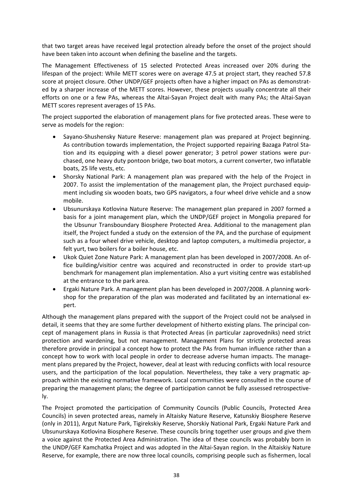that two target areas have received legal protection already before the onset of the project should have been taken into account when defining the baseline and the targets.

The Management Effectiveness of 15 selected Protected Areas increased over 20% during the lifespan of the project: While METT scores were on average 47.5 at project start, they reached 57.8 score at project closure. Other UNDP/GEF projects often have a higher impact on PAs as demonstrated by a sharper increase of the METT scores. However, these projects usually concentrate all their efforts on one or a few PAs, whereas the Altai‐Sayan Project dealt with many PAs; the Altai‐Sayan METT scores represent averages of 15 PAs.

The project supported the elaboration of management plans for five protected areas. These were to serve as models for the region:

- Sayano‐Shushensky Nature Reserve: management plan was prepared at Project beginning. As contribution towards implementation, the Project supported repairing Bazaga Patrol Sta‐ tion and its equipping with a diesel power generator; 3 petrol power stations were pur‐ chased, one heavy duty pontoon bridge, two boat motors, a current converter, two inflatable boats, 25 life vests, etc.
- Shorsky National Park: A management plan was prepared with the help of the Project in 2007. To assist the implementation of the management plan, the Project purchased equip‐ ment including six wooden boats, two GPS navigators, a four wheel drive vehicle and a snow mobile.
- Ubsunurskaya Kotlovina Nature Reserve: The management plan prepared in 2007 formed a basis for a joint management plan, which the UNDP/GEF project in Mongolia prepared for the Ubsunur Transboundary Biosphere Protected Area. Additional to the management plan itself, the Project funded a study on the extension of the PA, and the purchase of equipment such as a four wheel drive vehicle, desktop and laptop computers, a multimedia projector, a felt yurt, two boilers for a boiler house, etc.
- Ukok Quiet Zone Nature Park: A management plan has been developed in 2007/2008. An of‐ fice building/visitior centre was acquired and reconstructed in order to provide start‐up benchmark for management plan implementation. Also a yurt visiting centre was established at the entrance to the park area.
- Ergaki Nature Park. A management plan has been developed in 2007/2008. A planning work‐ shop for the preparation of the plan was moderated and facilitated by an international ex‐ pert.

Although the management plans prepared with the support of the Project could not be analysed in detail, it seems that they are some further development of hitherto existing plans. The principal concept of management plans in Russia is that Protected Areas (in particular zaprovedniks) need strict protection and wardening, but not management. Management Plans for strictly protected areas therefore provide in principal a concept how to protect the PAs from human influence rather than a concept how to work with local people in order to decrease adverse human impacts. The manage‐ ment plans prepared by the Project, however, deal at least with reducing conflicts with local resource users, and the participation of the local population. Nevertheless, they take a very pragmatic ap‐ proach within the existing normative framework. Local communities were consulted in the course of preparing the management plans; the degree of participation cannot be fully assessed retrospective‐ ly.

The Project promoted the participation of Community Councils (Public Councils, Protected Area Councils) in seven protected areas, namely in Altaisky Nature Reserve, Katunskiy Biosphere Reserve (only in 2011), Argut Nature Park, Tigirekskiy Reserve, Shorskiy National Park, Ergaki Nature Park and Ubsunurskaya Kotlovina Biosphere Reserve. These councils bring together user groups and give them a voice against the Protected Area Administration. The idea of these councils was probably born in the UNDP/GEF Kamchatka Project and was adopted in the Altai‐Sayan region. In the Altaiskiy Nature Reserve, for example, there are now three local councils, comprising people such as fishermen, local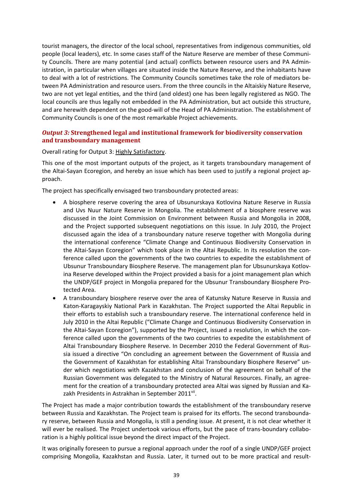tourist managers, the director of the local school, representatives from indigenous communities, old people (local leaders), etc. In some cases staff of the Nature Reserve are member of these Communi‐ ty Councils. There are many potential (and actual) conflicts between resource users and PA Admin‐ istration, in particular when villages are situated inside the Nature Reserve, and the inhabitants have to deal with a lot of restrictions. The Community Councils sometimes take the role of mediators be‐ tween PA Administration and resource users. From the three councils in the Altaiskiy Nature Reserve, two are not yet legal entities, and the third (and oldest) one has been legally registered as NGO. The local councils are thus legally not embedded in the PA Administration, but act outside this structure, and are herewith dependent on the good-will of the Head of PA Administration. The establishment of Community Councils is one of the most remarkable Project achievements.

## *Output 3:* **Strengthened legal and institutional framework for biodiversity conservation and transboundary management**

## Overall rating for Output 3: Highly Satisfactory.

This one of the most important outputs of the project, as it targets transboundary management of the Altai-Sayan Ecoregion, and hereby an issue which has been used to justify a regional project approach.

The project has specifically envisaged two transboundary protected areas:

- A biosphere reserve covering the area of Ubsunurskaya Kotlovina Nature Reserve in Russia and Uvs Nuur Nature Reserve in Mongolia. The establishment of a biosphere reserve was discussed in the Joint Commission on Environment between Russia and Mongolia in 2008, and the Project supported subsequent negotiations on this issue. In July 2010, the Project discussed again the idea of a transboundary nature reserve together with Mongolia during the international conference "Climate Change and Continuous Biodiversity Conservation in the Altai-Sayan Ecoregion" which took place in the Altai Republic. In its resolution the conference called upon the governments of the two countries to expedite the establishment of Ubsunur Transboundary Biosphere Reserve. The management plan for Ubsunurskaya Kotlov‐ ina Reserve developed within the Project provided a basis for a joint management plan which the UNDP/GEF project in Mongolia prepared for the Ubsunur Transboundary Biosphere Pro‐ tected Area.
- A transboundary biosphere reserve over the area of Katunsky Nature Reserve in Russia and Katon‐Karagayskiy National Park in Kazakhstan. The Project supported the Altai Republic in their efforts to establish such a transboundary reserve. The international conference held in July 2010 in the Altai Republic ("Climate Change and Continuous Biodiversity Conservation in the Altai‐Sayan Ecoregion"), supported by the Project, issued a resolution, in which the con‐ ference called upon the governments of the two countries to expedite the establishment of Altai Transboundary Biosphere Reserve. In December 2010 the Federal Government of Rus‐ sia issued a directive "On concluding an agreement between the Government of Russia and the Government of Kazakhstan for establishing Altai Transboundary Biosphere Reserve" un‐ der which negotiations with Kazakhstan and conclusion of the agreement on behalf of the Russian Government was delegated to the Ministry of Natural Resources. Finally, an agree‐ ment for the creation of a transboundary protected area Altai was signed by Russian and Ka‐ zakh Presidents in Astrakhan in September 2011<sup>vii</sup>.

The Project has made a major contribution towards the establishment of the transboundary reserve between Russia and Kazakhstan. The Project team is praised for its efforts. The second transbounda‐ ry reserve, between Russia and Mongolia, is still a pending issue. At present, it is not clear whether it will ever be realised. The Project undertook various efforts, but the pace of trans-boundary collaboration is a highly political issue beyond the direct impact of the Project.

It was originally foreseen to pursue a regional approach under the roof of a single UNDP/GEF project comprising Mongolia, Kazakhstan and Russia. Later, it turned out to be more practical and result‐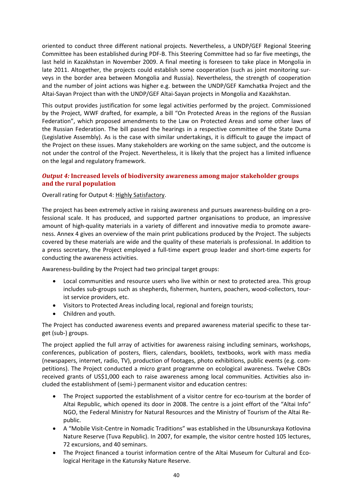oriented to conduct three different national projects. Nevertheless, a UNDP/GEF Regional Steering Committee has been established during PDF‐B. This Steering Committee had so far five meetings, the last held in Kazakhstan in November 2009. A final meeting is foreseen to take place in Mongolia in late 2011. Altogether, the projects could establish some cooperation (such as joint monitoring surveys in the border area between Mongolia and Russia). Nevertheless, the strength of cooperation and the number of joint actions was higher e.g. between the UNDP/GEF Kamchatka Project and the Altai‐Sayan Project than with the UNDP/GEF Altai‐Sayan projects in Mongolia and Kazakhstan.

This output provides justification for some legal activities performed by the project. Commissioned by the Project, WWF drafted, for example, a bill "On Protected Areas in the regions of the Russian Federation", which proposed amendments to the Law on Protected Areas and some other laws of the Russian Federation. The bill passed the hearings in a respective committee of the State Duma (Legislative Assembly). As is the case with similar undertakings, it is difficult to gauge the impact of the Project on these issues. Many stakeholders are working on the same subject, and the outcome is not under the control of the Project. Nevertheless, it is likely that the project has a limited influence on the legal and regulatory framework.

## *Output 4:* **Increased levels of biodiversity awareness among major stakeholder groups and the rural population**

Overall rating for Output 4: Highly Satisfactory.

The project has been extremely active in raising awareness and pursues awareness-building on a professional scale. It has produced, and supported partner organisations to produce, an impressive amount of high-quality materials in a variety of different and innovative media to promote awareness. Annex 4 gives an overview of the main print publications produced by the Project. The subjects covered by these materials are wide and the quality of these materials is professional. In addition to a press secretary, the Project employed a full‐time expert group leader and short‐time experts for conducting the awareness activities.

Awareness‐building by the Project had two principal target groups:

- Local communities and resource users who live within or next to protected area. This group includes sub‐groups such as shepherds, fishermen, hunters, poachers, wood‐collectors, tour‐ ist service providers, etc.
- Visitors to Protected Areas including local, regional and foreign tourists;
- Children and youth.

The Project has conducted awareness events and prepared awareness material specific to these tar‐ get (sub‐) groups.

The project applied the full array of activities for awareness raising including seminars, workshops, conferences, publication of posters, fliers, calendars, booklets, textbooks, work with mass media (newspapers, internet, radio, TV), production of footages, photo exhibitions, public events (e.g. com‐ petitions). The Project conducted a micro grant programme on ecological awareness. Twelve CBOs received grants of US\$1,000 each to raise awareness among local communities. Activities also in‐ cluded the establishment of (semi‐) permanent visitor and education centres:

- The Project supported the establishment of a visitor centre for eco-tourism at the border of Altai Republic, which opened its door in 2008. The centre is a joint effort of the "Altai Info" NGO, the Federal Ministry for Natural Resources and the Ministry of Tourism of the Altai Re‐ public.
- A "Mobile Visit‐Centre in Nomadic Traditions" was established in the Ubsunurskaya Kotlovina Nature Reserve (Tuva Republic). In 2007, for example, the visitor centre hosted 105 lectures, 72 excursions, and 40 seminars.
- The Project financed a tourist information centre of the Altai Museum for Cultural and Ecological Heritage in the Katunsky Nature Reserve.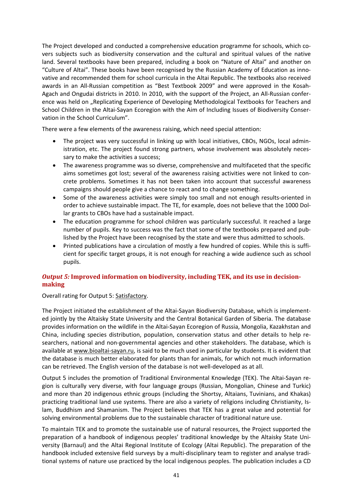The Project developed and conducted a comprehensive education programme for schools, which co‐ vers subjects such as biodiversity conservation and the cultural and spiritual values of the native land. Several textbooks have been prepared, including a book on "Nature of Altai" and another on "Culture of Altai". These books have been recognised by the Russian Academy of Education as inno‐ vative and recommended them for school curricula in the Altai Republic. The textbooks also received awards in an All‐Russian competition as "Best Textbook 2009" and were approved in the Kosah‐ Agach and Ongudai districts in 2010. In 2010, with the support of the Project, an All‐Russian confer‐ ence was held on "Replicating Experience of Developing Methodological Textbooks for Teachers and School Children in the Altai‐Sayan Ecoregion with the Aim of Including Issues of Biodiversity Conser‐ vation in the School Curriculum".

There were a few elements of the awareness raising, which need special attention:

- The project was very successful in linking up with local initiatives, CBOs, NGOs, local administration, etc. The project found strong partners, whose involvement was absolutely neces‐ sary to make the activities a success;
- The awareness programme was so diverse, comprehensive and multifaceted that the specific aims sometimes got lost; several of the awareness raising activities were not linked to con‐ crete problems. Sometimes it has not been taken into account that successful awareness campaigns should people give a chance to react and to change something.
- Some of the awareness activities were simply too small and not enough results-oriented in order to achieve sustainable impact. The TE, for example, does not believe that the 1000 Dol‐ lar grants to CBOs have had a sustainable impact.
- The education programme for school children was particularly successful. It reached a large number of pupils. Key to success was the fact that some of the textbooks prepared and pub‐ lished by the Project have been recognised by the state and were thus admitted to schools.
- Printed publications have a circulation of mostly a few hundred of copies. While this is suffi‐ cient for specific target groups, it is not enough for reaching a wide audience such as school pupils.

## *Output 5:* **Improved information on biodiversity, including TEK, and its use in decision‐ making**

Overall rating for Output 5: Satisfactory.

The Project initiated the establishment of the Altai‐Sayan Biodiversity Database, which is implement‐ ed jointly by the Altaisky State University and the Central Botanical Garden of Siberia. The database provides information on the wildlife in the Altai‐Sayan Ecoregion of Russia, Mongolia, Kazakhstan and China, including species distribution, population, conservation status and other details to help re‐ searchers, national and non‐governmental agencies and other stakeholders. The database, which is available at www.bioaltai‐sayan.ru, is said to be much used in particular by students. It is evident that the database is much better elaborated for plants than for animals, for which not much information can be retrieved. The English version of the database is not well‐developed as at all.

Output 5 includes the promotion of Traditional Environmental Knowledge (TEK). The Altai‐Sayan re‐ gion is culturally very diverse, with four language groups (Russian, Mongolian, Chinese and Turkic) and more than 20 indigenous ethnic groups (including the Shortsy, Altaians, Tuvinians, and Khakas) practicing traditional land use systems. There are also a variety of religions including Christianity, Is‐ lam, Buddhism and Shamanism. The Project believes that TEK has a great value and potential for solving environmental problems due to the sustainable character of traditional nature use.

To maintain TEK and to promote the sustainable use of natural resources, the Project supported the preparation of a handbook of indigenous peoples' traditional knowledge by the Altaisky State Uni‐ versity (Barnaul) and the Altai Regional Institute of Ecology (Altai Republic). The preparation of the handbook included extensive field surveys by a multi-disciplinary team to register and analyse traditional systems of nature use practiced by the local indigenous peoples. The publication includes a CD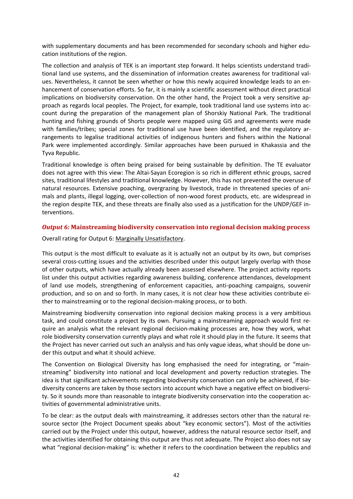with supplementary documents and has been recommended for secondary schools and higher education institutions of the region.

The collection and analysis of TEK is an important step forward. It helps scientists understand tradi‐ tional land use systems, and the dissemination of information creates awareness for traditional val‐ ues. Nevertheless, it cannot be seen whether or how this newly acquired knowledge leads to an en‐ hancement of conservation efforts. So far, it is mainly a scientific assessment without direct practical implications on biodiversity conservation. On the other hand, the Project took a very sensitive approach as regards local peoples. The Project, for example, took traditional land use systems into ac‐ count during the preparation of the management plan of Shorskiy National Park. The traditional hunting and fishing grounds of Shorts people were mapped using GIS and agreements were made with families/tribes; special zones for traditional use have been identified, and the regulatory arrangements to legalise traditional activities of indigenous hunters and fishers within the National Park were implemented accordingly. Similar approaches have been pursued in Khakassia and the Tyva Republic.

Traditional knowledge is often being praised for being sustainable by definition. The TE evaluator does not agree with this view: The Altai‐Sayan Ecoregion is so rich in different ethnic groups, sacred sites, traditional lifestyles and traditional knowledge. However, this has not prevented the overuse of natural resources. Extensive poaching, overgrazing by livestock, trade in threatened species of ani‐ mals and plants, illegal logging, over‐collection of non‐wood forest products, etc. are widespread in the region despite TEK, and these threats are finally also used as a justification for the UNDP/GEF in‐ terventions.

## *Output 6:* **Mainstreaming biodiversity conservation into regional decision making process**

Overall rating for Output 6: Marginally Unsatisfactory.

This output is the most difficult to evaluate as it is actually not an output by its own, but comprises several cross-cutting issues and the activities described under this output largely overlap with those of other outputs, which have actually already been assessed elsewhere. The project activity reports list under this output activities regarding awareness building, conference attendances, development of land use models, strengthening of enforcement capacities, anti‐poaching campaigns, souvenir production, and so on and so forth. In many cases, it is not clear how these activities contribute ei‐ ther to mainstreaming or to the regional decision‐making process, or to both.

Mainstreaming biodiversity conservation into regional decision making process is a very ambitious task, and could constitute a project by its own. Pursuing a mainstreaming approach would first re‐ quire an analysis what the relevant regional decision‐making processes are, how they work, what role biodiversity conservation currently plays and what role it should play in the future. It seems that the Project has never carried out such an analysis and has only vague ideas, what should be done un‐ der this output and what it should achieve.

The Convention on Biological Diversity has long emphasised the need for integrating, or "mainstreaming" biodiversity into national and local development and poverty reduction strategies. The idea is that significant achievements regarding biodiversity conservation can only be achieved, if biodiversity concerns are taken by those sectors into account which have a negative effect on biodiversity. So it sounds more than reasonable to integrate biodiversity conservation into the cooperation ac‐ tivities of governmental administrative units.

To be clear: as the output deals with mainstreaming, it addresses sectors other than the natural re‐ source sector (the Project Document speaks about "key economic sectors"). Most of the activities carried out by the Project under this output, however, address the natural resource sector itself, and the activities identified for obtaining this output are thus not adequate. The Project also does not say what "regional decision-making" is: whether it refers to the coordination between the republics and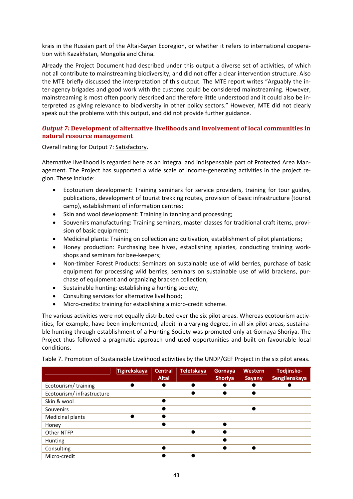krais in the Russian part of the Altai‐Sayan Ecoregion, or whether it refers to international coopera‐ tion with Kazakhstan, Mongolia and China.

Already the Project Document had described under this output a diverse set of activities, of which not all contribute to mainstreaming biodiversity, and did not offer a clear intervention structure. Also the MTE briefly discussed the interpretation of this output. The MTE report writes "Arguably the in‐ ter‐agency brigades and good work with the customs could be considered mainstreaming. However, mainstreaming is most often poorly described and therefore little understood and it could also be in‐ terpreted as giving relevance to biodiversity in other policy sectors." However, MTE did not clearly speak out the problems with this output, and did not provide further guidance.

## *Output 7:* **Development of alternative livelihoods and involvement of local communities in natural resource management**

Overall rating for Output 7: Satisfactory.

Alternative livelihood is regarded here as an integral and indispensable part of Protected Area Man‐ agement. The Project has supported a wide scale of income-generating activities in the project region. These include:

- Ecotourism development: Training seminars for service providers, training for tour guides, publications, development of tourist trekking routes, provision of basic infrastructure (tourist camp), establishment of information centres;
- Skin and wool development: Training in tanning and processing;
- Souvenirs manufacturing: Training seminars, master classes for traditional craft items, provi‐ sion of basic equipment;
- Medicinal plants: Training on collection and cultivation, establishment of pilot plantations;
- Honey production: Purchasing bee hives, establishing apiaries, conducting training work‐ shops and seminars for bee‐keepers;
- Non-timber Forest Products: Seminars on sustainable use of wild berries, purchase of basic equipment for processing wild berries, seminars on sustainable use of wild brackens, pur‐ chase of equipment and organizing bracken collection;
- Sustainable hunting: establishing a hunting society;
- Consulting services for alternative livelihood;
- Micro‐credits: training for establishing a micro‐credit scheme.

The various activities were not equally distributed over the six pilot areas. Whereas ecotourism activities, for example, have been implemented, albeit in a varying degree, in all six pilot areas, sustaina‐ ble hunting through establishment of a Hunting Society was promoted only at Gornaya Shoriya. The Project thus followed a pragmatic approach und used opportunities and built on favourable local conditions.

Table 7. Promotion of Sustainable Livelihood activities by the UNDP/GEF Project in the six pilot areas.

|                            | <b>Tigirekskaya</b> | <b>Central</b><br><b>Altai</b> | Teletskaya | Gornaya<br><b>Shoriya</b> | Western<br><b>Sayany</b> | Todjinsko-<br>Sengilenskaya |
|----------------------------|---------------------|--------------------------------|------------|---------------------------|--------------------------|-----------------------------|
| Ecotourism/training        |                     |                                |            |                           |                          |                             |
| Ecotourism/ infrastructure |                     |                                |            |                           |                          |                             |
| Skin & wool                |                     |                                |            |                           |                          |                             |
| Souvenirs                  |                     |                                |            |                           |                          |                             |
| <b>Medicinal plants</b>    |                     |                                |            |                           |                          |                             |
| Honey                      |                     |                                |            |                           |                          |                             |
| Other NTFP                 |                     |                                |            |                           |                          |                             |
| <b>Hunting</b>             |                     |                                |            |                           |                          |                             |
| Consulting                 |                     |                                |            |                           |                          |                             |
| Micro-credit               |                     |                                |            |                           |                          |                             |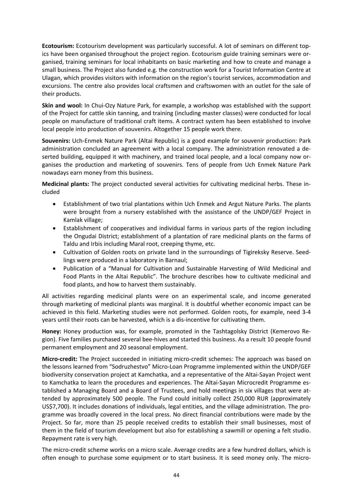**Ecotourism:** Ecotourism development was particularly successful. A lot of seminars on different top‐ ics have been organised throughout the project region. Ecotourism guide training seminars were or‐ ganised, training seminars for local inhabitants on basic marketing and how to create and manage a small business. The Project also funded e.g. the construction work for a Tourist Information Centre at Ulagan, which provides visitors with information on the region's tourist services, accommodation and excursions. The centre also provides local craftsmen and craftswomen with an outlet for the sale of their products.

**Skin and wool:** In Chui‐Ozy Nature Park, for example, a workshop was established with the support of the Project for cattle skin tanning, and training (including master classes) were conducted for local people on manufacture of traditional craft items. A contract system has been established to involve local people into production of souvenirs. Altogether 15 people work there.

**Souvenirs:** Uch‐Enmek Nature Park (Altai Republic) is a good example for souvenir production: Park administration concluded an agreement with a local company. The administration renovated a de‐ serted building, equipped it with machinery, and trained local people, and a local company now organises the production and marketing of souvenirs. Tens of people from Uch Enmek Nature Park nowadays earn money from this business.

**Medicinal plants:** The project conducted several activities for cultivating medicinal herbs. These in‐ cluded

- Establishment of two trial plantations within Uch Enmek and Argut Nature Parks. The plants were brought from a nursery established with the assistance of the UNDP/GEF Project in Kamlak village;
- Establishment of cooperatives and individual farms in various parts of the region including the Ongudai District; establishment of a plantation of rare medicinal plants on the farms of Taldu and Irbis including Maral root, creeping thyme, etc.
- Cultivation of Golden roots on private land in the surroundings of Tigireksky Reserve. Seed‐ lings were produced in a laboratory in Barnaul;
- Publication of a "Manual for Cultivation and Sustainable Harvesting of Wild Medicinal and Food Plants in the Altai Republic". The brochure describes how to cultivate medicinal and food plants, and how to harvest them sustainably.

All activities regarding medicinal plants were on an experimental scale, and income generated through marketing of medicinal plants was marginal. It is doubtful whether economic impact can be achieved in this field. Marketing studies were not performed. Golden roots, for example, need 3‐4 years until their roots can be harvested, which is a dis‐incentive for cultivating them.

**Honey:** Honey production was, for example, promoted in the Tashtagolsky District (Kemerovo Re‐ gion). Five families purchased several bee-hives and started this business. As a result 10 people found permanent employment and 20 seasonal employment.

**Micro‐credit:** The Project succeeded in initiating micro‐credit schemes: The approach was based on the lessons learned from "Sodruzhestvo" Micro‐Loan Programme implemented within the UNDP/GEF biodiversity conservation project at Kamchatka, and a representative of the Altai‐Sayan Project went to Kamchatka to learn the procedures and experiences. The Altai‐Sayan Microcredit Programme es‐ tablished a Managing Board and a Board of Trustees, and hold meetings in six villages that were at‐ tended by approximately 500 people. The Fund could initially collect 250,000 RUR (approximately US\$7,700). It includes donations of individuals, legal entities, and the village administration. The pro‐ gramme was broadly covered in the local press. No direct financial contributions were made by the Project. So far, more than 25 people received credits to establish their small businesses, most of them in the field of tourism development but also for establishing a sawmill or opening a felt studio. Repayment rate is very high.

The micro‐credit scheme works on a micro scale. Average credits are a few hundred dollars, which is often enough to purchase some equipment or to start business. It is seed money only. The micro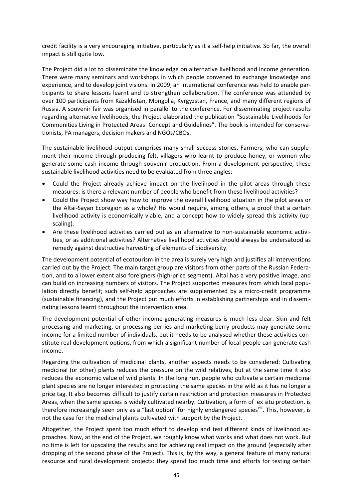credit facility is a very encouraging initiative, particularly as it a self‐help initiative. So far, the overall impact is still quite low.

The Project did a lot to disseminate the knowledge on alternative livelihood and income generation. There were many seminars and workshops in which people convened to exchange knowledge and experience, and to develop joint visions. In 2009, an international conference was held to enable par‐ ticipants to share lessons learnt and to strengthen collaboration. The conference was attended by over 100 participants from Kazakhstan, Mongolia, Kyrgyzstan, France, and many different regions of Russia. A souvenir fair was organised in parallel to the conference. For disseminating project results regarding alternative livelihoods, the Project elaborated the publication "Sustainable Livelihoods for Communities Living in Protected Areas: Concept and Guidelines". The book is intended for conserva‐ tionists, PA managers, decision makers and NGOs/CBOs.

The sustainable livelihood output comprises many small success stories. Farmers, who can supplement their income through producing felt, villagers who learnt to produce honey, or women who generate some cash income through souvenir production. From a development perspective, these sustainable livelihood activities need to be evaluated from three angles:

- Could the Project already achieve impact on the livelihood in the pilot areas through these measures: is there a relevant number of people who benefit from these livelihood activities?
- Could the Project show way how to improve the overall livelihood situation in the pilot areas or the Altai‐Sayan Ecoregion as a whole? His would require, among others, a proof that a certain livelihood activity is economically viable, and a concept how to widely spread this activity (up‐ scaling).
- Are these livelihood activities carried out as an alternative to non-sustainable economic activities, or as additional activities? Alternative livelihood activities should always be undersatood as remedy against destructive harvesting of elements of biodiversity.

The development potential of ecotourism in the area is surely very high and justifies all interventions carried out by the Project. The main target group are visitors from other parts of the Russian Federa‐ tion, and to a lower extent also foreigners (high-price segment). Altai has a very positive image, and can build on increasing numbers of visitors. The Project supported measures from which local population directly benefit; such self‐help approaches are supplemented by a micro‐credit programme (sustainable financing), and the Project put much efforts in establishing partnerships and in dissemi‐ nating lessons learnt throughout the intervention area.

The development potential of other income‐generating measures is much less clear. Skin and felt processing and marketing, or processing berries and marketing berry products may generate some income for a limited number of individuals, but it needs to be analysed whether these activities constitute real development options, from which a significant number of local people can generate cash income.

Regarding the cultivation of medicinal plants, another aspects needs to be considered: Cultivating medicinal (or other) plants reduces the pressure on the wild relatives, but at the same time it also reduces the economic value of wild plants. In the long run, people who cultivate a certain medicinal plant species are no longer interested in protecting the same species in the wild as it has no longer a price tag. It also becomes difficult to justify certain restriction and protection measures in Protected Areas, when the same species is widely cultivated nearby. Cultivation, a form of ex situ protection, is therefore increasingly seen only as a "last option" for highly endangered speciesvill. This, however, is not the case for the medicinal plants cultivated with support by the Project.

Altogether, the Project spent too much effort to develop and test different kinds of livelihood ap‐ proaches. Now, at the end of the Project, we roughly know what works and what does not work. But no time is left for upscaling the results and for achieving real impact on the ground (especially after dropping of the second phase of the Project). This is, by the way, a general feature of many natural resource and rural development projects: they spend too much time and efforts for testing certain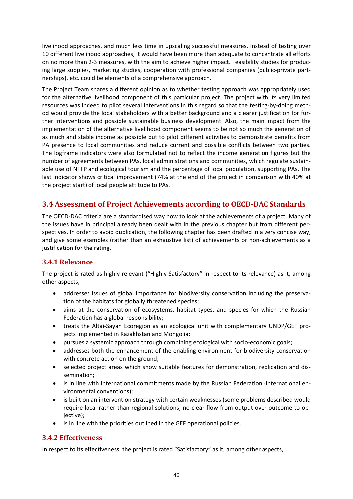livelihood approaches, and much less time in upscaling successful measures. Instead of testing over 10 different livelihood approaches, it would have been more than adequate to concentrate all efforts on no more than 2‐3 measures, with the aim to achieve higher impact. Feasibility studies for produc‐ ing large supplies, marketing studies, cooperation with professional companies (public-private partnerships), etc. could be elements of a comprehensive approach.

The Project Team shares a different opinion as to whether testing approach was appropriately used for the alternative livelihood component of this particular project. The project with its very limited resources was indeed to pilot several interventions in this regard so that the testing-by-doing method would provide the local stakeholders with a better background and a clearer justification for fur‐ ther interventions and possible sustainable business development. Also, the main impact from the implementation of the alternative livelihood component seems to be not so much the generation of as much and stable income as possible but to pilot different activities to demonstrate benefits from PA presence to local communities and reduce current and possible conflicts between two parties. The logframe indicators were also formulated not to reflect the income generation figures but the number of agreements between PAs, local administrations and communities, which regulate sustain‐ able use of NTFP and ecological tourism and the percentage of local population, supporting PAs. The last indicator shows critical improvement (74% at the end of the project in comparison with 40% at the project start) of local people attitude to PAs.

## **3.4 Assessment of Project Achievements according to OECD‐DAC Standards**

The OECD‐DAC criteria are a standardised way how to look at the achievements of a project. Many of the issues have in principal already been dealt with in the previous chapter but from different per‐ spectives. In order to avoid duplication, the following chapter has been drafted in a very concise way, and give some examples (rather than an exhaustive list) of achievements or non-achievements as a justification for the rating.

## **3.4.1 Relevance**

The project is rated as highly relevant ("Highly Satisfactory" in respect to its relevance) as it, among other aspects,

- addresses issues of global importance for biodiversity conservation including the preservation of the habitats for globally threatened species;
- aims at the conservation of ecosystems, habitat types, and species for which the Russian Federation has a global responsibility;
- treats the Altai-Sayan Ecoregion as an ecological unit with complementary UNDP/GEF projects implemented in Kazakhstan and Mongolia;
- pursues a systemic approach through combining ecological with socio‐economic goals;
- addresses both the enhancement of the enabling environment for biodiversity conservation with concrete action on the ground;
- selected project areas which show suitable features for demonstration, replication and dissemination;
- is in line with international commitments made by the Russian Federation (international environmental conventions);
- is built on an intervention strategy with certain weaknesses (some problems described would require local rather than regional solutions; no clear flow from output over outcome to ob‐ jective);
- is in line with the priorities outlined in the GEF operational policies.

## **3.4.2 Effectiveness**

In respect to its effectiveness, the project is rated "Satisfactory" as it, among other aspects,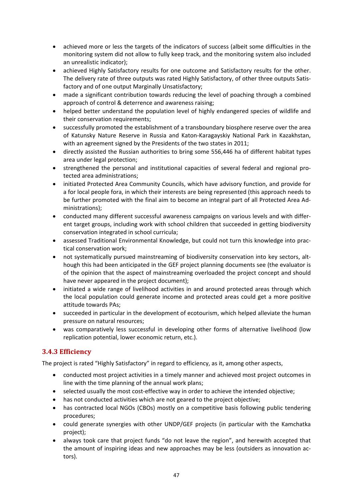- achieved more or less the targets of the indicators of success (albeit some difficulties in the monitoring system did not allow to fully keep track, and the monitoring system also included an unrealistic indicator);
- achieved Highly Satisfactory results for one outcome and Satisfactory results for the other. The delivery rate of three outputs was rated Highly Satisfactory, of other three outputs Satis‐ factory and of one output Marginally Unsatisfactory;
- made a significant contribution towards reducing the level of poaching through a combined approach of control & deterrence and awareness raising;
- helped better understand the population level of highly endangered species of wildlife and their conservation requirements;
- successfully promoted the establishment of a transboundary biosphere reserve over the area of Katunsky Nature Reserve in Russia and Katon‐Karagayskiy National Park in Kazakhstan, with an agreement signed by the Presidents of the two states in 2011;
- directly assisted the Russian authorities to bring some 556,446 ha of different habitat types area under legal protection;
- strengthened the personal and institutional capacities of several federal and regional protected area administrations;
- initiated Protected Area Community Councils, which have advisory function, and provide for a for local people fora, in which their interests are being represented (this approach needs to be further promoted with the final aim to become an integral part of all Protected Area Ad‐ ministrations);
- conducted many different successful awareness campaigns on various levels and with different target groups, including work with school children that succeeded in getting biodiversity conservation integrated in school curricula;
- assessed Traditional Environmental Knowledge, but could not turn this knowledge into practical conservation work;
- not systematically pursued mainstreaming of biodiversity conservation into key sectors, although this had been anticipated in the GEF project planning documents see (the evaluator is of the opinion that the aspect of mainstreaming overloaded the project concept and should have never appeared in the project document);
- initiated a wide range of livelihood activities in and around protected areas through which the local population could generate income and protected areas could get a more positive attitude towards PAs;
- succeeded in particular in the development of ecotourism, which helped alleviate the human pressure on natural resources;
- was comparatively less successful in developing other forms of alternative livelihood (low replication potential, lower economic return, etc.).

## **3.4.3 Efficiency**

The project is rated "Highly Satisfactory" in regard to efficiency, as it, among other aspects,

- conducted most project activities in a timely manner and achieved most project outcomes in line with the time planning of the annual work plans;
- selected usually the most cost-effective way in order to achieve the intended objective;
- has not conducted activities which are not geared to the project objective;
- has contracted local NGOs (CBOs) mostly on a competitive basis following public tendering procedures;
- could generate synergies with other UNDP/GEF projects (in particular with the Kamchatka project);
- always took care that project funds "do not leave the region", and herewith accepted that the amount of inspiring ideas and new approaches may be less (outsiders as innovation ac‐ tors).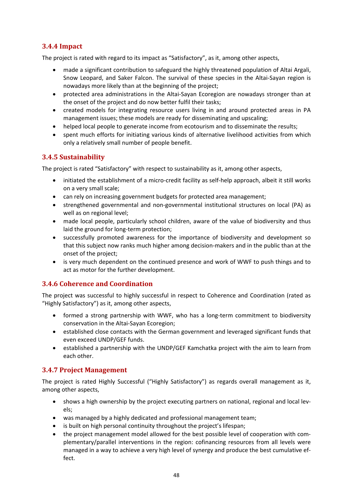## **3.4.4 Impact**

The project is rated with regard to its impact as "Satisfactory", as it, among other aspects,

- made a significant contribution to safeguard the highly threatened population of Altai Argali, Snow Leopard, and Saker Falcon. The survival of these species in the Altai‐Sayan region is nowadays more likely than at the beginning of the project;
- protected area administrations in the Altai‐Sayan Ecoregion are nowadays stronger than at the onset of the project and do now better fulfil their tasks;
- created models for integrating resource users living in and around protected areas in PA management issues; these models are ready for disseminating and upscaling;
- helped local people to generate income from ecotourism and to disseminate the results;
- spent much efforts for initiating various kinds of alternative livelihood activities from which only a relatively small number of people benefit.

## **3.4.5 Sustainability**

The project is rated "Satisfactory" with respect to sustainability as it, among other aspects,

- initiated the establishment of a micro-credit facility as self-help approach, albeit it still works on a very small scale;
- can rely on increasing government budgets for protected area management;
- strengthened governmental and non-governmental institutional structures on local (PA) as well as on regional level;
- made local people, particularly school children, aware of the value of biodiversity and thus laid the ground for long‐term protection;
- successfully promoted awareness for the importance of biodiversity and development so that this subject now ranks much higher among decision‐makers and in the public than at the onset of the project;
- is very much dependent on the continued presence and work of WWF to push things and to act as motor for the further development.

## **3.4.6 Coherence and Coordination**

The project was successful to highly successful in respect to Coherence and Coordination (rated as "Highly Satisfactory") as it, among other aspects,

- formed a strong partnership with WWF, who has a long-term commitment to biodiversity conservation in the Altai‐Sayan Ecoregion;
- established close contacts with the German government and leveraged significant funds that even exceed UNDP/GEF funds.
- established a partnership with the UNDP/GEF Kamchatka project with the aim to learn from each other.

## **3.4.7 Project Management**

The project is rated Highly Successful ("Highly Satisfactory") as regards overall management as it, among other aspects,

- shows a high ownership by the project executing partners on national, regional and local levels;
- was managed by a highly dedicated and professional management team;
- is built on high personal continuity throughout the project's lifespan;
- the project management model allowed for the best possible level of cooperation with complementary/parallel interventions in the region: cofinancing resources from all levels were managed in a way to achieve a very high level of synergy and produce the best cumulative ef‐ fect.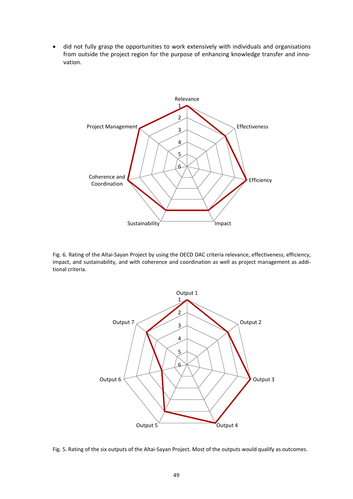• did not fully grasp the opportunities to work extensively with individuals and organisations from outside the project region for the purpose of enhancing knowledge transfer and inno‐ vation.



Fig. 6. Rating of the Altai‐Sayan Project by using the OECD DAC criteria relevance, effectiveness, efficiency, impact, and sustainability, and with coherence and coordination as well as project management as additional criteria.



Fig. 5. Rating of the six outputs of the Altai‐Sayan Project. Most of the outputs would qualify as outcomes.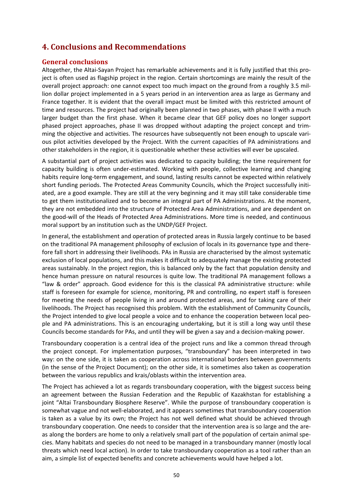# **4. Conclusions and Recommendations**

## **General conclusions**

Altogether, the Altai‐Sayan Project has remarkable achievements and it is fully justified that this pro‐ ject is often used as flagship project in the region. Certain shortcomings are mainly the result of the overall project approach: one cannot expect too much impact on the ground from a roughly 3.5 mil‐ lion dollar project implemented in a 5 years period in an intervention area as large as Germany and France together. It is evident that the overall impact must be limited with this restricted amount of time and resources. The project had originally been planned in two phases, with phase II with a much larger budget than the first phase. When it became clear that GEF policy does no longer support phased project approaches, phase II was dropped without adapting the project concept and trim‐ ming the objective and activities. The resources have subsequently not been enough to upscale vari‐ ous pilot activities developed by the Project. With the current capacities of PA administrations and other stakeholders in the region, it is questionable whether these activities will ever be upscaled.

A substantial part of project activities was dedicated to capacity building; the time requirement for capacity building is often under‐estimated. Working with people, collective learning and changing habits require long-term engagement, and sound, lasting results cannot be expected within relatively short funding periods. The Protected Areas Community Councils, which the Project successfully initiated, are a good example. They are still at the very beginning and it may still take considerable time to get them institutionalized and to become an integral part of PA Administrations. At the moment, they are not embedded into the structure of Protected Area Administrations, and are dependent on the good-will of the Heads of Protected Area Administrations. More time is needed, and continuous moral support by an institution such as the UNDP/GEF Project.

In general, the establishment and operation of protected areas in Russia largely continue to be based on the traditional PA management philosophy of exclusion of locals in its governance type and there‐ fore fall short in addressing their livelihoods. PAs in Russia are characterised by the almost systematic exclusion of local populations, and this makes it difficult to adequately manage the existing protected areas sustainably. In the project region, this is balanced only by the fact that population density and hence human pressure on natural resources is quite low. The traditional PA management follows a "law & order" approach. Good evidence for this is the classical PA administrative structure: while staff is foreseen for example for science, monitoring, PR and controlling, no expert staff is foreseen for meeting the needs of people living in and around protected areas, and for taking care of their livelihoods. The Project has recognised this problem. With the establishment of Community Councils, the Project intended to give local people a voice and to enhance the cooperation between local peo‐ ple and PA administrations. This is an encouraging undertaking, but it is still a long way until these Councils become standards for PAs, and until they will be given a say and a decision‐making power.

Transboundary cooperation is a central idea of the project runs and like a common thread through the project concept. For implementation purposes, "transboundary" has been interpreted in two way: on the one side, it is taken as cooperation across international borders between governments (in the sense of the Project Document); on the other side, it is sometimes also taken as cooperation between the various republics and krais/oblasts within the intervention area.

The Project has achieved a lot as regards transboundary cooperation, with the biggest success being an agreement between the Russian Federation and the Republic of Kazakhstan for establishing a joint "Altai Transboundary Biosphere Reserve". While the purpose of transboundary cooperation is somewhat vague and not well-elaborated, and it appears sometimes that transboundary cooperation is taken as a value by its own; the Project has not well defined what should be achieved through transboundary cooperation. One needs to consider that the intervention area is so large and the are‐ as along the borders are home to only a relatively small part of the population of certain animal species. Many habitats and species do not need to be managed in a transboundary manner (mostly local threats which need local action). In order to take transboundary cooperation as a tool rather than an aim, a simple list of expected benefits and concrete achievements would have helped a lot.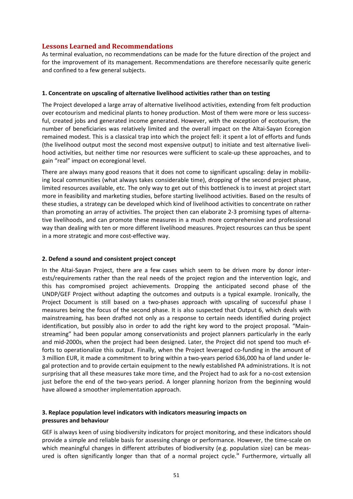## **Lessons Learned and Recommendations**

As terminal evaluation, no recommendations can be made for the future direction of the project and for the improvement of its management. Recommendations are therefore necessarily quite generic and confined to a few general subjects.

## **1. Concentrate on upscaling of alternative livelihood activities rather than on testing**

The Project developed a large array of alternative livelihood activities, extending from felt production over ecotourism and medicinal plants to honey production. Most of them were more or less successful, created jobs and generated income generated. However, with the exception of ecotourism, the number of beneficiaries was relatively limited and the overall impact on the Altai‐Sayan Ecoregion remained modest. This is a classical trap into which the project fell: it spent a lot of efforts and funds (the livelihood output most the second most expensive output) to initiate and test alternative liveli‐ hood activities, but neither time nor resources were sufficient to scale-up these approaches, and to gain "real" impact on ecoregional level.

There are always many good reasons that it does not come to significant upscaling: delay in mobilizing local communities (what always takes considerable time), dropping of the second project phase, limited resources available, etc. The only way to get out of this bottleneck is to invest at project start more in feasibility and marketing studies, before starting livelihood activities. Based on the results of these studies, a strategy can be developed which kind of livelihood activities to concentrate on rather than promoting an array of activities. The project then can elaborate 2‐3 promising types of alterna‐ tive livelihoods, and can promote these measures in a much more comprehensive and professional way than dealing with ten or more different livelihood measures. Project resources can thus be spent in a more strategic and more cost-effective way.

## **2. Defend a sound and consistent project concept**

In the Altai‐Sayan Project, there are a few cases which seem to be driven more by donor inter‐ ests/requirements rather than the real needs of the project region and the intervention logic, and this has compromised project achievements. Dropping the anticipated second phase of the UNDP/GEF Project without adapting the outcomes and outputs is a typical example. Ironically, the Project Document is still based on a two‐phases approach with upscaling of successful phase I measures being the focus of the second phase. It is also suspected that Output 6, which deals with mainstreaming, has been drafted not only as a response to certain needs identified during project identification, but possibly also in order to add the right key word to the project proposal. "Main‐ streaming" had been popular among conservationists and project planners particularly in the early and mid‐2000s, when the project had been designed. Later, the Project did not spend too much ef‐ forts to operationalize this output. Finally, when the Project leveraged co-funding in the amount of 3 million EUR, it made a commitment to bring within a two‐years period 636,000 ha of land under le‐ gal protection and to provide certain equipment to the newly established PA administrations. It is not surprising that all these measures take more time, and the Project had to ask for a no‐cost extension just before the end of the two-years period. A longer planning horizon from the beginning would have allowed a smoother implementation approach.

## **3. Replace population level indicators with indicators measuring impacts on pressures and behaviour**

GEF is always keen of using biodiversity indicators for project monitoring, and these indicators should provide a simple and reliable basis for assessing change or performance. However, the time‐scale on which meaningful changes in different attributes of biodiversity (e.g. population size) can be measured is often significantly longer than that of a normal project cycle.<sup>ix</sup> Furthermore, virtually all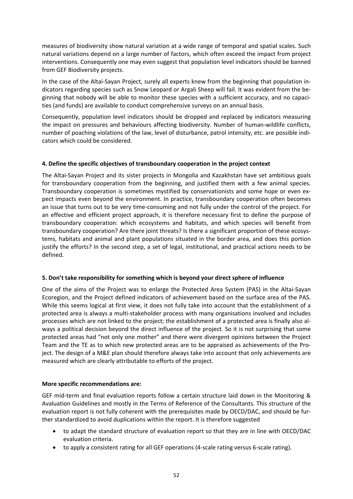measures of biodiversity show natural variation at a wide range of temporal and spatial scales. Such natural variations depend on a large number of factors, which often exceed the impact from project interventions. Consequently one may even suggest that population level indicators should be banned from GEF Biodiversity projects.

In the case of the Altai‐Sayan Project, surely all experts knew from the beginning that population in‐ dicators regarding species such as Snow Leopard or Argali Sheep will fail. It was evident from the be‐ ginning that nobody will be able to monitor these species with a sufficient accuracy, and no capaci‐ ties (and funds) are available to conduct comprehensive surveys on an annual basis.

Consequently, population level indicators should be dropped and replaced by indicators measuring the impact on pressures and behaviours affecting biodiversity. Number of human-wildlife conflicts, number of poaching violations of the law, level of disturbance, patrol intensity, etc. are possible indicators which could be considered.

## **4. Define the specific objectives of transboundary cooperation in the project context**

The Altai‐Sayan Project and its sister projects in Mongolia and Kazakhstan have set ambitious goals for transboundary cooperation from the beginning, and justified them with a few animal species. Transboundary cooperation is sometimes mystified by conservationists and some hope or even ex‐ pect impacts even beyond the environment. In practice, transboundary cooperation often becomes an issue that turns out to be very time‐consuming and not fully under the control of the project. For an effective and efficient project approach, it is therefore necessary first to define the purpose of transboundary cooperation: which ecosystems and habitats, and which species will benefit from transboundary cooperation? Are there joint threats? Is there a significant proportion of these ecosys‐ tems, habitats and animal and plant populations situated in the border area, and does this portion justify the efforts? In the second step, a set of legal, institutional, and practical actions needs to be defined.

### **5. Don't take responsibility for something which is beyond your direct sphere of influence**

One of the aims of the Project was to enlarge the Protected Area System (PAS) in the Altai‐Sayan Ecoregion, and the Project defined indicators of achievement based on the surface area of the PAS. While this seems logical at first view, it does not fully take into account that the establishment of a protected area is always a multi‐stakeholder process with many organisations involved and includes processes which are not linked to the project; the establishment of a protected area is finally also al‐ ways a political decision beyond the direct influence of the project. So it is not surprising that some protected areas had "not only one mother" and there were divergent opinions between the Project Team and the TE as to which new protected areas are to be appraised as achievements of the Pro‐ ject. The design of a M&E plan should therefore always take into account that only achievements are measured which are clearly attributable to efforts of the project.

### **More specific recommendations are:**

GEF mid-term and final evaluation reports follow a certain structure laid down in the Monitoring & Avaluation Guidelines and mostly in the Terms of Reference of the Consultants. This structure of the evaluation report is not fully coherent with the prerequisites made by OECD/DAC, and should be fur‐ ther standardized to avoid duplications within the report. It is therefore suggested

- to adapt the standard structure of evaluation report so that they are in line with OECD/DAC evaluation criteria.
- to apply a consistent rating for all GEF operations (4-scale rating versus 6-scale rating).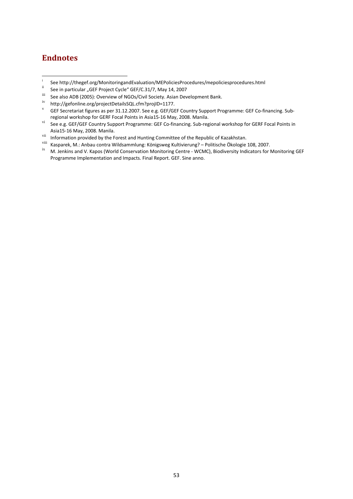# **Endnotes**

- i See http://thegef.org/MonitoringandEvaluation/MEPoliciesProcedures/mepoliciesprocedures.html
- See in particular "GEF Project Cycle" GEF/C.31/7, May 14, 2007<br> $\frac{311}{10}$  See also ADB (2005): Querrious of NGOs (Civil Seciety, Asian Dev
- <sup>iii</sup> See also ADB (2005): Overview of NGOs/Civil Society. Asian Development Bank.<br><sup>iv</sup> http://asfasline.org/anaiastDatailsCOL afgalagailD, 1177
- iv http://gefonline.org/projectDetailsSQL.cfm?projID=1177.

- 
- 
- viii Kasparek, M.: Anbau contra Wildsammlung: Königsweg Kultivierung? Politische Ökologie 108, 2007.<br>ix M. Jenkins and V. Kapos (World Conservation Monitoring Centre WCMC), Biodiversity Indicators for Monitoring GEF Programme Implementation and Impacts. Final Report. GEF. Sine anno.

GEF Secretariat figures as per 31.12.2007. See e.g. GEF/GEF Country Support Programme: GEF Co-financing. Subregional workshop for GERF Focal Points in Asia15‐16 May, 2008. Manila.

vi See e.g. GEF/GEF Country Support Programme: GEF Co-financing. Sub-regional workshop for GERF Focal Points in Asia15-16 May, 2008. Manila.<br> <sup>vii</sup> Information provided by the Forest and Hunting Committee of the Republic of Kazakhstan.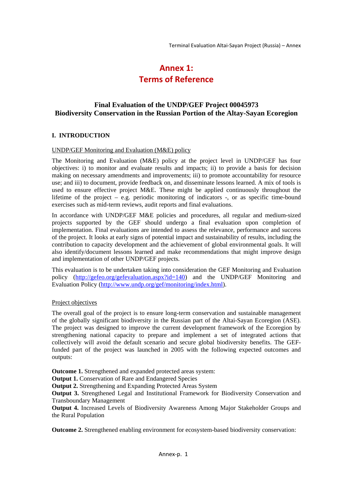# **Annex 1: Terms of Reference**

## **Final Evaluation of the UNDP/GEF Project 00045973 Biodiversity Conservation in the Russian Portion of the Altay-Sayan Ecoregion**

#### **I. INTRODUCTION**

#### UNDP/GEF Monitoring and Evaluation (M&E) policy

The Monitoring and Evaluation (M&E) policy at the project level in UNDP/GEF has four objectives: i) to monitor and evaluate results and impacts; ii) to provide a basis for decision making on necessary amendments and improvements; iii) to promote accountability for resource use; and iii) to document, provide feedback on, and disseminate lessons learned. A mix of tools is used to ensure effective project M&E. These might be applied continuously throughout the lifetime of the project – e.g. periodic monitoring of indicators -, or as specific time-bound exercises such as mid-term reviews, audit reports and final evaluations.

In accordance with UNDP/GEF M&E policies and procedures, all regular and medium-sized projects supported by the GEF should undergo a final evaluation upon completion of implementation. Final evaluations are intended to assess the relevance, performance and success of the project. It looks at early signs of potential impact and sustainability of results, including the contribution to capacity development and the achievement of global environmental goals. It will also identify/document lessons learned and make recommendations that might improve design and implementation of other UNDP/GEF projects.

This evaluation is to be undertaken taking into consideration the GEF Monitoring and Evaluation policy (http://gefeo.org/gefevaluation.aspx?id=140) and the UNDP/GEF Monitoring and Evaluation Policy (http://www.undp.org/gef/monitoring/index.html).

#### Project objectives

The overall goal of the project is to ensure long-term conservation and sustainable management of the globally significant biodiversity in the Russian part of the Altai-Sayan Ecoregion (ASE). The project was designed to improve the current development framework of the Ecoregion by strengthening national capacity to prepare and implement a set of integrated actions that collectively will avoid the default scenario and secure global biodiversity benefits. The GEFfunded part of the project was launched in 2005 with the following expected outcomes and outputs:

**Outcome 1.** Strengthened and expanded protected areas system:

**Output 1.** Conservation of Rare and Endangered Species

**Output 2.** Strengthening and Expanding Protected Areas System

**Output 3.** Strengthened Legal and Institutional Framework for Biodiversity Conservation and Transboundary Management

**Output 4.** Increased Levels of Biodiversity Awareness Among Major Stakeholder Groups and the Rural Population

**Outcome 2.** Strengthened enabling environment for ecosystem-based biodiversity conservation: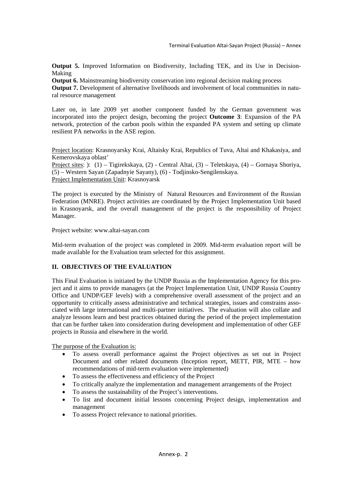**Output 5.** Improved Information on Biodiversity, Including TEK, and its Use in Decision-Making

**Output 6.** Mainstreaming biodiversity conservation into regional decision making process

**Output 7.** Development of alternative livelihoods and involvement of local communities in natural resource management

Later on, in late 2009 yet another component funded by the German government was incorporated into the project design, becoming the project **Outcome 3**: Expansion of the PA network, protection of the carbon pools within the expanded PA system and setting up climate resilient PA networks in the ASE region.

Project location: Krasnoyarsky Krai, Altaisky Krai, Republics of Tuva, Altai and Khakasiya, and Kemerovskaya oblast'

Project sites: ): (1) – Tigirekskaya, (2) - Central Altai, (3) – Teletskaya, (4) – Gornaya Shoriya, (5) – Western Sayan (Zapadnyie Sayany), (6) - Todjinsko-Sengilenskaya. Project Implementation Unit: Krasnoyarsk

The project is executed by the Ministry of Natural Resources and Environment of the Russian Federation (MNRE). Project activities are coordinated by the Project Implementation Unit based in Krasnoyarsk, and the overall management of the project is the responsibility of Project Manager.

Project website: www.altai-sayan.com

Mid-term evaluation of the project was completed in 2009. Mid-term evaluation report will be made available for the Evaluation team selected for this assignment.

## **II. OBJECTIVES OF THE EVALUATION**

This Final Evaluation is initiated by the UNDP Russia as the Implementation Agency for this project and it aims to provide managers (at the Project Implementation Unit, UNDP Russia Country Office and UNDP/GEF levels) with a comprehensive overall assessment of the project and an opportunity to critically assess administrative and technical strategies, issues and constrains associated with large international and multi-partner initiatives. The evaluation will also collate and analyze lessons learn and best practices obtained during the period of the project implementation that can be further taken into consideration during development and implementation of other GEF projects in Russia and elsewhere in the world.

The purpose of the Evaluation is:

- To assess overall performance against the Project objectives as set out in Project Document and other related documents (Inception report, METT, PIR, MTE – how recommendations of mid-term evaluation were implemented)
- To assess the effectiveness and efficiency of the Project
- To critically analyze the implementation and management arrangements of the Project
- To assess the sustainability of the Project's interventions.
- To list and document initial lessons concerning Project design, implementation and management
- To assess Project relevance to national priorities.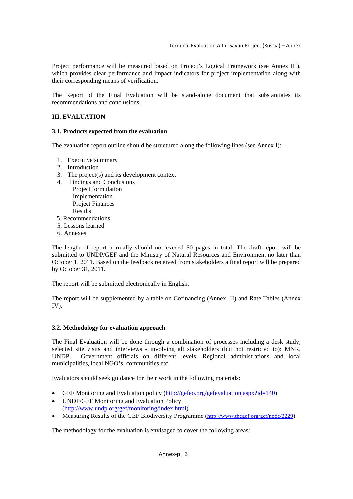Project performance will be measured based on Project's Logical Framework (see Annex III), which provides clear performance and impact indicators for project implementation along with their corresponding means of verification.

The Report of the Final Evaluation will be stand-alone document that substantiates its recommendations and conclusions.

## **III. EVALUATION**

#### **3.1. Products expected from the evaluation**

The evaluation report outline should be structured along the following lines (see Annex I):

- 1. Executive summary
- 2. Introduction
- 3. The project(s) and its development context
- 4. Findings and Conclusions Project formulation Implementation Project Finances Results
- 5. Recommendations
- 5. Lessons learned
- 6. Annexes

The length of report normally should not exceed 50 pages in total. The draft report will be submitted to UNDP/GEF and the Ministry of Natural Resources and Environment no later than October 1, 2011. Based on the feedback received from stakeholders a final report will be prepared by October 31, 2011.

The report will be submitted electronically in English.

The report will be supplemented by a table on Cofinancing (Annex II) and Rate Tables (Annex IV).

### **3.2. Methodology for evaluation approach**

The Final Evaluation will be done through a combination of processes including a desk study, selected site visits and interviews - involving all stakeholders (but not restricted to): MNR, UNDP, Government officials on different levels, Regional administrations and local municipalities, local NGO's, communities etc.

Evaluators should seek guidance for their work in the following materials:

- GEF Monitoring and Evaluation policy (http://gefeo.org/gefevaluation.aspx?id=140)
- UNDP/GEF Monitoring and Evaluation Policy (http://www.undp.org/gef/monitoring/index.html)
- Measuring Results of the GEF Biodiversity Programme (http://www.thegef.org/gef/node/2229)

The methodology for the evaluation is envisaged to cover the following areas: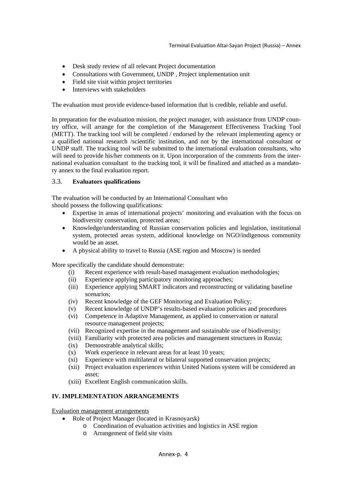- Desk study review of all relevant Project documentation
- Consultations with Government, UNDP , Project implementation unit
- Field site visit within project territories
- Interviews with stakeholders

The evaluation must provide evidence-based information that is credible, reliable and useful.

In preparation for the evaluation mission, the project manager, with assistance from UNDP country office, will arrange for the completion of the Management Effectiveness Tracking Tool (METT). The tracking tool will be completed / endorsed by the relevant implementing agency or a qualified national research /scientific institution, and not by the international consultant or UNDP staff. The tracking tool will be submitted to the international evaluation consultants, who will need to provide his/her comments on it. Upon incorporation of the comments from the international evaluation consultant to the tracking tool, it will be finalized and attached as a mandatory annex to the final evaluation report.

### 3.3. **Evaluators qualifications**

The evaluation will be conducted by an International Consultant who should possess the following qualifications:

- Expertise in areas of international projects' monitoring and evaluation with the focus on biodiversity conservation, protected areas;
- Knowledge/understanding of Russian conservation policies and legislation, institutional system, protected areas system, additional knowledge on NGO/indigenous community would be an asset.
- A physical ability to travel to Russia (ASE region and Moscow) is needed

More specifically the candidate should demonstrate:

- (i) Recent experience with result-based management evaluation methodologies;
- (ii) Experience applying participatory monitoring approaches;
- (iii) Experience applying SMART indicators and reconstructing or validating baseline scenarios;
- (iv) Recent knowledge of the GEF Monitoring and Evaluation Policy;
- (v) Recent knowledge of UNDP's results-based evaluation policies and procedures
- (vi) Competence in Adaptive Management, as applied to conservation or natural resource management projects;
- (vii) Recognized expertise in the management and sustainable use of biodiversity;
- (viii) Familiarity with protected area policies and management structures in Russia;
- (ix) Demonstrable analytical skills;
- (x) Work experience in relevant areas for at least 10 years;
- (xi) Experience with multilateral or bilateral supported conservation projects;
- (xii) Project evaluation experiences within United Nations system will be considered an asset;
- (xiii) Excellent English communication skills.

## **IV. IMPLEMENTATION ARRANGEMENTS**

Evaluation management arrangements

- Role of Project Manager (located in Krasnoyarsk)
	- o Coordination of evaluation activities and logistics in ASE region
	- o Arrangement of field site visits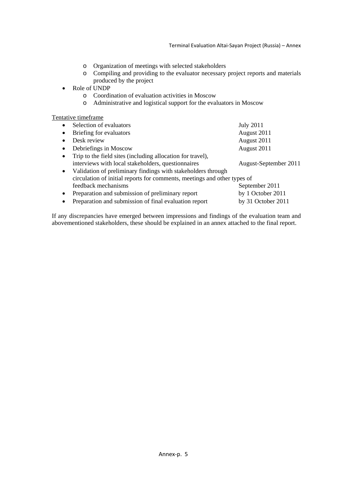- o Organization of meetings with selected stakeholders
- o Compiling and providing to the evaluator necessary project reports and materials produced by the project
- Role of UNDP
	- o Coordination of evaluation activities in Moscow
	- o Administrative and logistical support for the evaluators in Moscow

#### Tentative timeframe

| $\bullet$ | Selection of evaluators                                                  | <b>July 2011</b>      |
|-----------|--------------------------------------------------------------------------|-----------------------|
| $\bullet$ | Briefing for evaluators                                                  | August 2011           |
|           | Desk review                                                              | August 2011           |
| $\bullet$ | Debriefings in Moscow                                                    | August 2011           |
| $\bullet$ | Trip to the field sites (including allocation for travel),               |                       |
|           | interviews with local stakeholders, questionnaires                       | August-September 2011 |
| $\bullet$ | Validation of preliminary findings with stakeholders through             |                       |
|           | circulation of initial reports for comments, meetings and other types of |                       |
|           | feedback mechanisms                                                      | September 2011        |
| $\bullet$ | Preparation and submission of preliminary report                         | by 1 October 2011     |
| $\bullet$ | Preparation and submission of final evaluation report                    | by 31 October 2011    |

If any discrepancies have emerged between impressions and findings of the evaluation team and abovementioned stakeholders, these should be explained in an annex attached to the final report.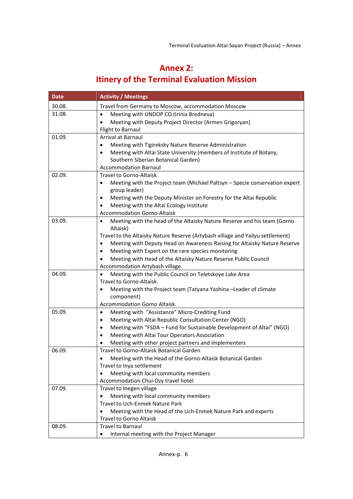# **Annex 2: Itinery of the Terminal Evaluation Mission**

| <b>Date</b> | <b>Activity / Meetings</b>                                                                                      |
|-------------|-----------------------------------------------------------------------------------------------------------------|
| 30.08.      | Travel from Germany to Moscow, accommodation Moscow                                                             |
| 31.08.      | Meeting with UNDOP CO (Irinia Bredneva)<br>$\bullet$                                                            |
|             | Meeting with Deputy Project Director (Armen Grigoryan)                                                          |
|             | Flight to Barnaul                                                                                               |
| 01.09.      | Arrival at Barnaul                                                                                              |
|             | Meeting with Tigireksky Nature Reserve Administration<br>$\bullet$                                              |
|             | Meeting with Altai State University (members of Institute of Botany,<br>٠                                       |
|             | Southern Siberian Botanical Garden)                                                                             |
|             | <b>Accommodation Barnaul</b>                                                                                    |
| 02.09.      | <b>Travel to Gorno-Altaisk</b>                                                                                  |
|             | Meeting with the Project team (Michael Paltsyn - Specie conservation expert<br>$\bullet$                        |
|             | group leader)                                                                                                   |
|             | Meeting with the Deputy Minister on Forestry for the Altai Republic<br>$\bullet$                                |
|             | Meeting with the Altai Ecology Institute<br>$\bullet$                                                           |
|             | <b>Accommodation Gorno-Altaisk</b>                                                                              |
| 03.09.      | Meeting with the head of the Altaisky Nature Reserve and his team (Gorno<br>$\bullet$                           |
|             | Altaisk)                                                                                                        |
|             | Travel to the Altaisky Nature Reserve (Artybash village and Yailyu settlement)                                  |
|             | Meeting with Deputy Head on Awareness Raising for Altaisky Nature Reserve<br>$\bullet$                          |
|             | Meeting with Expert on the rare species monitoring<br>٠                                                         |
|             | Meeting with Head of the Altaisky Nature Reserve Public Council<br>$\bullet$<br>Accommodation Artybash village. |
| 04.09.      | Meeting with the Public Council on Teletskoye Lake Area                                                         |
|             | Travel to Gorno-Altaisk.                                                                                        |
|             | Meeting with the Project team (Tatyana Yashina -Leader of climate<br>$\bullet$                                  |
|             | component)                                                                                                      |
|             | Accommodation Gorno Altaisk.                                                                                    |
| 05.09.      | Meeting with "Assistance" Micro-Crediting Fund<br>$\bullet$                                                     |
|             | Meeting with Altai Republic Consultation Center (NGO)<br>$\bullet$                                              |
|             | Meeting with "FSDA - Fund for Sustainable Development of Altai" (NGO)<br>٠                                      |
|             | Meeting with Altai Tour Operators Association<br>٠                                                              |
|             | Meeting with other project partners and implementers                                                            |
| 06.09.      | Travel to Gorno-Altaisk Botanical Garden                                                                        |
|             | Meeting with the Head of the Gorno-Altaisk Botanical Garden                                                     |
|             | Travel to Inya settlement                                                                                       |
|             | Meeting with local community members                                                                            |
|             | Accommodation Chui-Ozy travel hotel                                                                             |
| 07.09.      | Travel to Inegen village                                                                                        |
|             | Meeting with local community members<br>$\bullet$                                                               |
|             | Travel to Uch-Enmek Nature Park                                                                                 |
|             | Meeting with the Head of the Uch-Enmek Nature Park and experts<br>$\bullet$                                     |
|             | <b>Travel to Gorno Altaisk</b>                                                                                  |
| 08.09.      | <b>Travel to Barnaul</b>                                                                                        |
|             | Internal meeting with the Project Manager                                                                       |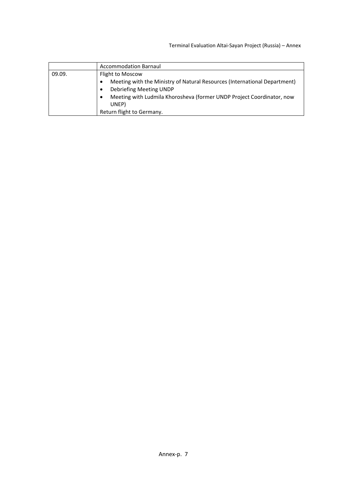Terminal Evaluation Altai‐Sayan Project (Russia) – Annex

|        | <b>Accommodation Barnaul</b>                                              |
|--------|---------------------------------------------------------------------------|
| 09.09. | Flight to Moscow                                                          |
|        | Meeting with the Ministry of Natural Resources (International Department) |
|        | Debriefing Meeting UNDP                                                   |
|        | Meeting with Ludmila Khorosheva (former UNDP Project Coordinator, now     |
|        | UNEP)                                                                     |
|        | Return flight to Germany.                                                 |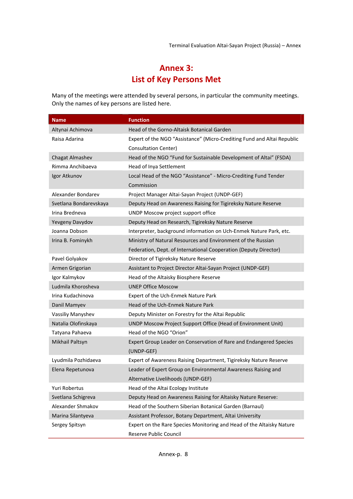# **Annex 3: List of Key Persons Met**

Many of the meetings were attended by several persons, in particular the community meetings. Only the names of key persons are listed here.

| <b>Name</b>            | <b>Function</b>                                                         |
|------------------------|-------------------------------------------------------------------------|
| Altynai Achimova       | Head of the Gorno-Altaisk Botanical Garden                              |
| Raisa Adarina          | Expert of the NGO "Assistance" (Micro-Crediting Fund and Altai Republic |
|                        | Consultation Center)                                                    |
| Chagat Almashev        | Head of the NGO "Fund for Sustainable Development of Altai" (FSDA)      |
| Rimma Anchibaeva       | Head of Inya Settlement                                                 |
| Igor Atkunov           | Local Head of the NGO "Assistance" - Micro-Crediting Fund Tender        |
|                        | Commission                                                              |
| Alexander Bondarev     | Project Manager Altai-Sayan Project (UNDP-GEF)                          |
| Svetlana Bondarevskaya | Deputy Head on Awareness Raising for Tigireksky Nature Reserve          |
| Irina Bredneva         | UNDP Moscow project support office                                      |
| Yevgeny Davydov        | Deputy Head on Research, Tigireksky Nature Reserve                      |
| Joanna Dobson          | Interpreter, background information on Uch-Enmek Nature Park, etc.      |
| Irina B. Fominykh      | Ministry of Natural Resources and Environment of the Russian            |
|                        | Federation, Dept. of International Cooperation (Deputy Director)        |
| Pavel Golyakov         | Director of Tigireksky Nature Reserve                                   |
| Armen Grigorian        | Assistant to Project Director Altai-Sayan Project (UNDP-GEF)            |
| Igor Kalmykov          | Head of the Altaisky Biosphere Reserve                                  |
| Ludmila Khorosheva     | <b>UNEP Office Moscow</b>                                               |
| Irina Kudachinova      | Expert of the Uch-Enmek Nature Park                                     |
| Danil Mamyev           | Head of the Uch-Enmek Nature Park                                       |
| Vassiliy Manyshev      | Deputy Minister on Forestry for the Altai Republic                      |
| Natalia Olofinskaya    | UNDP Moscow Project Support Office (Head of Environment Unit)           |
| Tatyana Pahaeva        | Head of the NGO "Orion"                                                 |
| Mikhail Paltsyn        | Expert Group Leader on Conservation of Rare and Endangered Species      |
|                        | (UNDP-GEF)                                                              |
| Lyudmila Pozhidaeva    | Expert of Awareness Raising Department, Tigireksky Nature Reserve       |
| Elena Repetunova       | Leader of Expert Group on Environmental Awareness Raising and           |
|                        | Alternative Livelihoods (UNDP-GEF)                                      |
| Yuri Robertus          | Head of the Altai Ecology Institute                                     |
| Svetlana Schigreva     | Deputy Head on Awareness Raising for Altaisky Nature Reserve:           |
| Alexander Shmakov      | Head of the Southern Siberian Botanical Garden (Barnaul)                |
| Marina Silantyeva      | Assistant Professor, Botany Department, Altai University                |
| Sergey Spitsyn         | Expert on the Rare Species Monitoring and Head of the Altaisky Nature   |
|                        | Reserve Public Council                                                  |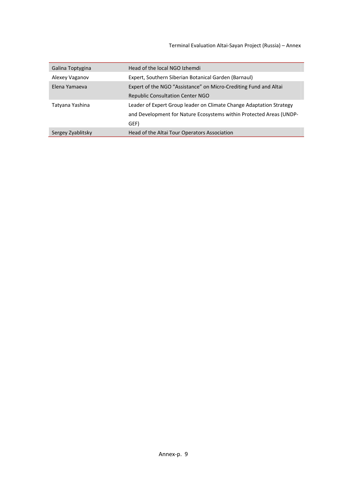Terminal Evaluation Altai‐Sayan Project (Russia) – Annex

| Galina Toptygina  | Head of the local NGO Izhemdi                                                                                                                      |
|-------------------|----------------------------------------------------------------------------------------------------------------------------------------------------|
| Alexey Vaganov    | Expert, Southern Siberian Botanical Garden (Barnaul)                                                                                               |
| Elena Yamaeya     | Expert of the NGO "Assistance" on Micro-Crediting Fund and Altai                                                                                   |
|                   | Republic Consultation Center NGO                                                                                                                   |
| Tatyana Yashina   | Leader of Expert Group leader on Climate Change Adaptation Strategy<br>and Development for Nature Ecosystems within Protected Areas (UNDP-<br>GEF) |
| Sergey Zyablitsky | Head of the Altai Tour Operators Association                                                                                                       |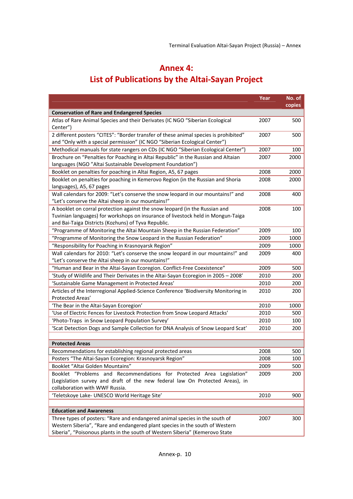# **Annex 4:**

# **List of Publications by the Altai‐Sayan Project**

|                                                                                                                                                                                                                                             | Year | No. of |
|---------------------------------------------------------------------------------------------------------------------------------------------------------------------------------------------------------------------------------------------|------|--------|
|                                                                                                                                                                                                                                             |      | copies |
| <b>Conservation of Rare and Endangered Species</b>                                                                                                                                                                                          |      |        |
| Atlas of Rare Animal Species and their Derivates (IC NGO "Siberian Ecological<br>Center")                                                                                                                                                   | 2007 | 500    |
| 2 different posters "CITES": "Border transfer of these animal species is prohibited"<br>and "Only with a special permission" (IC NGO "Siberian Ecological Center")                                                                          | 2007 | 500    |
| Methodical manuals for state rangers on CDs (IC NGO "Siberian Ecological Center")                                                                                                                                                           | 2007 | 100    |
| Brochure on "Penalties for Poaching in Altai Republic" in the Russian and Altaian<br>languages (NGO "Altai Sustainable Development Foundation")                                                                                             | 2007 | 2000   |
| Booklet on penalties for poaching in Altai Region, A5, 67 pages                                                                                                                                                                             | 2008 | 2000   |
| Booklet on penalties for poaching in Kemerovo Region (in the Russian and Shoria<br>languages), A5, 67 pages                                                                                                                                 | 2008 | 2000   |
| Wall calendars for 2009: "Let's conserve the snow leopard in our mountains!" and<br>"Let's conserve the Altai sheep in our mountains!"                                                                                                      | 2008 | 400    |
| A booklet on corral protection against the snow leopard (in the Russian and<br>Tuvinian languages) for workshops on insurance of livestock held in Mongun-Taiga<br>and Bai-Taiga Districts (Kozhuns) of Tyva Republic.                      | 2008 | 100    |
| "Programme of Monitoring the Altai Mountain Sheep in the Russian Federation"                                                                                                                                                                | 2009 | 100    |
| "Programme of Monitoring the Snow Leopard in the Russian Federation"                                                                                                                                                                        | 2009 | 1000   |
| "Responsibility for Poaching in Krasnoyarsk Region"                                                                                                                                                                                         | 2009 | 1000   |
| Wall calendars for 2010: "Let's conserve the snow leopard in our mountains!" and<br>"Let's conserve the Altai sheep in our mountains!"                                                                                                      | 2009 | 400    |
| "Human and Bear in the Altai-Sayan Ecoregion. Conflict-Free Coexistence"                                                                                                                                                                    | 2009 | 500    |
| 'Study of Wildlife and Their Derivates in the Altai-Sayan Ecoregion in 2005 - 2008'                                                                                                                                                         | 2010 | 200    |
| 'Sustainable Game Management in Protected Areas'                                                                                                                                                                                            | 2010 | 200    |
| Articles of the Interregional Applied-Science Conference 'Biodiversity Monitoring in<br>Protected Areas'                                                                                                                                    | 2010 | 200    |
| 'The Bear in the Altai-Sayan Ecoregion'                                                                                                                                                                                                     | 2010 | 1000   |
| 'Use of Electric Fences for Livestock Protection from Snow Leopard Attacks'                                                                                                                                                                 | 2010 | 500    |
| 'Photo-Traps in Snow Leopard Population Survey'                                                                                                                                                                                             | 2010 | 100    |
| 'Scat Detection Dogs and Sample Collection for DNA Analysis of Snow Leopard Scat'                                                                                                                                                           | 2010 | 200    |
| <b>Protected Areas</b>                                                                                                                                                                                                                      |      |        |
| Recommendations for establishing regional protected areas                                                                                                                                                                                   | 2008 | 500    |
| Posters "The Altai-Sayan Ecoregion: Krasnoyarsk Region"                                                                                                                                                                                     | 2008 | 100    |
| Booklet "Altai Golden Mountains"                                                                                                                                                                                                            | 2009 | 500    |
| Booklet "Problems and Recommendations for Protected Area Legislation"<br>(Legislation survey and draft of the new federal law On Protected Areas), in<br>collaboration with WWF Russia.                                                     | 2009 | 200    |
| 'Teletskoye Lake- UNESCO World Heritage Site'                                                                                                                                                                                               | 2010 | 900    |
|                                                                                                                                                                                                                                             |      |        |
| <b>Education and Awareness</b>                                                                                                                                                                                                              |      |        |
| Three types of posters: "Rare and endangered animal species in the south of<br>Western Siberia", "Rare and endangered plant species in the south of Western<br>Siberia", "Poisonous plants in the south of Western Siberia" (Kemerovo State | 2007 | 300    |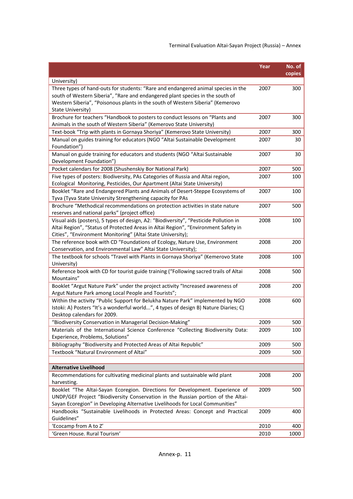## Terminal Evaluation Altai‐Sayan Project (Russia) – Annex

|                                                                                                                                                                                                                                                                           | Year | No. of<br>copies |
|---------------------------------------------------------------------------------------------------------------------------------------------------------------------------------------------------------------------------------------------------------------------------|------|------------------|
| University)                                                                                                                                                                                                                                                               |      |                  |
| Three types of hand-outs for students: "Rare and endangered animal species in the<br>south of Western Siberia", "Rare and endangered plant species in the south of<br>Western Siberia", "Poisonous plants in the south of Western Siberia" (Kemerovo<br>State University) | 2007 | 300              |
| Brochure for teachers "Handbook to posters to conduct lessons on "Plants and<br>Animals in the south of Western Siberia" (Kemerovo State University)                                                                                                                      | 2007 | 300              |
| Text-book "Trip with plants in Gornaya Shoriya" (Kemerovo State University)                                                                                                                                                                                               | 2007 | 300              |
| Manual on guides training for educators (NGO "Altai Sustainable Development<br>Foundation")                                                                                                                                                                               | 2007 | 30               |
| Manual on guide training for educators and students (NGO "Altai Sustainable<br>Development Foundation")                                                                                                                                                                   | 2007 | 30               |
| Pocket calendars for 2008 (Shushenskiy Bor National Park)                                                                                                                                                                                                                 | 2007 | 500              |
| Five types of posters: Biodiversity, PAs Categories of Russia and Altai region,<br>Ecological Monitoring, Pesticides, Our Apartment (Altai State University)                                                                                                              | 2007 | 100              |
| Booklet "Rare and Endangered Plants and Animals of Desert-Steppe Ecosystems of<br>Tyva (Tyva State University Strengthening capacity for PAs                                                                                                                              | 2007 | 100              |
| Brochure "Methodical recommendations on protection activities in state nature<br>reserves and national parks" (project office)                                                                                                                                            | 2007 | 500              |
| Visual aids (posters), 5 types of design, A2: "Biodiversity", "Pesticide Pollution in<br>Altai Region", "Status of Protected Areas in Altai Region", "Environment Safety in<br>Cities", "Environment Monitoring" (Altai State University);                                | 2008 | 100              |
| The reference book with CD "Foundations of Ecology, Nature Use, Environment<br>Conservation, and Environmental Law" Altai State University);                                                                                                                              | 2008 | 200              |
| The textbook for schools "Travel with Plants in Gornaya Shoriya" (Kemerovo State<br>University)                                                                                                                                                                           | 2008 | 100              |
| Reference book with CD for tourist guide training ("Following sacred trails of Altai<br>Mountains"                                                                                                                                                                        | 2008 | 500              |
| Booklet "Argut Nature Park" under the project activity "Increased awareness of<br>Argut Nature Park among Local People and Tourists";                                                                                                                                     | 2008 | 200              |
| Within the activity "Public Support for Belukha Nature Park" implemented by NGO<br>Istoki: A) Posters "It's a wonderful world", 4 types of design B) Nature Diaries; C)<br>Desktop calendars for 2009.                                                                    | 2008 | 600              |
| "Biodiversity Conservation in Managerial Decision-Making"                                                                                                                                                                                                                 | 2009 | 500              |
| Materials of the International Science Conference "Collecting Biodiversity Data:<br>Experience, Problems, Solutions"                                                                                                                                                      | 2009 | 100              |
| Bibliography "Biodiversity and Protected Areas of Altai Republic"                                                                                                                                                                                                         | 2009 | 500              |
| Textbook "Natural Environment of Altai"                                                                                                                                                                                                                                   | 2009 | 500              |
| <b>Alternative Livelihood</b>                                                                                                                                                                                                                                             |      |                  |
| Recommendations for cultivating medicinal plants and sustainable wild plant<br>harvesting.                                                                                                                                                                                | 2008 | 200              |
| Booklet "The Altai-Sayan Ecoregion. Directions for Development. Experience of<br>UNDP/GEF Project "Biodiversity Conservation in the Russian portion of the Altai-<br>Sayan Ecoregion" in Developing Alternative Livelihoods for Local Communities"                        | 2009 | 500              |
| Handbooks "Sustainable Livelihoods in Protected Areas: Concept and Practical<br>Guidelines"                                                                                                                                                                               | 2009 | 400              |
| 'Ecocamp from A to Z'                                                                                                                                                                                                                                                     | 2010 | 400              |
| 'Green House. Rural Tourism'                                                                                                                                                                                                                                              | 2010 | 1000             |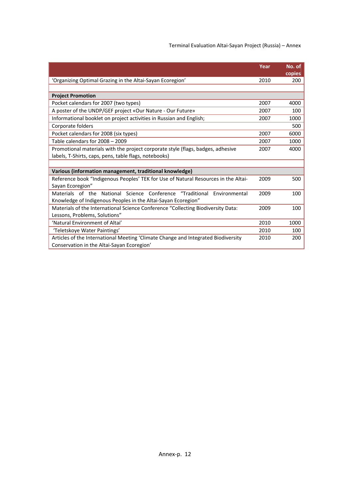Terminal Evaluation Altai‐Sayan Project (Russia) – Annex

|                                                                                    | Year | No. of        |
|------------------------------------------------------------------------------------|------|---------------|
|                                                                                    |      | <b>copies</b> |
| 'Organizing Optimal Grazing in the Altai-Sayan Ecoregion'                          | 2010 | 200           |
|                                                                                    |      |               |
| <b>Project Promotion</b>                                                           |      |               |
| Pocket calendars for 2007 (two types)                                              | 2007 | 4000          |
| A poster of the UNDP/GEF project «Our Nature - Our Future»                         | 2007 | 100           |
| Informational booklet on project activities in Russian and English;                | 2007 | 1000          |
| Corporate folders                                                                  |      | 500           |
| Pocket calendars for 2008 (six types)                                              | 2007 | 6000          |
| Table calendars for 2008 - 2009                                                    | 2007 | 1000          |
| Promotional materials with the project corporate style (flags, badges, adhesive    | 2007 | 4000          |
| labels, T-Shirts, caps, pens, table flags, notebooks)                              |      |               |
|                                                                                    |      |               |
| Various (information management, traditional knowledge)                            |      |               |
| Reference book "Indigenous Peoples' TEK for Use of Natural Resources in the Altai- | 2009 | 500           |
| Sayan Ecoregion"                                                                   |      |               |
| "Traditional<br>Materials of the National Science Conference<br>Environmental      | 2009 | 100           |
| Knowledge of Indigenous Peoples in the Altai-Sayan Ecoregion"                      |      |               |
| Materials of the International Science Conference "Collecting Biodiversity Data:   | 2009 | 100           |
| Lessons, Problems, Solutions"                                                      |      |               |
| 'Natural Environment of Altai'                                                     | 2010 | 1000          |
| 'Teletskoye Water Paintings'                                                       | 2010 | 100           |
| Articles of the International Meeting 'Climate Change and Integrated Biodiversity  | 2010 | 200           |
| Conservation in the Altai-Sayan Ecoregion'                                         |      |               |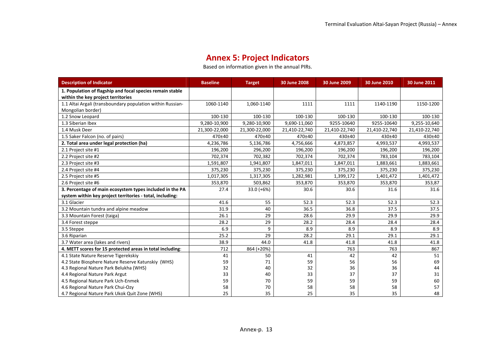# **Annex 5: Project Indicators**

Based on information given in the annual PIRs.

| <b>Description of Indicator</b>                                                                 | <b>Baseline</b> | <b>Target</b> | 30 June 2008  | 30 June 2009  | 30 June 2010  | 30 June 2011  |
|-------------------------------------------------------------------------------------------------|-----------------|---------------|---------------|---------------|---------------|---------------|
| 1. Population of flagship and focal species remain stable<br>within the key project territories |                 |               |               |               |               |               |
| 1.1 Altai Argali (transboundary population within Russian-<br>Mongolian border)                 | 1060-1140       | 1,060-1140    | 1111          | 1111          | 1140-1190     | 1150-1200     |
| 1.2 Snow Leopard                                                                                | 100-130         | 100-130       | 100-130       | 100-130       | 100-130       | 100-130       |
| 1.3 Siberian Ibex                                                                               | 9,280-10,900    | 9,280-10,900  | 9,690-11,060  | 9255-10640    | 9255-10640    | 9,255-10,640  |
| 1.4 Musk Deer                                                                                   | 21,300-22,000   | 21,300-22,000 | 21,410-22,740 | 21,410-22,740 | 21,410-22,740 | 21,410-22,740 |
| 1.5 Saker Falcon (no. of pairs)                                                                 | 470±40          | 470±40        | 470±40        | 430±40        | 430±40        | 430±40        |
| 2. Total area under legal protection (ha)                                                       | 4,236,786       | 5,136,786     | 4,756,666     | 4,873,857     | 4,993,537     | 4,993,537     |
| 2.1 Project site #1                                                                             | 196,200         | 296,200       | 196,200       | 196,200       | 196,200       | 196,200       |
| 2.2 Project site #2                                                                             | 702,374         | 702,382       | 702,374       | 702,374       | 783,104       | 783,104       |
| 2.3 Project site #3                                                                             | 1,591,807       | 1,941,807     | 1,847,011     | 1,847,011     | 1,883,661     | 1,883,661     |
| 2.4 Project site #4                                                                             | 375,230         | 375,230       | 375,230       | 375,230       | 375,230       | 375,230       |
| 2.5 Project site #5                                                                             | 1,017,305       | 1,317,305     | 1,282,981     | 1,399,172     | 1,401,472     | 1,401,472     |
| 2.6 Project site #6                                                                             | 353,870         | 503,862       | 353,870       | 353,870       | 353,870       | 353,87        |
| 3. Percentage of main ecosystem types included in the PA                                        | 27.4            | $33.0 (+6%)$  | 30.6          | 30.6          | 31.6          | 31.6          |
| system within key project territories - total, including:                                       |                 |               |               |               |               |               |
| 3.1 Glacier                                                                                     | 41.6            | 55            | 52.3          | 52.3          | 52.3          | 52.3          |
| 3.2 Mountain tundra and alpine meadow                                                           | 31.9            | 40            | 36.5          | 36.8          | 37.5          | 37.5          |
| 3.3 Mountain Forest (taiga)                                                                     | 26.1            | 29            | 28.6          | 29.9          | 29.9          | 29.9          |
| 3.4 Forest steppe                                                                               | 28.2            | 29            | 28.2          | 28.4          | 28.4          | 28.4          |
| 3.5 Steppe                                                                                      | 6.9             | 9             | 8.9           | 8.9           | 8.9           | 8.9           |
| 3.6 Riparian                                                                                    | 25.2            | 29            | 28.2          | 29.1          | 29.1          | 29.1          |
| 3.7 Water area (lakes and rivers)                                                               | 38.9            | 44.0          | 41.8          | 41.8          | 41.8          | 41.8          |
| 4. METT scores for 15 protected areas in total including:                                       | 712             | 864 (+20%)    |               | 763           | 763           | 867           |
| 4.1 State Nature Reserve Tigerekskiy                                                            | 41              | 50            | 41            | 42            | 42            | 51            |
| 4.2 State Biosphere Nature Reserve Katunskiy (WHS)                                              | 59              | 71            | 59            | 56            | 56            | 69            |
| 4.3 Regional Nature Park Belukha (WHS)                                                          | 32              | 40            | 32            | 36            | 36            | 44            |
| 4.4 Regional Nature Park Argut                                                                  | 33              | 40            | 33            | 37            | 37            | 31            |
| 4.5 Regional Nature Park Uch-Enmek                                                              | 59              | 70            | 59            | 59            | 59            | 60            |
| 4.6 Regional Nature Park Chui-Ozy                                                               | 58              | 70            | 58            | 58            | 58            | 57            |
| 4.7 Regional Nature Park Ukok Quit Zone (WHS)                                                   | 25              | 35            | 25            | 35            | 35            | 48            |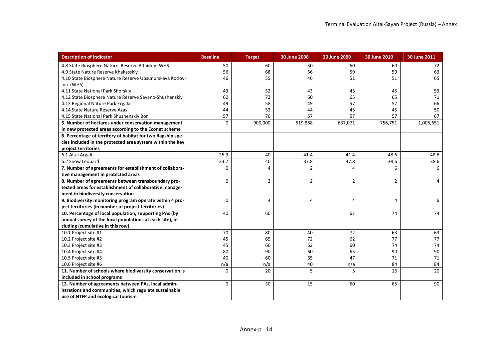| <b>Description of Indicator</b>                             | <b>Baseline</b> | <b>Target</b>  | 30 June 2008             | 30 June 2009   | 30 June 2010   | 30 June 2011 |
|-------------------------------------------------------------|-----------------|----------------|--------------------------|----------------|----------------|--------------|
| 4.8 State Biosphere Nature Reserve Altaiskiy (WHS)          | 50              | 60             | 50                       | 60             | 60             | 72           |
| 4.9 State Nature Reserve Khakasskiy                         | 56              | 68             | 56                       | 59             | 59             | 63           |
| 4.10 State Biosphere Nature Reserve Ubsunurskaya Kotlov-    | 46              | 55             | 46                       | 51             | 51             | 65           |
| ina (WHS)                                                   |                 |                |                          |                |                |              |
| 4.11 State National Park Shorskiy                           | 43              | 52             | 43                       | 45             | 45             | 53           |
| 4.12 State Biosphere Nature Reserve Sayano-Shushenskiy      | 60              | 72             | 60                       | 65             | 65             | 71           |
| 4.13 Regional Nature Park Ergaki                            | 49              | 58             | 49                       | 57             | 57             | 66           |
| 4.14 State Nature Reserve Azas                              | 44              | 53             | 44                       | 45             | 45             | 50           |
| 4.15 State National Park Shushenskiy Bor                    | 57              | 70             | 57                       | 57             | 57             | 67           |
| 5. Number of hectares under conservation management         | $\Omega$        | 900,000        | 519,888                  | 637,071        | 756,751        | 1,006,651    |
| in new protected areas according to the Econet scheme       |                 |                |                          |                |                |              |
| 6. Percentage of territory of habitat for two flagship spe- |                 |                |                          |                |                |              |
| cies included in the protected area system within the key   |                 |                |                          |                |                |              |
| project territories                                         |                 |                |                          |                |                |              |
| 6.1 Altai Argali                                            | 25.9            | 40             | 41.4                     | 41.4           | 48.6           | 48.6         |
| 6.2 Snow Leopard                                            | 33.7            | 40             | 37.8                     | 37.8           | 38.6           | 38.6         |
| 7. Number of agreements for establishment of collabora-     | $\Omega$        | $\Delta$       | $\overline{\phantom{a}}$ | $\Delta$       | 6              | 6            |
| tive management in protected areas                          |                 |                |                          |                |                |              |
| 8. Number of agreements between transboundary pro-          | $\Omega$        | 3              | $\overline{2}$           | $\overline{2}$ | $\overline{2}$ | 4            |
| tected areas for establishment of collaborative manage-     |                 |                |                          |                |                |              |
| ment in biodiversity conservation                           |                 |                |                          |                |                |              |
| 9. Biodiversity monitoring program operate within 4 pro-    | $\mathbf 0$     | $\overline{4}$ | 4                        | 4              | 4              | 6            |
| ject territories (in number of project territories)         |                 |                |                          |                |                |              |
| 10. Percentage of local population, supporting PAs (by      | 40              | 60             |                          | 61             | 74             | 74           |
| annual survey of the local populations at each site), in-   |                 |                |                          |                |                |              |
| cluding (cumulative in this row)                            |                 |                |                          |                |                |              |
| 10.1 Project site #1                                        | 70              | 80             | 40                       | 72             | 63             | 63           |
| 10.2 Project site #2                                        | 45              | 65             | 72                       | 62             | 77             | 77           |
| 10.3 Project site #3                                        | 45              | 60             | 62                       | 60             | 74             | 74           |
| 10.4 Project site #4                                        | 80              | 90             | 60                       | 65             | 90             | 90           |
| 10.5 Project site #5                                        | 40              | 60             | 65                       | 47             | 71             | 71           |
| 10.6 Project site #6                                        | n/a             | n/a            | 40                       | n/a            | 84             | 84           |
| 11. Number of schools where biodiversity conservation is    | $\overline{0}$  | 20             | 5                        | 5              | 16             | 20           |
| included in school programs                                 |                 |                |                          |                |                |              |
| 12. Number of agreements between PAs, local admin-          | $\mathbf 0$     | 30             | 15                       | 50             | 65             | 90           |
| istrations and communities, which regulate sustainable      |                 |                |                          |                |                |              |
| use of NTFP and ecological tourism                          |                 |                |                          |                |                |              |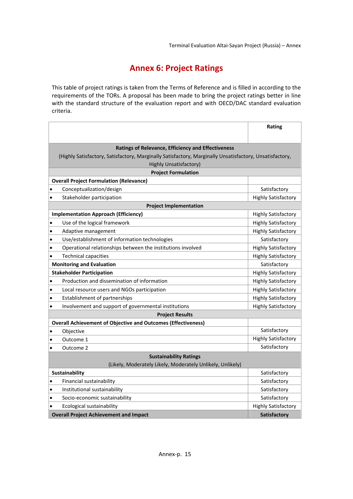# **Annex 6: Project Ratings**

This table of project ratings is taken from the Terms of Reference and is filled in according to the requirements of the TORs. A proposal has been made to bring the project ratings better in line with the standard structure of the evaluation report and with OECD/DAC standard evaluation criteria.

|                |                                                                                                         | Rating                     |
|----------------|---------------------------------------------------------------------------------------------------------|----------------------------|
|                |                                                                                                         |                            |
|                | <b>Ratings of Relevance, Efficiency and Effectiveness</b>                                               |                            |
|                | (Highly Satisfactory, Satisfactory, Marginally Satisfactory, Marginally Unsatisfactory, Unsatisfactory, |                            |
|                | <b>Highly Unsatisfactory)</b>                                                                           |                            |
|                | <b>Project Formulation</b>                                                                              |                            |
|                | <b>Overall Project Formulation (Relevance)</b>                                                          |                            |
|                | Conceptualization/design                                                                                | Satisfactory               |
| $\bullet$      | Stakeholder participation                                                                               | <b>Highly Satisfactory</b> |
|                | <b>Project Implementation</b>                                                                           |                            |
|                | <b>Implementation Approach (Efficiency)</b>                                                             | Highly Satisfactory        |
| $\bullet$      | Use of the logical framework                                                                            | <b>Highly Satisfactory</b> |
| $\bullet$      | Adaptive management                                                                                     | <b>Highly Satisfactory</b> |
| $\bullet$      | Use/establishment of information technologies                                                           | Satisfactory               |
| $\bullet$      | Operational relationships between the institutions involved                                             | <b>Highly Satisfactory</b> |
| $\bullet$      | <b>Technical capacities</b>                                                                             | <b>Highly Satisfactory</b> |
|                | <b>Monitoring and Evaluation</b>                                                                        | Satisfactory               |
|                | <b>Stakeholder Participation</b>                                                                        | <b>Highly Satisfactory</b> |
|                | Production and dissemination of information                                                             | <b>Highly Satisfactory</b> |
| $\bullet$      | Local resource users and NGOs participation                                                             | <b>Highly Satisfactory</b> |
| $\bullet$      | Establishment of partnerships                                                                           | <b>Highly Satisfactory</b> |
| $\bullet$      | Involvement and support of governmental institutions                                                    | <b>Highly Satisfactory</b> |
|                | <b>Project Results</b>                                                                                  |                            |
|                | <b>Overall Achievement of Objective and Outcomes (Effectiveness)</b>                                    |                            |
| c              | Objective                                                                                               | Satisfactory               |
| $\bullet$      | Outcome 1                                                                                               | <b>Highly Satisfactory</b> |
| $\bullet$      | Outcome 2                                                                                               | Satisfactory               |
|                | <b>Sustainability Ratings</b>                                                                           |                            |
|                | (Likely, Moderately Likely, Moderately Unlikely, Unlikely)                                              |                            |
| Sustainability |                                                                                                         | Satisfactory               |
| $\bullet$      | Financial sustainability                                                                                | Satisfactory               |
| $\bullet$      | Institutional sustainability                                                                            | Satisfactory               |
| $\bullet$      | Socio-economic sustainability                                                                           | Satisfactory               |
|                | Ecological sustainability                                                                               | <b>Highly Satisfactory</b> |
|                | <b>Overall Project Achievement and Impact</b>                                                           | <b>Satisfactory</b>        |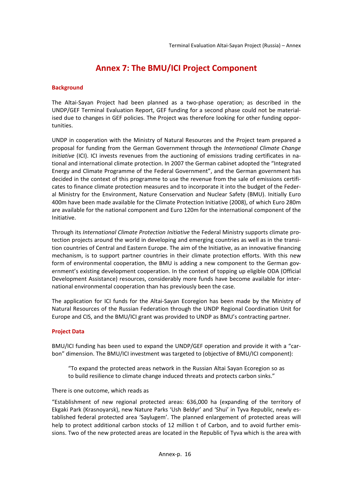# **Annex 7: The BMU/ICI Project Component**

#### **Background**

The Altai‐Sayan Project had been planned as a two‐phase operation; as described in the UNDP/GEF Terminal Evaluation Report, GEF funding for a second phase could not be material‐ ised due to changes in GEF policies. The Project was therefore looking for other funding oppor‐ tunities.

UNDP in cooperation with the Ministry of Natural Resources and the Project team prepared a proposal for funding from the German Government through the *International Climate Change Initiative* (ICI). ICI invests revenues from the auctioning of emissions trading certificates in national and international climate protection. In 2007 the German cabinet adopted the "Integrated Energy and Climate Programme of the Federal Government", and the German government has decided in the context of this programme to use the revenue from the sale of emissions certifi‐ cates to finance climate protection measures and to incorporate it into the budget of the Feder‐ al Ministry for the Environment, Nature Conservation and Nuclear Safety (BMU). Initially Euro 400m have been made available for the Climate Protection Initiative (2008), of which Euro 280m are available for the national component and Euro 120m for the international component of the Initiative.

Through its *International Climate Protection Initiative* the Federal Ministry supports climate pro‐ tection projects around the world in developing and emerging countries as well as in the transi‐ tion countries of Central and Eastern Europe. The aim of the Initiative, as an innovative financing mechanism, is to support partner countries in their climate protection efforts. With this new form of environmental cooperation, the BMU is adding a new component to the German government's existing development cooperation. In the context of topping up eligible ODA (Official Development Assistance) resources, considerably more funds have become available for inter‐ national environmental cooperation than has previously been the case.

The application for ICI funds for the Altai‐Sayan Ecoregion has been made by the Ministry of Natural Resources of the Russian Federation through the UNDP Regional Coordination Unit for Europe and CIS, and the BMU/ICI grant was provided to UNDP as BMU's contracting partner.

### **Project Data**

BMU/ICI funding has been used to expand the UNDP/GEF operation and provide it with a "carbon" dimension. The BMU/ICI investment was targeted to (objective of BMU/ICI component):

"To expand the protected areas network in the Russian Altai Sayan Ecoregion so as to build resilience to climate change induced threats and protects carbon sinks."

#### There is one outcome, which reads as

"Establishment of new regional protected areas: 636,000 ha (expanding of the territory of Ekgaki Park (Krasnoyarsk), new Nature Parks 'Ush Beldyr' and 'Shui' in Tyva Republic, newly es‐ tablished federal protected area 'Saylugem'. The planned enlargement of protected areas will help to protect additional carbon stocks of 12 million t of Carbon, and to avoid further emissions. Two of the new protected areas are located in the Republic of Tyva which is the area with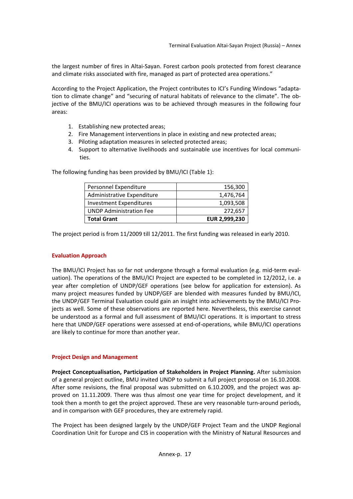the largest number of fires in Altai‐Sayan. Forest carbon pools protected from forest clearance and climate risks associated with fire, managed as part of protected area operations."

According to the Project Application, the Project contributes to ICI's Funding Windows "adapta‐ tion to climate change" and "securing of natural habitats of relevance to the climate". The ob‐ jective of the BMU/ICI operations was to be achieved through measures in the following four areas:

- 1. Establishing new protected areas;
- 2. Fire Management interventions in place in existing and new protected areas;
- 3. Piloting adaptation measures in selected protected areas;
- 4. Support to alternative livelihoods and sustainable use incentives for local communi‐ ties.

| Personnel Expenditure          | 156,300              |
|--------------------------------|----------------------|
| Administrative Expenditure     | 1,476,764            |
| <b>Investment Expenditures</b> | 1,093,508            |
| <b>UNDP Administration Fee</b> | 272,657              |
| <b>Total Grant</b>             | <b>EUR 2,999,230</b> |

The following funding has been provided by BMU/ICI (Table 1):

The project period is from 11/2009 till 12/2011. The first funding was released in early 2010.

### **Evaluation Approach**

The BMU/ICI Project has so far not undergone through a formal evaluation (e.g. mid-term evaluation). The operations of the BMU/ICI Project are expected to be completed in 12/2012, i.e. a year after completion of UNDP/GEF operations (see below for application for extension). As many project measures funded by UNDP/GEF are blended with measures funded by BMU/ICI, the UNDP/GEF Terminal Evaluation could gain an insight into achievements by the BMU/ICI Pro‐ jects as well. Some of these observations are reported here. Nevertheless, this exercise cannot be understood as a formal and full assessment of BMU/ICI operations. It is important to stress here that UNDP/GEF operations were assessed at end‐of‐operations, while BMU/ICI operations are likely to continue for more than another year.

### **Project Design and Management**

**Project Conceptualisation, Participation of Stakeholders in Project Planning.** After submission of a general project outline, BMU invited UNDP to submit a full project proposal on 16.10.2008. After some revisions, the final proposal was submitted on 6.10.2009, and the project was ap‐ proved on 11.11.2009. There was thus almost one year time for project development, and it took then a month to get the project approved. These are very reasonable turn-around periods, and in comparison with GEF procedures, they are extremely rapid.

The Project has been designed largely by the UNDP/GEF Project Team and the UNDP Regional Coordination Unit for Europe and CIS in cooperation with the Ministry of Natural Resources and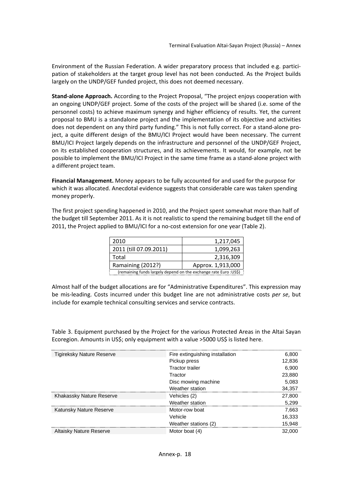Environment of the Russian Federation. A wider preparatory process that included e.g. participation of stakeholders at the target group level has not been conducted. As the Project builds largely on the UNDP/GEF funded project, this does not deemed necessary.

**Stand‐alone Approach.** According to the Project Proposal, "The project enjoys cooperation with an ongoing UNDP/GEF project. Some of the costs of the project will be shared (i.e. some of the personnel costs) to achieve maximum synergy and higher efficiency of results. Yet, the current proposal to BMU is a standalone project and the implementation of its objective and activities does not dependent on any third party funding." This is not fully correct. For a stand-alone project, a quite different design of the BMU/ICI Project would have been necessary. The current BMU/ICI Project largely depends on the infrastructure and personnel of the UNDP/GEF Project, on its established cooperation structures, and its achievements. It would, for example, not be possible to implement the BMU/ICI Project in the same time frame as a stand-alone project with a different project team.

**Financial Management.** Money appears to be fully accounted for and used for the purpose for which it was allocated. Anecdotal evidence suggests that considerable care was taken spending money properly.

The first project spending happened in 2010, and the Project spent somewhat more than half of the budget till September 2011. As it is not realistic to spend the remaining budget till the end of 2011, the Project applied to BMU/ICI for a no-cost extension for one year (Table 2).

| 2010                                                              | 1,217,045         |  |
|-------------------------------------------------------------------|-------------------|--|
| 2011 (till 07.09.2011)                                            | 1,099,263         |  |
| Total                                                             | 2,316,309         |  |
| Ramaining (2012?)                                                 | Approx. 1,913,000 |  |
| (remaining funds largely depend on the exchange rate Euro : US\$) |                   |  |

Almost half of the budget allocations are for "Administrative Expenditures". This expression may be mis‐leading. Costs incurred under this budget line are not administrative costs *per se*, but include for example technical consulting services and service contracts.

Table 3. Equipment purchased by the Project for the various Protected Areas in the Altai Sayan Ecoregion. Amounts in US\$; only equipment with a value >5000 US\$ is listed here.

| <b>Tigireksky Nature Reserve</b> | Fire extinguishing installation | 6,800  |
|----------------------------------|---------------------------------|--------|
|                                  | Pickup press                    | 12,836 |
|                                  | <b>Tractor trailer</b>          | 6,900  |
|                                  | Tractor                         | 23,880 |
|                                  | Disc mowing machine             | 5,083  |
|                                  | Weather station                 | 34,357 |
| Khakassky Nature Reserve         | Vehicles (2)                    | 27,800 |
|                                  | <b>Weather station</b>          | 5,299  |
| Katunsky Nature Reserve          | Motor-row boat                  | 7,663  |
|                                  | Vehicle                         | 16,333 |
|                                  | Weather stations (2)            | 15,948 |
| <b>Altaisky Nature Reserve</b>   | Motor boat (4)                  | 32,000 |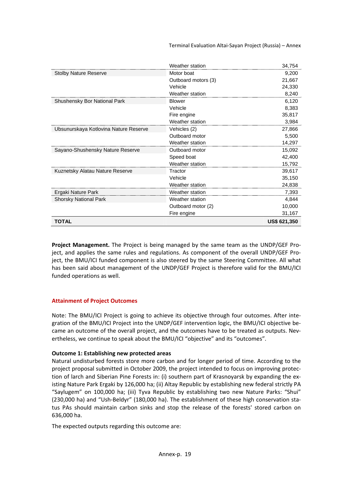Terminal Evaluation Altai‐Sayan Project (Russia) – Annex

|                                       | Weather station     | 34,754              |
|---------------------------------------|---------------------|---------------------|
| <b>Stolby Nature Reserve</b>          | Motor boat          | 9,200               |
|                                       | Outboard motors (3) | 21,667              |
|                                       | Vehicle             | 24,330              |
|                                       | Weather station     | 8,240               |
| <b>Shushensky Bor National Park</b>   | <b>Blower</b>       | 6,120               |
|                                       | Vehicle             | 8,383               |
|                                       | Fire engine         | 35,817              |
|                                       | Weather station     | 3,984               |
| Ubsunurskaya Kotlovina Nature Reserve | Vehicles (2)        | 27,866              |
|                                       | Outboard motor      | 5,500               |
|                                       | Weather station     | 14,297              |
| Sayano-Shushensky Nature Reserve      | Outboard motor      | 15,092              |
|                                       | Speed boat          | 42,400              |
|                                       | Weather station     | 15,792              |
| Kuznetsky Alatau Nature Reserve       | Tractor             | 39,617              |
|                                       | Vehicle             | 35,150              |
|                                       | Weather station     | 24,838              |
| Ergaki Nature Park                    | Weather station     | 7,393               |
| <b>Shorsky National Park</b>          | Weather station     | 4,844               |
|                                       | Outboard motor (2)  | 10,000              |
|                                       | Fire engine         | 31,167              |
| TOTAL                                 |                     | <b>US\$ 621,350</b> |

**Project Management.** The Project is being managed by the same team as the UNDP/GEF Pro‐ ject, and applies the same rules and regulations. As component of the overall UNDP/GEF Project, the BMU/ICI funded component is also steered by the same Steering Committee. All what has been said about management of the UNDP/GEF Project is therefore valid for the BMU/ICI funded operations as well.

### **Attainment of Project Outcomes**

Note: The BMU/ICI Project is going to achieve its objective through four outcomes. After integration of the BMU/ICI Project into the UNDP/GEF intervention logic, the BMU/ICI objective be‐ came an outcome of the overall project, and the outcomes have to be treated as outputs. Nevertheless, we continue to speak about the BMU/ICI "objective" and its "outcomes".

#### **Outcome 1: Establishing new protected areas**

Natural undisturbed forests store more carbon and for longer period of time. According to the project proposal submitted in October 2009, the project intended to focus on improving protec‐ tion of larch and Siberian Pine Forests in: (i) southern part of Krasnoyarsk by expanding the ex‐ isting Nature Park Ergaki by 126,000 ha; (ii) Altay Republic by establishing new federal strictly PA "Saylugem" on 100,000 ha; (iii) Tyva Republic by establishing two new Nature Parks: "Shui" (230,000 ha) and "Ush‐Beldyr" (180,000 ha). The establishment of these high conservation sta‐ tus PAs should maintain carbon sinks and stop the release of the forests' stored carbon on 636,000 ha.

The expected outputs regarding this outcome are: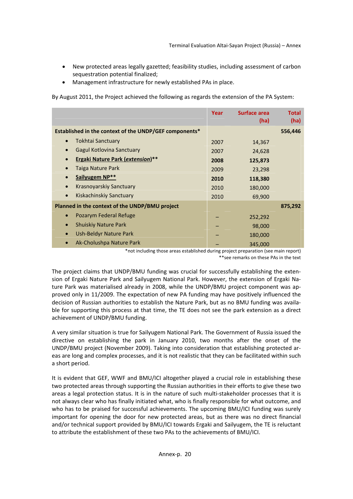- New protected areas legally gazetted; feasibility studies, including assessment of carbon sequestration potential finalized;
- Management infrastructure for newly established PAs in place.

By August 2011, the Project achieved the following as regards the extension of the PA System:

|                                                        | Year | <b>Surface area</b><br>(ha) | <b>Total</b><br>(ha) |
|--------------------------------------------------------|------|-----------------------------|----------------------|
| Established in the context of the UNDP/GEF components* |      |                             | 556,446              |
| Tokhtai Sanctuary<br>$\bullet$                         | 2007 | 14,367                      |                      |
| Gagul Kotlovina Sanctuary                              | 2007 | 24,628                      |                      |
| <b>Ergaki Nature Park (extension)**</b>                | 2008 | 125,873                     |                      |
| Taiga Nature Park                                      | 2009 | 23,298                      |                      |
| Sailyugem NP**                                         | 2010 | 118,380                     |                      |
| Krasnoyarskiy Sanctuary<br>$\bullet$                   | 2010 | 180,000                     |                      |
| Kiskachinskiy Sanctuary                                | 2010 | 69,900                      |                      |
| Planned in the context of the UNDP/BMU project         |      |                             | 875,292              |
| Pozarym Federal Refuge<br>$\bullet$                    |      | 252,292                     |                      |
| <b>Shuiskiy Nature Park</b>                            |      | 98,000                      |                      |
| Ush-Beldyr Nature Park                                 |      | 180,000                     |                      |
| Ak-Cholushpa Nature Park                               |      | 345,000                     |                      |

<sup>\*</sup>not including those areas established during project preparation (see main report) \*\*see remarks on these PAs in the text

The project claims that UNDP/BMU funding was crucial for successfully establishing the exten‐ sion of Ergaki Nature Park and Sailyugem National Park. However, the extension of Ergaki Na‐ ture Park was materialised already in 2008, while the UNDP/BMU project component was ap‐ proved only in 11/2009. The expectation of new PA funding may have positively influenced the decision of Russian authorities to establish the Nature Park, but as no BMU funding was availa‐ ble for supporting this process at that time, the TE does not see the park extension as a direct achievement of UNDP/BMU funding.

A very similar situation is true for Sailyugem National Park. The Government of Russia issued the directive on establishing the park in January 2010, two months after the onset of the UNDP/BMU project (November 2009). Taking into consideration that establishing protected ar‐ eas are long and complex processes, and it is not realistic that they can be facilitated within such a short period.

It is evident that GEF, WWF and BMU/ICI altogether played a crucial role in establishing these two protected areas through supporting the Russian authorities in their efforts to give these two areas a legal protection status. It is in the nature of such multi-stakeholder processes that it is not always clear who has finally initiated what, who is finally responsible for what outcome, and who has to be praised for successful achievements. The upcoming BMU/ICI funding was surely important for opening the door for new protected areas, but as there was no direct financial and/or technical support provided by BMU/ICI towards Ergaki and Sailyugem, the TE is reluctant to attribute the establishment of these two PAs to the achievements of BMU/ICI.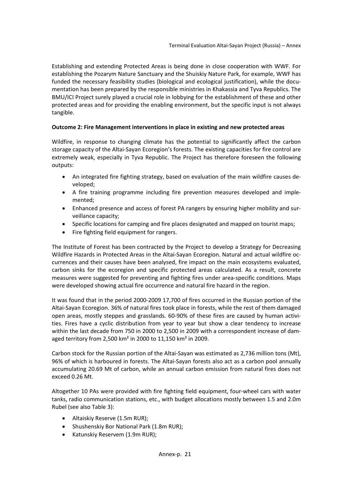Establishing and extending Protected Areas is being done in close cooperation with WWF. For establishing the Pozarym Nature Sanctuary and the Shuiskiy Nature Park, for example, WWF has funded the necessary feasibility studies (biological and ecological justification), while the documentation has been prepared by the responsible ministries in Khakassia and Tyva Republics. The BMU/ICI Project surely played a crucial role in lobbying for the establishment of these and other protected areas and for providing the enabling environment, but the specific input is not always tangible.

## **Outcome 2: Fire Management interventions in place in existing and new protected areas**

Wildfire, in response to changing climate has the potential to significantly affect the carbon storage capacity of the Altai‐Sayan Ecoregion's forests. The existing capacities for fire control are extremely weak, especially in Tyva Republic. The Project has therefore foreseen the following outputs:

- An integrated fire fighting strategy, based on evaluation of the main wildfire causes developed;
- A fire training programme including fire prevention measures developed and imple‐ mented;
- Enhanced presence and access of forest PA rangers by ensuring higher mobility and sur‐ veillance capacity;
- Specific locations for camping and fire places designated and mapped on tourist maps;
- Fire fighting field equipment for rangers.

The Institute of Forest has been contracted by the Project to develop a Strategy for Decreasing Wildfire Hazards in Protected Areas in the Altai‐Sayan Ecoregion. Natural and actual wildfire oc‐ currences and their causes have been analysed, fire impact on the main ecosystems evaluated, carbon sinks for the ecoregion and specific protected areas calculated. As a result, concrete measures were suggested for preventing and fighting fires under area‐specific conditions. Maps were developed showing actual fire occurrence and natural fire hazard in the region.

It was found that in the period 2000‐2009 17,700 of fires occurred in the Russian portion of the Altai‐Sayan Ecoregion. 36% of natural fires took place in forests, while the rest of them damaged open areas, mostly steppes and grasslands. 60‐90% of these fires are caused by human activi‐ ties. Fires have a cyclic distribution from year to year but show a clear tendency to increase within the last decade from 750 in 2000 to 2,500 in 2009 with a correspondent increase of damaged territory from 2,500 km² in 2000 to 11,150 km² in 2009.

Carbon stock for the Russian portion of the Altai‐Sayan was estimated as 2,736 million tons (Mt), 96% of which is harboured in forests. The Altai‐Sayan forests also act as a carbon pool annually accumulating 20.69 Mt of carbon, while an annual carbon emission from natural fires does not exceed 0.26 Mt.

Altogether 10 PAs were provided with fire fighting field equipment, four‐wheel cars with water tanks, radio communication stations, etc., with budget allocations mostly between 1.5 and 2.0m Rubel (see also Table 3):

- Altaiskiy Reserve (1.5m RUR);
- Shushenskiy Bor National Park (1.8m RUR);
- Katunskiy Reservem (1.9m RUR);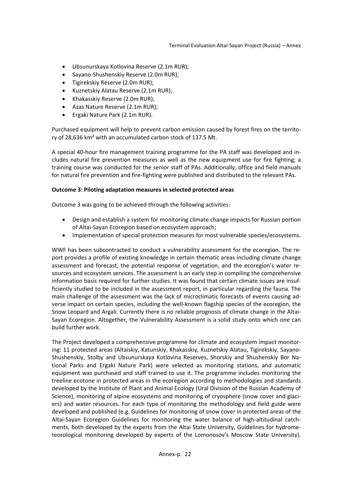- Ubsunurskaya Kotlovina Reserve (2.1m RUR);
- Sayano-Shushenskiy Reserve (2.0m RUR);
- Tigirekskiy Reserve (2.0m RUR);
- Kuznetskiy Alatau Reserve (2.1m RUR);
- Khakasskiy Reserve (2.0m RUR);
- Azas Nature Reserve (2.1m RUR);
- Ergaki Nature Park (2.1m RUR).

Purchased equipment will help to prevent carbon emission caused by forest fires on the territo‐ ry of 28,636 km² with an accumulated carbon stock of 137.5 Mt.

A special 40‐hour fire management training programme for the PA staff was developed and in‐ cludes natural fire prevention measures as well as the new equipment use for fire fighting; a training course was conducted for the senior staff of PAs. Additionally, office and field manuals for natural fire prevention and fire‐fighting were published and distributed to the relevant PAs.

## **Outcome 3: Piloting adaptation measures in selected protected areas**

Outcome 3 was going to be achieved through the following activities:

- Design and establish a system for monitoring climate change impacts for Russian portion of Altai‐Sayan Ecoregion based on ecosystem approach;
- Implementation of special protection measures for most vulnerable species/ecosystems.

WWF has been subcontracted to conduct a vulnerability assessment for the ecoregion. The report provides a profile of existing knowledge in certain thematic areas including climate change assessment and forecast, the potential response of vegetation, and the ecoregion's water re‐ sources and ecosystem services. The assessment is an early step in compiling the comprehensive information basis required for further studies. It was found that certain climate issues are insuf‐ ficiently studied to be included in the assessment report, in particular regarding the fauna. The main challenge of the assessment was the lack of microclimatic forecasts of events causing ad‐ verse impact on certain species, including the well‐known flagship species of the ecoregion, the Snow Leopard and Argali. Currently there is no reliable prognosis of climate change in the Altai‐ Sayan Ecoregion. Altogether, the Vulnerability Assessment is a solid study onto which one can build further work.

The Project developed a comprehensive programme for climate and ecosystem impact monitor‐ ing: 11 protected areas (Altaiskiy, Katunskiy, Khakasskiy, Kuznetskiy Alatau, Tigirekskiy, Sayano‐ Shushenskiy, Stolby and Ubsunurskaya Kotlovina Reserves, Shorskiy and Shushenskiy Bor Na‐ tional Parks and Ergaki Nature Park) were selected as monitoring stations, and automatic equipment was purchased and staff trained to use it. The programme includes monitoring the treeline ecotone in protected areas in the ecoregion according to methodologies and standards developed by the Institute of Plant and Animal Ecology (Ural Division of the Russian Academy of Science), monitoring of alpine ecosystems and monitoring of cryosphere (snow cover and glaciers) and water resources. For each type of monitoring the methodology and field guide were developed and published (e.g. Guidelines for monitoring of snow cover in protected areas of the Altai-Sayan Ecoregion Guidelines for monitoring the water balance of high-altitudinal catchments, both developed by the experts from the Altai State University, Guidelines for hydrome‐ teorological monitoring developed by experts of the Lomonosov's Moscow State University).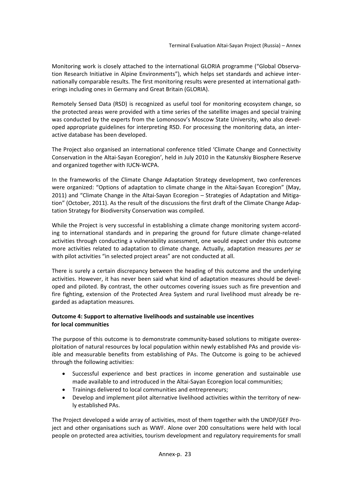Monitoring work is closely attached to the international GLORIA programme ("Global Observa‐ tion Research Initiative in Alpine Environments"), which helps set standards and achieve inter‐ nationally comparable results. The first monitoring results were presented at international gath‐ erings including ones in Germany and Great Britain (GLORIA).

Remotely Sensed Data (RSD) is recognized as useful tool for monitoring ecosystem change, so the protected areas were provided with a time series of the satellite images and special training was conducted by the experts from the Lomonosov's Moscow State University, who also devel‐ oped appropriate guidelines for interpreting RSD. For processing the monitoring data, an inter‐ active database has been developed.

The Project also organised an international conference titled 'Climate Change and Connectivity Conservation in the Altai‐Sayan Ecoregion', held in July 2010 in the Katunskiy Biosphere Reserve and organized together with IUCN‐WCPA.

In the frameworks of the Climate Change Adaptation Strategy development, two conferences were organized: "Options of adaptation to climate change in the Altai‐Sayan Ecoregion" (May, 2011) and "Climate Change in the Altai-Sayan Ecoregion – Strategies of Adaptation and Mitigation" (October, 2011). As the result of the discussions the first draft of the Climate Change Adap‐ tation Strategy for Biodiversity Conservation was compiled.

While the Project is very successful in establishing a climate change monitoring system according to international standards and in preparing the ground for future climate change‐related activities through conducting a vulnerability assessment, one would expect under this outcome more activities related to adaptation to climate change. Actually, adaptation measures *per se* with pilot activities "in selected project areas" are not conducted at all.

There is surely a certain discrepancy between the heading of this outcome and the underlying activities. However, it has never been said what kind of adaptation measures should be devel‐ oped and piloted. By contrast, the other outcomes covering issues such as fire prevention and fire fighting, extension of the Protected Area System and rural livelihood must already be regarded as adaptation measures.

## **Outcome 4: Support to alternative livelihoods and sustainable use incentives for local communities**

The purpose of this outcome is to demonstrate community-based solutions to mitigate overexploitation of natural resources by local population within newly established PAs and provide vis‐ ible and measurable benefits from establishing of PAs. The Outcome is going to be achieved through the following activities:

- Successful experience and best practices in income generation and sustainable use made available to and introduced in the Altai‐Sayan Ecoregion local communities;
- Trainings delivered to local communities and entrepreneurs;
- Develop and implement pilot alternative livelihood activities within the territory of newly established PAs.

The Project developed a wide array of activities, most of them together with the UNDP/GEF Pro‐ ject and other organisations such as WWF. Alone over 200 consultations were held with local people on protected area activities, tourism development and regulatory requirements for small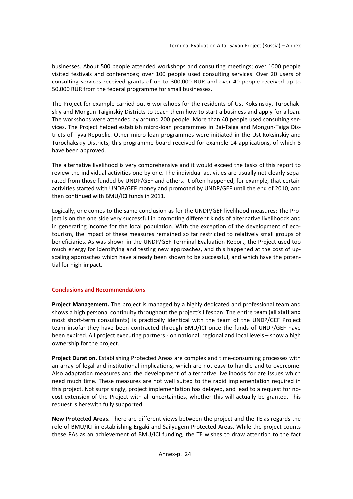businesses. About 500 people attended workshops and consulting meetings; over 1000 people visited festivals and conferences; over 100 people used consulting services. Over 20 users of consulting services received grants of up to 300,000 RUR and over 40 people received up to 50,000 RUR from the federal programme for small businesses.

The Project for example carried out 6 workshops for the residents of Ust-Koksinskiy, Turochakskiy and Mongun‐Taiginskiy Districts to teach them how to start a business and apply for a loan. The workshops were attended by around 200 people. More than 40 people used consulting ser‐ vices. The Project helped establish micro‐loan programmes in Bai‐Taiga and Mongun‐Taiga Dis‐ tricts of Tyva Republic. Other micro‐loan programmes were initiated in the Ust‐Koksinskiy and Turochakskiy Districts; this programme board received for example 14 applications, of which 8 have been approved.

The alternative livelihood is very comprehensive and it would exceed the tasks of this report to review the individual activities one by one. The individual activities are usually not clearly sepa‐ rated from those funded by UNDP/GEF and others. It often happened, for example, that certain activities started with UNDP/GEF money and promoted by UNDP/GEF until the end of 2010, and then continued with BMU/ICI funds in 2011.

Logically, one comes to the same conclusion as for the UNDP/GEF livelihood measures: The Pro‐ ject is on the one side very successful in promoting different kinds of alternative livelihoods and in generating income for the local population. With the exception of the development of ecotourism, the impact of these measures remained so far restricted to relatively small groups of beneficiaries. As was shown in the UNDP/GEF Terminal Evaluation Report, the Project used too much energy for identifying and testing new approaches, and this happened at the cost of upscaling approaches which have already been shown to be successful, and which have the poten‐ tial for high‐impact.

## **Conclusions and Recommendations**

**Project Management.** The project is managed by a highly dedicated and professional team and shows a high personal continuity throughout the project's lifespan. The entire team (all staff and most short-term consultants) is practically identical with the team of the UNDP/GEF Project team insofar they have been contracted through BMU/ICI once the funds of UNDP/GEF have been expired. All project executing partners ‐ on national, regional and local levels – show a high ownership for the project.

**Project Duration.** Establishing Protected Areas are complex and time‐consuming processes with an array of legal and institutional implications, which are not easy to handle and to overcome. Also adaptation measures and the development of alternative livelihoods for are issues which need much time. These measures are not well suited to the rapid implementation required in this project. Not surprisingly, project implementation has delayed, and lead to a request for no‐ cost extension of the Project with all uncertainties, whether this will actually be granted. This request is herewith fully supported.

**New Protected Areas.** There are different views between the project and the TE as regards the role of BMU/ICI in establishing Ergaki and Sailyugem Protected Areas. While the project counts these PAs as an achievement of BMU/ICI funding, the TE wishes to draw attention to the fact